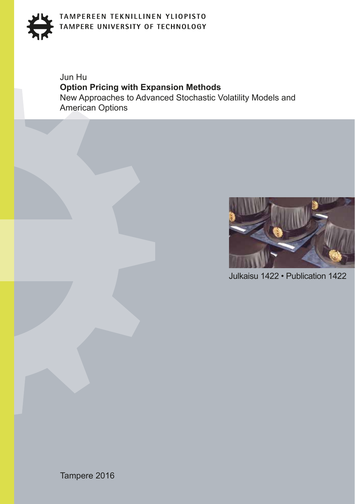

Jun Hu **Option Pricing with Expansion Methods** New Approaches to Advanced Stochastic Volatility Models and American Options



Julkaisu 1422 • Publication 1422

Tampere 2016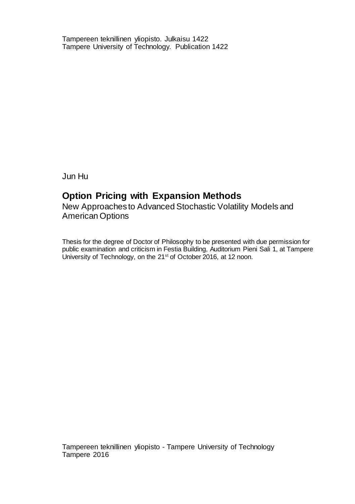Tampereen teknillinen yliopisto. Julkaisu 1422 Tampere University of Technology. Publication 1422

Jun Hu

## **Option Pricing with Expansion Methods**

New Approaches to Advanced Stochastic Volatility Models and American Options

Thesis for the degree of Doctor of Philosophy to be presented with due permission for public examination and criticism in Festia Building, Auditorium Pieni Sali 1, at Tampere University of Technology, on the 21<sup>st</sup> of October 2016, at 12 noon.

Tampereen teknillinen yliopisto - Tampere University of Technology Tampere 2016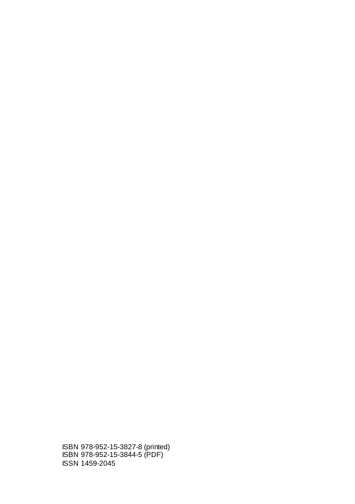ISBN 978-952-15-3827-8 (printed) ISBN 978-952-15-3844-5 (PDF) ISSN 1459-2045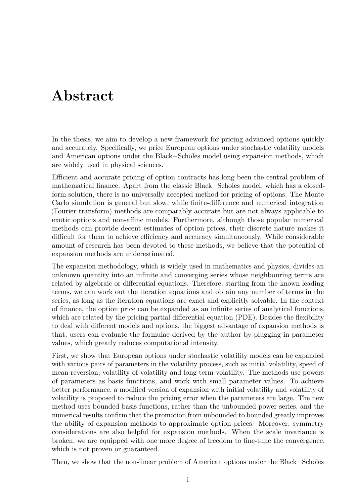## <span id="page-3-0"></span>**Abstract**

In the thesis, we aim to develop a new framework for pricing advanced options quickly and accurately. Specifically, we price European options under stochastic volatility models and American options under the Black – Scholes model using expansion methods, which are widely used in physical sciences.

Efficient and accurate pricing of option contracts has long been the central problem of mathematical finance. Apart from the classic Black – Scholes model, which has a closedform solution, there is no universally accepted method for pricing of options. The Monte Carlo simulation is general but slow, while finite-difference and numerical integration (Fourier transform) methods are comparably accurate but are not always applicable to exotic options and non-affine models. Furthermore, although those popular numerical methods can provide decent estimates of option prices, their discrete nature makes it difficult for them to achieve efficiency and accuracy simultaneously. While considerable amount of research has been devoted to these methods, we believe that the potential of expansion methods are underestimated.

The expansion methodology, which is widely used in mathematics and physics, divides an unknown quantity into an infinite and converging series whose neighbouring terms are related by algebraic or differential equations. Therefore, starting from the known leading terms, we can work out the iteration equations and obtain any number of terms in the series, as long as the iteration equations are exact and explicitly solvable. In the context of finance, the option price can be expanded as an infinite series of analytical functions, which are related by the pricing partial differential equation (PDE). Besides the flexibility to deal with different models and options, the biggest advantage of expansion methods is that, users can evaluate the formulae derived by the author by plugging in parameter values, which greatly reduces computational intensity.

First, we show that European options under stochastic volatility models can be expanded with various pairs of parameters in the volatility process, such as initial volatility, speed of mean-reversion, volatility of volatility and long-term volatility. The methods use powers of parameters as basis functions, and work with small parameter values. To achieve better performance, a modified version of expansion with initial volatility and volatility of volatility is proposed to reduce the pricing error when the parameters are large. The new method uses bounded basis functions, rather than the unbounded power series, and the numerical results confirm that the promotion from unbounded to bounded greatly improves the ability of expansion methods to approximate option prices. Moreover, symmetry considerations are also helpful for expansion methods. When the scale invariance is broken, we are equipped with one more degree of freedom to fine-tune the convergence, which is not proven or guaranteed.

Then, we show that the non-linear problem of American options under the Black – Scholes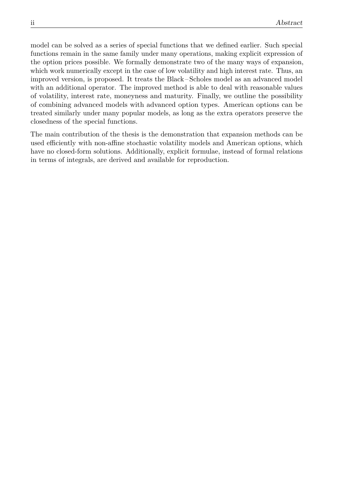model can be solved as a series of special functions that we defined earlier. Such special functions remain in the same family under many operations, making explicit expression of the option prices possible. We formally demonstrate two of the many ways of expansion, which work numerically except in the case of low volatility and high interest rate. Thus, an improved version, is proposed. It treats the Black – Scholes model as an advanced model with an additional operator. The improved method is able to deal with reasonable values of volatility, interest rate, moneyness and maturity. Finally, we outline the possibility of combining advanced models with advanced option types. American options can be treated similarly under many popular models, as long as the extra operators preserve the closedness of the special functions.

The main contribution of the thesis is the demonstration that expansion methods can be used efficiently with non-affine stochastic volatility models and American options, which have no closed-form solutions. Additionally, explicit formulae, instead of formal relations in terms of integrals, are derived and available for reproduction.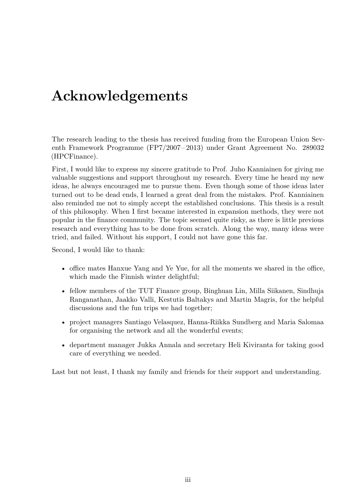## <span id="page-5-0"></span>**Acknowledgements**

The research leading to the thesis has received funding from the European Union Seventh Framework Programme (FP7/2007 – 2013) under Grant Agreement No. 289032 (HPCFinance).

First, I would like to express my sincere gratitude to Prof. Juho Kanniainen for giving me valuable suggestions and support throughout my research. Every time he heard my new ideas, he always encouraged me to pursue them. Even though some of those ideas later turned out to be dead ends, I learned a great deal from the mistakes. Prof. Kanniainen also reminded me not to simply accept the established conclusions. This thesis is a result of this philosophy. When I first became interested in expansion methods, they were not popular in the finance community. The topic seemed quite risky, as there is little previous research and everything has to be done from scratch. Along the way, many ideas were tried, and failed. Without his support, I could not have gone this far.

Second, I would like to thank:

- office mates Hanxue Yang and Ye Yue, for all the moments we shared in the office, which made the Finnish winter delightful;
- fellow members of the TUT Finance group, Binghuan Lin, Milla Siikanen, Sindhuja Ranganathan, Jaakko Valli, Kestutis Baltakys and Martin Magris, for the helpful discussions and the fun trips we had together;
- project managers Santiago Velasquez, Hanna-Riikka Sundberg and Maria Salomaa for organising the network and all the wonderful events;
- department manager Jukka Annala and secretary Heli Kiviranta for taking good care of everything we needed.

Last but not least, I thank my family and friends for their support and understanding.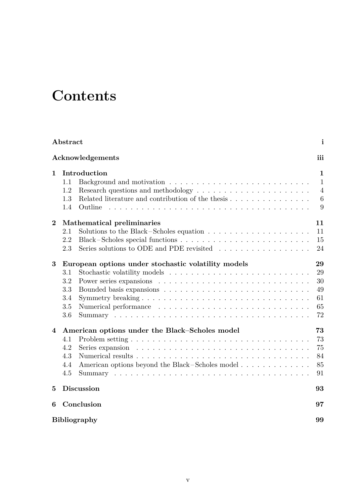# **Contents**

|                     | Abstract<br>i                                                                                                                                                                                                                           |                                                          |  |  |  |
|---------------------|-----------------------------------------------------------------------------------------------------------------------------------------------------------------------------------------------------------------------------------------|----------------------------------------------------------|--|--|--|
|                     | Acknowledgements                                                                                                                                                                                                                        | iii                                                      |  |  |  |
| 1                   | Introduction<br>1.1<br>1.2<br>1.3<br>Outline<br>1.4                                                                                                                                                                                     | $\mathbf{1}$<br>$\mathbf{1}$<br>$\overline{4}$<br>6<br>9 |  |  |  |
| $\bf{2}$            | Mathematical preliminaries<br>Solutions to the Black-Scholes equation $\ldots \ldots \ldots \ldots \ldots \ldots$<br>2.1<br>2.2<br>2.3                                                                                                  | 11<br>11<br>15<br>24                                     |  |  |  |
| 3                   | European options under stochastic volatility models<br>3.1<br>3.2<br>3.3<br>3.4<br>3.5<br>Numerical performance<br>3.6                                                                                                                  | 29<br>29<br>30<br>49<br>61<br>65<br>72                   |  |  |  |
| 4                   | American options under the Black-Scholes model<br>4.1<br>Series expansion $\ldots \ldots \ldots \ldots \ldots \ldots \ldots \ldots \ldots \ldots \ldots$<br>4.2<br>4.3<br>American options beyond the Black-Scholes model<br>4.4<br>4.5 | 73<br>73<br>75<br>84<br>85<br>91                         |  |  |  |
| 5                   | <b>Discussion</b>                                                                                                                                                                                                                       | 93                                                       |  |  |  |
| 6                   | Conclusion                                                                                                                                                                                                                              |                                                          |  |  |  |
| <b>Bibliography</b> |                                                                                                                                                                                                                                         |                                                          |  |  |  |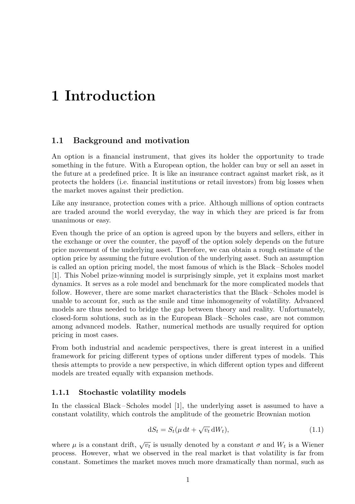## <span id="page-9-0"></span>**1 Introduction**

### <span id="page-9-1"></span>**1.1 Background and motivation**

An option is a financial instrument, that gives its holder the opportunity to trade something in the future. With a European option, the holder can buy or sell an asset in the future at a predefined price. It is like an insurance contract against market risk, as it protects the holders (i.e. financial institutions or retail investors) from big losses when the market moves against their prediction.

Like any insurance, protection comes with a price. Although millions of option contracts are traded around the world everyday, the way in which they are priced is far from unanimous or easy.

Even though the price of an option is agreed upon by the buyers and sellers, either in the exchange or over the counter, the payoff of the option solely depends on the future price movement of the underlying asset. Therefore, we can obtain a rough estimate of the option price by assuming the future evolution of the underlying asset. Such an assumption is called an option pricing model, the most famous of which is the Black – Scholes model [\[1\]](#page-107-1). This Nobel prize-winning model is surprisingly simple, yet it explains most market dynamics. It serves as a role model and benchmark for the more complicated models that follow. However, there are some market characteristics that the Black – Scholes model is unable to account for, such as the smile and time inhomogeneity of volatility. Advanced models are thus needed to bridge the gap between theory and reality. Unfortunately, closed-form solutions, such as in the European Black – Scholes case, are not common among advanced models. Rather, numerical methods are usually required for option pricing in most cases.

From both industrial and academic perspectives, there is great interest in a unified framework for pricing different types of options under different types of models. This thesis attempts to provide a new perspective, in which different option types and different models are treated equally with expansion methods.

#### **1.1.1 Stochastic volatility models**

In the classical Black – Scholes model [\[1\]](#page-107-1), the underlying asset is assumed to have a constant volatility, which controls the amplitude of the geometric Brownian motion

<span id="page-9-2"></span>
$$
dS_t = S_t(\mu dt + \sqrt{v_t} dW_t), \qquad (1.1)
$$

where  $\mu$  is a constant drift,  $\sqrt{v_t}$  is usually denoted by a constant  $\sigma$  and  $W_t$  is a Wiener process. However, what we observed in the real market is that volatility is far from constant. Sometimes the market moves much more dramatically than normal, such as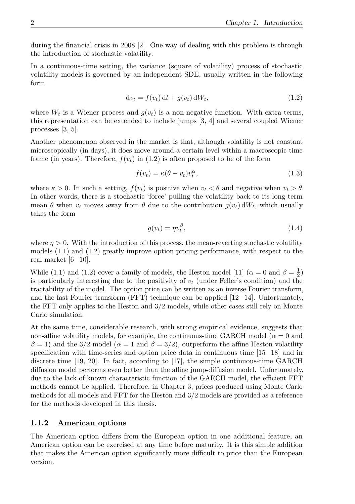during the financial crisis in 2008 [\[2\]](#page-107-2). One way of dealing with this problem is through the introduction of stochastic volatility.

In a continuous-time setting, the variance (square of volatility) process of stochastic volatility models is governed by an independent SDE, usually written in the following form

<span id="page-10-0"></span>
$$
dv_t = f(v_t) dt + g(v_t) dW_t,
$$
\n(1.2)

where  $W_t$  is a Wiener process and  $g(v_t)$  is a non-negative function. With extra terms, this representation can be extended to include jumps [\[3,](#page-107-3) [4\]](#page-107-4) and several coupled Wiener processes [\[3,](#page-107-3) [5\]](#page-107-5).

Another phenomenon observed in the market is that, although volatility is not constant microscopically (in days), it does move around a certain level within a macroscopic time frame (in years). Therefore,  $f(v_t)$  in [\(1.2\)](#page-10-0) is often proposed to be of the form

$$
f(v_t) = \kappa(\theta - v_t)v_t^{\alpha}, \qquad (1.3)
$$

where  $\kappa > 0$ . In such a setting,  $f(v_t)$  is positive when  $v_t < \theta$  and negative when  $v_t > \theta$ . In other words, there is a stochastic 'force' pulling the volatility back to its long-term mean  $\theta$  when  $v_t$  moves away from  $\theta$  due to the contribution  $g(v_t) dW_t$ , which usually takes the form

$$
g(v_t) = \eta v_t^{\beta},\tag{1.4}
$$

where  $n > 0$ . With the introduction of this process, the mean-reverting stochastic volatility models [\(1.1\)](#page-9-2) and [\(1.2\)](#page-10-0) greatly improve option pricing performance, with respect to the real market  $[6-10]$  $[6-10]$  $[6-10]$ .

While [\(1.1\)](#page-9-2) and [\(1.2\)](#page-10-0) cover a family of models, the Heston model [\[11\]](#page-108-0)  $(\alpha = 0 \text{ and } \beta = \frac{1}{2})$ is particularly interesting due to the positivity of *v<sup>t</sup>* (under Feller's condition) and the tractability of the model. The option price can be written as an inverse Fourier transform, and the fast Fourier transform  $(FFT)$  technique can be applied  $[12-14]$  $[12-14]$  $[12-14]$ . Unfortunately, the FFT only applies to the Heston and 3/2 models, while other cases still rely on Monte Carlo simulation.

At the same time, considerable research, with strong empirical evidence, suggests that non-affine volatility models, for example, the continuous-time GARCH model ( $\alpha = 0$  and  $\beta = 1$ ) and the 3/2 model ( $\alpha = 1$  and  $\beta = 3/2$ ), outperform the affine Heston volatility specification with time-series and option price data in continuous time  $[15-18]$  $[15-18]$  $[15-18]$  and in discrete time [\[19,](#page-108-5) [20\]](#page-108-6). In fact, according to [\[17\]](#page-108-7), the simple continuous-time GARCH diffusion model performs even better than the affine jump-diffusion model. Unfortunately, due to the lack of known characteristic function of the GARCH model, the efficient FFT methods cannot be applied. Therefore, in Chapter [3,](#page-37-0) prices produced using Monte Carlo methods for all models and FFT for the Heston and 3/2 models are provided as a reference for the methods developed in this thesis.

#### **1.1.2 American options**

The American option differs from the European option in one additional feature, an American option can be exercised at any time before maturity. It is this simple addition that makes the American option significantly more difficult to price than the European version.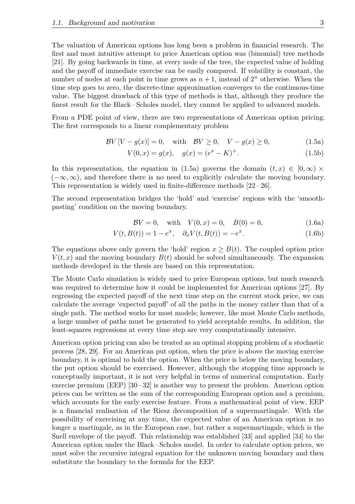The valuation of American options has long been a problem in financial research. The first and most intuitive attempt to price American option was (binomial) tree methods [\[21\]](#page-108-8). By going backwards in time, at every node of the tree, the expected value of holding and the payoff of immediate exercise can be easily compared. If volatility is constant, the number of nodes at each point in time grows as  $n + 1$ , instead of  $2<sup>n</sup>$  otherwise. When the time step goes to zero, the discrete-time approximation converges to the continuous-time value. The biggest drawback of this type of methods is that, although they produce the finest result for the Black – Scholes model, they cannot be applied to advanced models.

From a PDE point of view, there are two representations of American option pricing. The first corresponds to a linear complementary problem

$$
BV[V - g(x)] = 0, \quad \text{with} \quad BV \ge 0, \quad V - g(x) \ge 0,
$$
\n
$$
(1.5a)
$$

<span id="page-11-0"></span>
$$
V(0, x) = g(x), \quad g(x) = (e^x - K)^+.
$$
\n(1.5b)

In this representation, the equation in [\(1.5a\)](#page-11-0) governs the domain  $(t, x) \in [0, \infty) \times$ (−∞*,* ∞), and therefore there is no need to explicitly calculate the moving boundary. This representation is widely used in finite-difference methods  $[22-26]$  $[22-26]$  $[22-26]$ .

The second representation bridges the 'hold' and 'exercise' regions with the 'smoothpasting' condition on the moving boundary.

$$
BV = 0, \quad \text{with} \quad V(0, x) = 0, \quad B(0) = 0,
$$
\n(1.6a)

$$
V(t, B(t)) = 1 - e^x, \quad \partial_x V(t, B(t)) = -e^x.
$$
 (1.6b)

The equations above only govern the 'hold' region  $x > B(t)$ . The coupled option price  $V(t, x)$  and the moving boundary  $B(t)$  should be solved simultaneously. The expansion methods developed in the thesis are based on this representation.

The Monte Carlo simulation is widely used to price European options, but much research was required to determine how it could be implemented for American options [\[27\]](#page-109-1). By regressing the expected payoff of the next time step on the current stock price, we can calculate the average 'expected payoff' of all the paths in the money rather than that of a single path. The method works for most models; however, like most Monte Carlo methods, a large number of paths must be generated to yield acceptable results. In addition, the least-squares regressions at every time step are very computationally intensive.

American option pricing can also be treated as an optimal stopping problem of a stochastic process [\[28,](#page-109-2) [29\]](#page-109-3). For an American put option, when the price is above the moving exercise boundary, it is optimal to hold the option. When the price is below the moving boundary, the put option should be exercised. However, although the stopping time approach is conceptually important, it is not very helpful in terms of numerical computation. Early exercise premium (EEP) [\[30](#page-109-4)-[32\]](#page-109-5) is another way to present the problem. American option prices can be written as the sum of the corresponding European option and a premium, which accounts for the early exercise feature. From a mathematical point of view, EEP is a financial realisation of the Riesz decomposition of a supermartingale. With the possibility of exercising at any time, the expected value of an American option is no longer a martingale, as in the European case, but rather a supermartingale, which is the Snell envelope of the payoff. This relationship was established [\[33\]](#page-109-6) and applied [\[34\]](#page-109-7) to the American option under the Black – Scholes model. In order to calculate option prices, we must solve the recursive integral equation for the unknown moving boundary and then substitute the boundary to the formula for the EEP.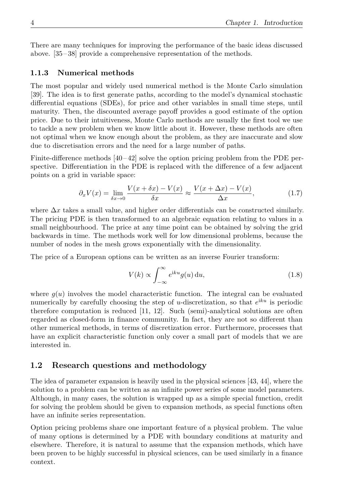There are many techniques for improving the performance of the basic ideas discussed above. [\[35](#page-109-8) – [38\]](#page-110-0) provide a comprehensive representation of the methods.

### **1.1.3 Numerical methods**

The most popular and widely used numerical method is the Monte Carlo simulation [\[39\]](#page-110-1). The idea is to first generate paths, according to the model's dynamical stochastic differential equations (SDEs), for price and other variables in small time steps, until maturity. Then, the discounted average payoff provides a good estimate of the option price. Due to their intuitiveness, Monte Carlo methods are usually the first tool we use to tackle a new problem when we know little about it. However, these methods are often not optimal when we know enough about the problem, as they are inaccurate and slow due to discretisation errors and the need for a large number of paths.

Finite-difference methods  $[40-42]$  $[40-42]$  $[40-42]$  solve the option pricing problem from the PDE perspective. Differentiation in the PDE is replaced with the difference of a few adjacent points on a grid in variable space:

$$
\partial_x V(x) = \lim_{\delta x \to 0} \frac{V(x + \delta x) - V(x)}{\delta x} \approx \frac{V(x + \Delta x) - V(x)}{\Delta x},\tag{1.7}
$$

where  $\Delta x$  takes a small value, and higher order differentials can be constructed similarly. The pricing PDE is then transformed to an algebraic equation relating to values in a small neighbourhood. The price at any time point can be obtained by solving the grid backwards in time. The methods work well for low dimensional problems, because the number of nodes in the mesh grows exponentially with the dimensionality.

The price of a European options can be written as an inverse Fourier transform:

$$
V(k) \propto \int_{-\infty}^{\infty} e^{iku} g(u) \, \mathrm{d}u,\tag{1.8}
$$

where  $q(u)$  involves the model characteristic function. The integral can be evaluated numerically by carefully choosing the step of *u*-discretization, so that  $e^{iku}$  is periodic therefore computation is reduced [\[11,](#page-108-0) [12\]](#page-108-1). Such (semi)-analytical solutions are often regarded as closed-form in finance community. In fact, they are not so different than other numerical methods, in terms of discretization error. Furthermore, processes that have an explicit characteristic function only cover a small part of models that we are interested in.

## <span id="page-12-0"></span>**1.2 Research questions and methodology**

The idea of parameter expansion is heavily used in the physical sciences [\[43,](#page-110-4) [44\]](#page-110-5), where the solution to a problem can be written as an infinite power series of some model parameters. Although, in many cases, the solution is wrapped up as a simple special function, credit for solving the problem should be given to expansion methods, as special functions often have an infinite series representation.

Option pricing problems share one important feature of a physical problem. The value of many options is determined by a PDE with boundary conditions at maturity and elsewhere. Therefore, it is natural to assume that the expansion methods, which have been proven to be highly successful in physical sciences, can be used similarly in a finance context.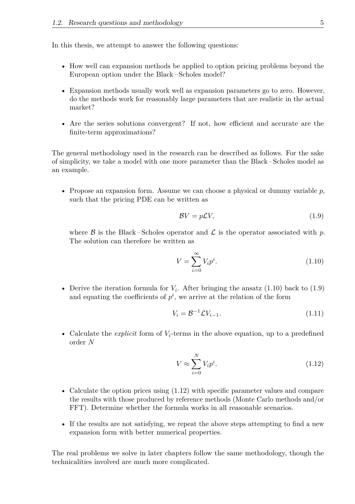In this thesis, we attempt to answer the following questions:

- How well can expansion methods be applied to option pricing problems beyond the European option under the Black – Scholes model?
- Expansion methods usually work well as expansion parameters go to zero. However, do the methods work for reasonably large parameters that are realistic in the actual market?
- Are the series solutions convergent? If not, how efficient and accurate are the finite-term approximations?

The general methodology used in the research can be described as follows. For the sake of simplicity, we take a model with one more parameter than the Black – Scholes model as an example.

• Propose an expansion form. Assume we can choose a physical or dummy variable *p*, such that the pricing PDE can be written as

<span id="page-13-1"></span>
$$
BV = p\mathcal{L}V,\tag{1.9}
$$

where B is the Black-Scholes operator and  $\mathcal L$  is the operator associated with p. The solution can therefore be written as

<span id="page-13-0"></span>
$$
V = \sum_{i=0}^{\infty} V_i p^i.
$$
\n(1.10)

• Derive the iteration formula for  $V_i$ . After bringing the ansatz  $(1.10)$  back to  $(1.9)$ and equating the coefficients of  $p^i$ , we arrive at the relation of the form

$$
V_i = \mathcal{B}^{-1} \mathcal{L} V_{i-1}.
$$
\n
$$
(1.11)
$$

• Calculate the *explicit* form of *Vi*-terms in the above equation, up to a predefined order *N*

<span id="page-13-2"></span>
$$
V \approx \sum_{i=0}^{N} V_i p^i.
$$
 (1.12)

- Calculate the option prices using [\(1.12\)](#page-13-2) with specific parameter values and compare the results with those produced by reference methods (Monte Carlo methods and/or FFT). Determine whether the formula works in all reasonable scenarios.
- If the results are not satisfying, we repeat the above steps attempting to find a new expansion form with better numerical properties.

The real problems we solve in later chapters follow the same methodology, though the technicalities involved are much more complicated.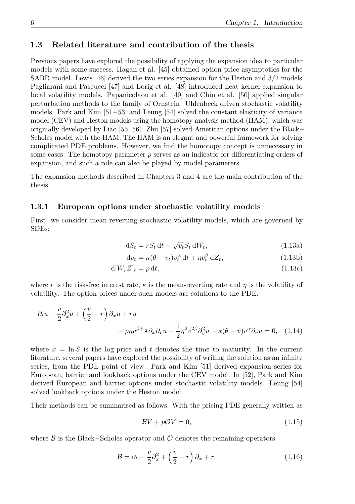## <span id="page-14-0"></span>**1.3 Related literature and contribution of the thesis**

Previous papers have explored the possibility of applying the expansion idea to particular models with some success. Hagan et al. [\[45\]](#page-110-6) obtained option price asymptotics for the SABR model. Lewis [\[46\]](#page-110-7) derived the two series expansion for the Heston and 3/2 models. Pagliarani and Pascucci [\[47\]](#page-110-8) and Lorig et al. [\[48\]](#page-110-9) introduced heat kernel expansion to local volatility models. Papanicolaou et al. [\[49\]](#page-110-10) and Chiu et al. [\[50\]](#page-110-11) applied singular perturbation methods to the family of Ornstein – Uhlenbeck driven stochastic volatility models. Park and Kim  $[51 - 53]$  $[51 - 53]$  $[51 - 53]$  and Leung  $[54]$  solved the constant elasticity of variance model (CEV) and Heston models using the homotopy analysis method (HAM), which was originally developed by Liao [\[55,](#page-111-2) [56\]](#page-111-3). Zhu [\[57\]](#page-111-4) solved American options under the Black – Scholes model with the HAM. The HAM is an elegant and powerful framework for solving complicated PDE problems. However, we find the homotopy concept is unnecessary in some cases. The homotopy parameter *p* serves as an indicator for differentiating orders of expansion, and such a role can also be played by model parameters.

The expansion methods described in Chapters [3](#page-37-0) and [4](#page-81-0) are the main contribution of the thesis.

#### **1.3.1 European options under stochastic volatility models**

First, we consider mean-reverting stochastic volatility models, which are governed by SDEs:

$$
dS_t = rS_t dt + \sqrt{v_t} S_t dW_t,
$$
\n(1.13a)

$$
dv_t = \kappa(\theta - v_t)v_t^{\alpha} dt + \eta v_t^{\beta} dZ_t, \qquad (1.13b)
$$

$$
d[W, Z]_t = \rho dt, \qquad (1.13c)
$$

where r is the risk-free interest rate,  $\kappa$  is the mean-reverting rate and  $\eta$  is the volatility of volatility. The option prices under such models are solutions to the PDE:

$$
\partial_t u - \frac{v}{2} \partial_x^2 u + \left(\frac{v}{2} - r\right) \partial_x u + ru
$$
  
-  $\rho \eta v^{\beta + \frac{1}{2}} \partial_x \partial_v u - \frac{1}{2} \eta^2 v^{\beta} \partial_v^2 u - \kappa (\theta - v) v^{\alpha} \partial_v u = 0,$  (1.14)

where  $x = \ln S$  is the log-price and t denotes the time to maturity. In the current literature, several papers have explored the possibility of writing the solution as an infinite series, from the PDE point of view. Park and Kim [\[51\]](#page-110-12) derived expansion series for European, barrier and lookback options under the CEV model. In [\[52\]](#page-111-5), Park and Kim derived European and barrier options under stochastic volatility models. Leung [\[54\]](#page-111-1) solved lookback options under the Heston model.

Their methods can be summarised as follows. With the pricing PDE generally written as

<span id="page-14-1"></span>
$$
BV + pOV = 0,\t(1.15)
$$

where  $\beta$  is the Black-Scholes operator and  $\mathcal O$  denotes the remaining operators

$$
\mathcal{B} = \partial_t - \frac{v}{2}\partial_x^2 + \left(\frac{v}{2} - r\right)\partial_x + r,\tag{1.16}
$$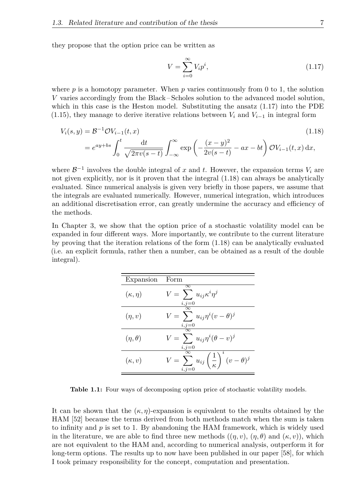they propose that the option price can be written as

<span id="page-15-1"></span><span id="page-15-0"></span>
$$
V = \sum_{i=0}^{\infty} V_i p^i,\tag{1.17}
$$

where  $p$  is a homotopy parameter. When  $p$  varies continuously from 0 to 1, the solution *V* varies accordingly from the Black – Scholes solution to the advanced model solution, which in this case is the Heston model. Substituting the ansatz  $(1.17)$  into the PDE [\(1.15\)](#page-14-1), they manage to derive iterative relations between  $V_i$  and  $V_{i-1}$  in integral form

$$
V_i(s, y) = \mathcal{B}^{-1} \mathcal{O} V_{i-1}(t, x)
$$
\n
$$
= e^{ay + bs} \int_0^t \frac{dt}{\sqrt{2\pi v(s - t)}} \int_{-\infty}^\infty \exp\left(-\frac{(x - y)^2}{2v(s - t)} - ax - bt\right) \mathcal{O} V_{i-1}(t, x) dx,
$$
\n(1.18)

where  $\mathcal{B}^{-1}$  involves the double integral of *x* and *t*. However, the expansion terms  $V_i$  are not given explicitly, nor is it proven that the integral [\(1.18\)](#page-15-1) can always be analytically evaluated. Since numerical analysis is given very briefly in those papers, we assume that the integrals are evaluated numerically. However, numerical integration, which introduces an additional discretisation error, can greatly undermine the accuracy and efficiency of the methods.

In Chapter [3,](#page-37-0) we show that the option price of a stochastic volatility model can be expanded in four different ways. More importantly, we contribute to the current literature by proving that the iteration relations of the form [\(1.18\)](#page-15-1) can be analytically evaluated (i.e. an explicit formula, rather then a number, can be obtained as a result of the double integral).

| Expansion        | Form                                                                      |
|------------------|---------------------------------------------------------------------------|
| $(\kappa, \eta)$ | $\infty$<br>$V = \sum u_{ij} \kappa^i \eta^j$<br>$i, j = 0$               |
| $(\eta, v)$      | $V = \sum u_{ij} \eta^i (v - \theta)^j$<br>$i, j = 0$                     |
| $(\eta, \theta)$ | $V = \sum u_{ij} \eta^i (\theta - v)^j$<br>$i,j=0$                        |
| $(\kappa, v)$    | $u_{ij}\left(\frac{1}{\kappa}\right)^i(v-\theta)^j$<br>$\overline{i,j=0}$ |

**Table 1.1:** Four ways of decomposing option price of stochastic volatility models.

It can be shown that the  $(\kappa, \eta)$ -expansion is equivalent to the results obtained by the HAM [\[52\]](#page-111-5) because the terms derived from both methods match when the sum is taken to infinity and  $p$  is set to 1. By abandoning the HAM framework, which is widely used in the literature, we are able to find three new methods  $((\eta, v), (\eta, \theta)$  and  $(\kappa, v))$ , which are not equivalent to the HAM and, according to numerical analysis, outperform it for long-term options. The results up to now have been published in our paper [\[58\]](#page-111-6), for which I took primary responsibility for the concept, computation and presentation.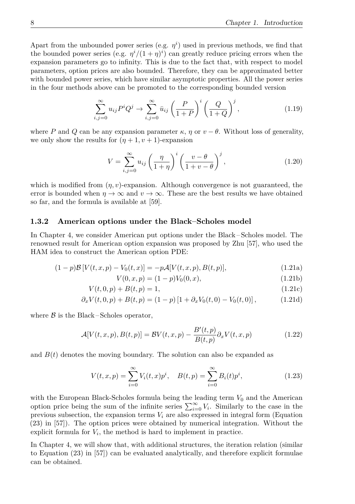Apart from the unbounded power series (e.g.  $\eta^i$ ) used in previous methods, we find that the bounded power series (e.g.  $\eta^{i}/(1 + \eta)^{i}$ ) can greatly reduce pricing errors when the expansion parameters go to infinity. This is due to the fact that, with respect to model parameters, option prices are also bounded. Therefore, they can be approximated better with bounded power series, which have similar asymptotic properties. All the power series in the four methods above can be promoted to the corresponding bounded version

$$
\sum_{i,j=0}^{\infty} u_{ij} P^i Q^j \to \sum_{i,j=0}^{\infty} \bar{u}_{ij} \left(\frac{P}{1+P}\right)^i \left(\frac{Q}{1+Q}\right)^j, \tag{1.19}
$$

where *P* and *Q* can be any expansion parameter  $\kappa$ ,  $\eta$  or  $v - \theta$ . Without loss of generality, we only show the results for  $(\eta + 1, v + 1)$ -expansion

$$
V = \sum_{i,j=0}^{\infty} u_{ij} \left(\frac{\eta}{1+\eta}\right)^i \left(\frac{v-\theta}{1+v-\theta}\right)^j, \qquad (1.20)
$$

which is modified from  $(\eta, v)$ -expansion. Although convergence is not guaranteed, the error is bounded when  $\eta \to \infty$  and  $v \to \infty$ . These are the best results we have obtained so far, and the formula is available at [\[59\]](#page-111-7).

#### **1.3.2 American options under the Black–Scholes model**

In Chapter [4,](#page-81-0) we consider American put options under the Black – Scholes model. The renowned result for American option expansion was proposed by Zhu [\[57\]](#page-111-4), who used the HAM idea to construct the American option PDE:

$$
(1-p)B[V(t, x, p) - V_0(t, x)] = -p\mathcal{A}[V(t, x, p), B(t, p)],
$$
\n(1.21a)

$$
V(0, x, p) = (1 - p)V_0(0, x),
$$
\n(1.21b)

$$
V(t,0,p) + B(t,p) = 1,
$$
\n(1.21c)

$$
\partial_x V(t,0,p) + B(t,p) = (1-p) [1 + \partial_x V_0(t,0) - V_0(t,0)], \qquad (1.21d)
$$

where  $\beta$  is the Black-Scholes operator,

$$
\mathcal{A}[V(t,x,p),B(t,p)] = \mathcal{B}V(t,x,p) - \frac{B'(t,p)}{B(t,p)}\partial_x V(t,x,p) \tag{1.22}
$$

and  $B(t)$  denotes the moving boundary. The solution can also be expanded as

$$
V(t, x, p) = \sum_{i=0}^{\infty} V_i(t, x) p^i, \quad B(t, p) = \sum_{i=0}^{\infty} B_i(t) p^i,
$$
 (1.23)

with the European Black-Scholes formula being the leading term  $V_0$  and the American option price being the sum of the infinite series  $\sum_{i=0}^{\infty} V_i$ . Similarly to the case in the previous subsection, the expansion terms  $V_i$  are also expressed in integral form (Equation (23) in [\[57\]](#page-111-4)). The option prices were obtained by numerical integration. Without the explicit formula for  $V_i$ , the method is hard to implement in practice.

In Chapter [4,](#page-81-0) we will show that, with additional structures, the iteration relation (similar to Equation (23) in [\[57\]](#page-111-4)) can be evaluated analytically, and therefore explicit formulae can be obtained.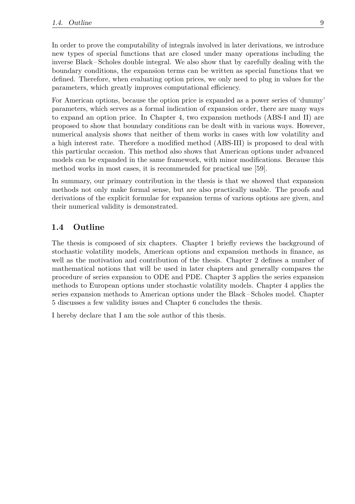In order to prove the computability of integrals involved in later derivations, we introduce new types of special functions that are closed under many operations including the inverse Black – Scholes double integral. We also show that by carefully dealing with the boundary conditions, the expansion terms can be written as special functions that we defined. Therefore, when evaluating option prices, we only need to plug in values for the parameters, which greatly improves computational efficiency.

For American options, because the option price is expanded as a power series of 'dummy' parameters, which serves as a formal indication of expansion order, there are many ways to expand an option price. In Chapter [4,](#page-81-0) two expansion methods (ABS-I and II) are proposed to show that boundary conditions can be dealt with in various ways. However, numerical analysis shows that neither of them works in cases with low volatility and a high interest rate. Therefore a modified method (ABS-III) is proposed to deal with this particular occasion. This method also shows that American options under advanced models can be expanded in the same framework, with minor modifications. Because this method works in most cases, it is recommended for practical use [\[59\]](#page-111-7).

In summary, our primary contribution in the thesis is that we showed that expansion methods not only make formal sense, but are also practically usable. The proofs and derivations of the explicit formulae for expansion terms of various options are given, and their numerical validity is demonstrated.

## <span id="page-17-0"></span>**1.4 Outline**

The thesis is composed of six chapters. Chapter [1](#page-9-0) briefly reviews the background of stochastic volatility models, American options and expansion methods in finance, as well as the motivation and contribution of the thesis. Chapter [2](#page-19-0) defines a number of mathematical notions that will be used in later chapters and generally compares the procedure of series expansion to ODE and PDE. Chapter [3](#page-37-0) applies the series expansion methods to European options under stochastic volatility models. Chapter [4](#page-81-0) applies the series expansion methods to American options under the Black – Scholes model. Chapter [5](#page-101-0) discusses a few validity issues and Chapter [6](#page-105-0) concludes the thesis.

I hereby declare that I am the sole author of this thesis.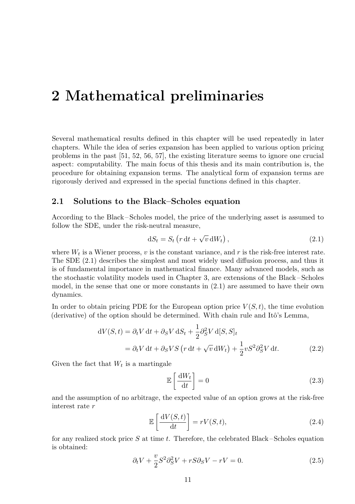## <span id="page-19-0"></span>**2 Mathematical preliminaries**

Several mathematical results defined in this chapter will be used repeatedly in later chapters. While the idea of series expansion has been applied to various option pricing problems in the past [\[51,](#page-110-12) [52,](#page-111-5) [56,](#page-111-3) [57\]](#page-111-4), the existing literature seems to ignore one crucial aspect: computability. The main focus of this thesis and its main contribution is, the procedure for obtaining expansion terms. The analytical form of expansion terms are rigorously derived and expressed in the special functions defined in this chapter.

### <span id="page-19-1"></span>**2.1 Solutions to the Black–Scholes equation**

According to the Black – Scholes model, the price of the underlying asset is assumed to follow the SDE, under the risk-neutral measure,

<span id="page-19-2"></span>
$$
dS_t = S_t \left( r \, dt + \sqrt{v} \, dW_t \right),\tag{2.1}
$$

where  $W_t$  is a Wiener process,  $v$  is the constant variance, and  $r$  is the risk-free interest rate. The SDE [\(2.1\)](#page-19-2) describes the simplest and most widely used diffusion process, and thus it is of fundamental importance in mathematical finance. Many advanced models, such as the stochastic volatility models used in Chapter [3,](#page-37-0) are extensions of the Black – Scholes model, in the sense that one or more constants in [\(2.1\)](#page-19-2) are assumed to have their own dynamics.

In order to obtain pricing PDE for the European option price  $V(S, t)$ , the time evolution (derivative) of the option should be determined. With chain rule and Itô's Lemma,

$$
dV(S,t) = \partial_t V dt + \partial_S V dS_t + \frac{1}{2} \partial_S^2 V d[S, S]_t
$$
  
=  $\partial_t V dt + \partial_S V S (r dt + \sqrt{v} dW_t) + \frac{1}{2} v S^2 \partial_S^2 V dt.$  (2.2)

Given the fact that  $W_t$  is a martingale

$$
\mathbb{E}\left[\frac{\mathrm{d}W_t}{\mathrm{d}t}\right] = 0\tag{2.3}
$$

and the assumption of no arbitrage, the expected value of an option grows at the risk-free interest rate *r*

$$
\mathbb{E}\left[\frac{\mathrm{d}V(S,t)}{\mathrm{d}t}\right] = rV(S,t),\tag{2.4}
$$

for any realized stock price *S* at time *t*. Therefore, the celebrated Black – Scholes equation is obtained:

$$
\partial_t V + \frac{v}{2} S^2 \partial_S^2 V + r S \partial_S V - r V = 0. \tag{2.5}
$$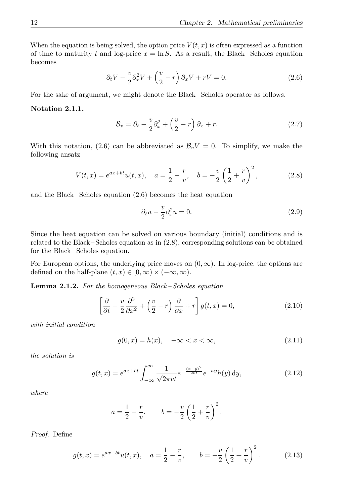When the equation is being solved, the option price  $V(t, x)$  is often expressed as a function of time to maturity *t* and log-price  $x = \ln S$ . As a result, the Black-Scholes equation becomes

$$
\partial_t V - \frac{v}{2} \partial_x^2 V + \left(\frac{v}{2} - r\right) \partial_x V + rV = 0.
$$
\n(2.6)

For the sake of argument, we might denote the Black – Scholes operator as follows.

#### **Notation 2.1.1.**

<span id="page-20-0"></span>
$$
\mathcal{B}_v = \partial_t - \frac{v}{2}\partial_x^2 + \left(\frac{v}{2} - r\right)\partial_x + r.
$$
 (2.7)

With this notation, [\(2.6\)](#page-20-0) can be abbreviated as  $\mathcal{B}_v V = 0$ . To simplify, we make the following ansatz

$$
V(t,x) = e^{ax + bt}u(t,x), \quad a = \frac{1}{2} - \frac{r}{v}, \quad b = -\frac{v}{2}\left(\frac{1}{2} + \frac{r}{v}\right)^2, \tag{2.8}
$$

and the Black – Scholes equation [\(2.6\)](#page-20-0) becomes the heat equation

<span id="page-20-2"></span><span id="page-20-1"></span>
$$
\partial_t u - \frac{v}{2} \partial_x^2 u = 0. \tag{2.9}
$$

Since the heat equation can be solved on various boundary (initial) conditions and is related to the Black – Scholes equation as in [\(2.8\)](#page-20-1), corresponding solutions can be obtained for the Black – Scholes equation.

For European options, the underlying price moves on  $(0, \infty)$ . In log-price, the options are defined on the half-plane  $(t, x) \in [0, \infty) \times (-\infty, \infty)$ .

<span id="page-20-4"></span>**Lemma 2.1.2.** *For the homogeneous Black – Scholes equation*

$$
\left[\frac{\partial}{\partial t} - \frac{v}{2} \frac{\partial^2}{\partial x^2} + \left(\frac{v}{2} - r\right) \frac{\partial}{\partial x} + r\right] g(t, x) = 0,
$$
\n(2.10)

*with initial condition*

<span id="page-20-3"></span>
$$
g(0,x) = h(x), \quad -\infty < x < \infty,\tag{2.11}
$$

*the solution is*

$$
g(t,x) = e^{ax+bt} \int_{-\infty}^{\infty} \frac{1}{\sqrt{2\pi vt}} e^{-\frac{(x-y)^2}{2vt}} e^{-ay} h(y) dy,
$$
 (2.12)

*where*

$$
a = \frac{1}{2} - \frac{r}{v},
$$
  $b = -\frac{v}{2} \left( \frac{1}{2} + \frac{r}{v} \right)^2.$ 

*Proof.* Define

$$
g(t,x) = e^{ax + bt}u(t,x), \quad a = \frac{1}{2} - \frac{r}{v}, \qquad b = -\frac{v}{2}\left(\frac{1}{2} + \frac{r}{v}\right)^2.
$$
 (2.13)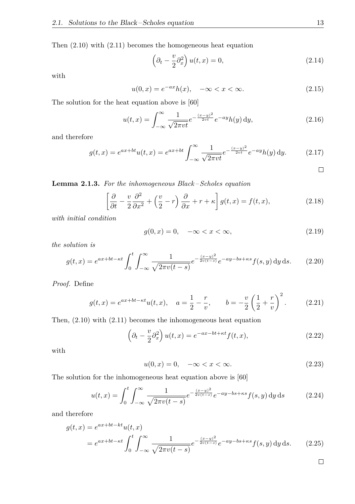Then [\(2.10\)](#page-20-2) with [\(2.11\)](#page-20-3) becomes the homogeneous heat equation

$$
\left(\partial_t - \frac{v}{2}\partial_x^2\right)u(t, x) = 0,\tag{2.14}
$$

with

$$
u(0, x) = e^{-ax}h(x), \quad -\infty < x < \infty. \tag{2.15}
$$

The solution for the heat equation above is [\[60\]](#page-111-8)

$$
u(t,x) = \int_{-\infty}^{\infty} \frac{1}{\sqrt{2\pi vt}} e^{-\frac{(x-y)^2}{2vt}} e^{-ay} h(y) \, dy,\tag{2.16}
$$

and therefore

$$
g(t,x) = e^{ax + bt}u(t,x) = e^{ax + bt} \int_{-\infty}^{\infty} \frac{1}{\sqrt{2\pi vt}} e^{-\frac{(x-y)^2}{2vt}} e^{-ay}h(y) dy.
$$
 (2.17)

<span id="page-21-0"></span>**Lemma 2.1.3.** *For the inhomogeneous Black – Scholes equation*

$$
\left[\frac{\partial}{\partial t} - \frac{v}{2} \frac{\partial^2}{\partial x^2} + \left(\frac{v}{2} - r\right) \frac{\partial}{\partial x} + r + \kappa\right] g(t, x) = f(t, x),\tag{2.18}
$$

*with initial condition*

$$
g(0,x) = 0, \quad -\infty < x < \infty,\tag{2.19}
$$

*the solution is*

$$
g(t,x) = e^{ax + bt - \kappa t} \int_0^t \int_{-\infty}^{\infty} \frac{1}{\sqrt{2\pi v(t-s)}} e^{-\frac{(x-y)^2}{2v(t-s)}} e^{-ay - bs + \kappa s} f(s, y) \, dy \, ds. \tag{2.20}
$$

*Proof.* Define

$$
g(t,x) = e^{ax + bt - \kappa t} u(t,x), \quad a = \frac{1}{2} - \frac{r}{v}, \qquad b = -\frac{v}{2} \left(\frac{1}{2} + \frac{r}{v}\right)^2.
$$
 (2.21)

Then, [\(2.10\)](#page-20-2) with [\(2.11\)](#page-20-3) becomes the inhomogeneous heat equation

$$
\left(\partial_t - \frac{v}{2}\partial_x^2\right)u(t, x) = e^{-ax - bt + \kappa t}f(t, x),\tag{2.22}
$$

with

$$
u(0,x) = 0, \quad -\infty < x < \infty. \tag{2.23}
$$

The solution for the inhomogeneous heat equation above is [\[60\]](#page-111-8)

$$
u(t,x) = \int_0^t \int_{-\infty}^{\infty} \frac{1}{\sqrt{2\pi v(t-s)}} e^{-\frac{(x-y)^2}{2v(t-s)}} e^{-ay - bs + \kappa s} f(s,y) \, dy \, ds \tag{2.24}
$$

and therefore

$$
g(t,x) = e^{ax + bt - kt} u(t,x)
$$
  
=  $e^{ax + bt - \kappa t} \int_0^t \int_{-\infty}^{\infty} \frac{1}{\sqrt{2\pi v(t-s)}} e^{-\frac{(x-y)^2}{2v(t-s)}} e^{-ay - bs + \kappa s} f(s, y) dy ds.$  (2.25)

 $\Box$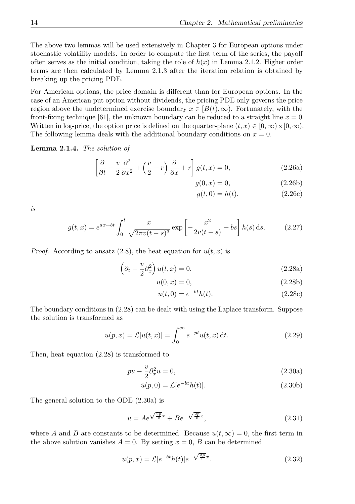The above two lemmas will be used extensively in Chapter [3](#page-37-0) for European options under stochastic volatility models. In order to compute the first term of the series, the payoff often serves as the initial condition, taking the role of  $h(x)$  in Lemma [2.1.2.](#page-20-4) Higher order terms are then calculated by Lemma [2.1.3](#page-21-0) after the iteration relation is obtained by breaking up the pricing PDE.

For American options, the price domain is different than for European options. In the case of an American put option without dividends, the pricing PDE only governs the price region above the undetermined exercise boundary  $x \in [B(t), \infty)$ . Fortunately, with the front-fixing technique [\[61\]](#page-111-9), the unknown boundary can be reduced to a straight line  $x = 0$ . Written in log-price, the option price is defined on the quarter-plane  $(t, x) \in [0, \infty) \times [0, \infty)$ . The following lemma deals with the additional boundary conditions on  $x = 0$ .

**Lemma 2.1.4.** *The solution of*

$$
\left[\frac{\partial}{\partial t} - \frac{v}{2} \frac{\partial^2}{\partial x^2} + \left(\frac{v}{2} - r\right) \frac{\partial}{\partial x} + r\right] g(t, x) = 0, \tag{2.26a}
$$

$$
g(0, x) = 0,\t(2.26b)
$$

<span id="page-22-0"></span>
$$
g(t,0) = h(t),
$$
 (2.26c)

*is*

$$
g(t,x) = e^{ax+bt} \int_0^t \frac{x}{\sqrt{2\pi v(t-s)^3}} \exp\left[-\frac{x^2}{2v(t-s)} - bs\right] h(s) \,ds. \tag{2.27}
$$

*Proof.* According to ansatz  $(2.8)$ , the heat equation for  $u(t, x)$  is

$$
\left(\partial_t - \frac{v}{2}\partial_x^2\right)u(t, x) = 0,
$$
\n(2.28a)

$$
u(0, x) = 0,\t(2.28b)
$$

$$
u(t,0) = e^{-bt}h(t).
$$
 (2.28c)

The boundary conditions in [\(2.28\)](#page-22-0) can be dealt with using the Laplace transform. Suppose the solution is transformed as

$$
\bar{u}(p,x) = \mathcal{L}[u(t,x)] = \int_0^\infty e^{-pt} u(t,x) \, \mathrm{d}t. \tag{2.29}
$$

Then, heat equation [\(2.28\)](#page-22-0) is transformed to

$$
p\bar{u} - \frac{v}{2}\partial_x^2 \bar{u} = 0,\tag{2.30a}
$$

<span id="page-22-1"></span>
$$
\bar{u}(p,0) = \mathcal{L}[e^{-bt}h(t)].
$$
\n(2.30b)

The general solution to the ODE [\(2.30a\)](#page-22-1) is

$$
\bar{u} = Ae^{\sqrt{\frac{2p}{v}}x} + Be^{-\sqrt{\frac{2p}{v}}x},\tag{2.31}
$$

where *A* and *B* are constants to be determined. Because  $u(t, \infty) = 0$ , the first term in the above solution vanishes  $A = 0$ . By setting  $x = 0$ , *B* can be determined

$$
\bar{u}(p,x) = \mathcal{L}[e^{-bt}h(t)]e^{-\sqrt{\frac{2p}{v}}x}.
$$
\n(2.32)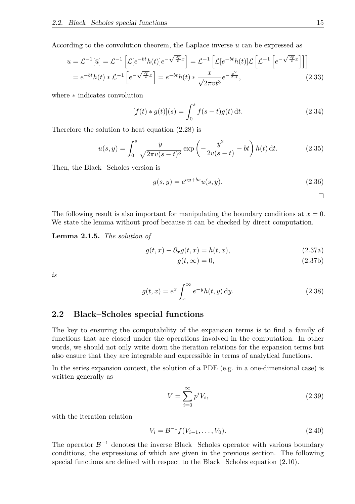According to the convolution theorem, the Laplace inverse *u* can be expressed as

$$
u = \mathcal{L}^{-1}[\bar{u}] = \mathcal{L}^{-1}\left[\mathcal{L}[e^{-bt}h(t)]e^{-\sqrt{\frac{2p}{v}}x}\right] = \mathcal{L}^{-1}\left[\mathcal{L}[e^{-bt}h(t)]\mathcal{L}\left[\mathcal{L}^{-1}\left[e^{-\sqrt{\frac{2p}{v}}x}\right]\right]\right]
$$

$$
= e^{-bt}h(t) * \mathcal{L}^{-1}\left[e^{-\sqrt{\frac{2p}{v}}x}\right] = e^{-bt}h(t) * \frac{x}{\sqrt{2\pi vt^3}}e^{-\frac{x^2}{2vt}},\tag{2.33}
$$

where ∗ indicates convolution

$$
[f(t) * g(t)](s) = \int_0^s f(s-t)g(t) dt.
$$
 (2.34)

Therefore the solution to heat equation [\(2.28\)](#page-22-0) is

$$
u(s,y) = \int_0^s \frac{y}{\sqrt{2\pi v(s-t)^3}} \exp\left(-\frac{y^2}{2v(s-t)} - bt\right) h(t) dt.
$$
 (2.35)

Then, the Black – Scholes version is

$$
g(s, y) = e^{ay + bs} u(s, y).
$$
 (2.36)

 $\Box$ 

The following result is also important for manipulating the boundary conditions at *x* = 0. We state the lemma without proof because it can be checked by direct computation.

**Lemma 2.1.5.** *The solution of*

$$
g(t,x) - \partial_x g(t,x) = h(t,x),\tag{2.37a}
$$

$$
g(t, \infty) = 0,\t(2.37b)
$$

*is*

$$
g(t,x) = e^x \int_x^{\infty} e^{-y} h(t,y) dy.
$$
 (2.38)

## <span id="page-23-0"></span>**2.2 Black–Scholes special functions**

The key to ensuring the computability of the expansion terms is to find a family of functions that are closed under the operations involved in the computation. In other words, we should not only write down the iteration relations for the expansion terms but also ensure that they are integrable and expressible in terms of analytical functions.

In the series expansion context, the solution of a PDE (e.g. in a one-dimensional case) is written generally as

$$
V = \sum_{i=0}^{\infty} p^i V_i,
$$
\n(2.39)

with the iteration relation

$$
V_i = \mathcal{B}^{-1} f(V_{i-1}, \dots, V_0). \tag{2.40}
$$

The operator  $\mathcal{B}^{-1}$  denotes the inverse Black–Scholes operator with various boundary conditions, the expressions of which are given in the previous section. The following special functions are defined with respect to the Black – Scholes equation [\(2.10\)](#page-20-2).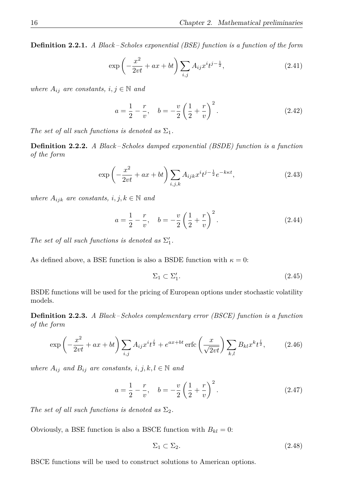**Definition 2.2.1.** *A Black – Scholes exponential (BSE) function is a function of the form*

$$
\exp\left(-\frac{x^2}{2vt} + ax + bt\right) \sum_{i,j} A_{ij} x^i t^{j - \frac{1}{2}},\tag{2.41}
$$

*where*  $A_{ij}$  *are constants,*  $i, j \in \mathbb{N}$  *and* 

$$
a = \frac{1}{2} - \frac{r}{v}, \quad b = -\frac{v}{2} \left(\frac{1}{2} + \frac{r}{v}\right)^2.
$$
 (2.42)

*The set of all such functions is denoted as*  $\Sigma_1$ *.* 

**Definition 2.2.2.** *A Black – Scholes damped exponential (BSDE) function is a function of the form*

$$
\exp\left(-\frac{x^2}{2vt} + ax + bt\right) \sum_{i,j,k} A_{ijk} x^i t^{j-\frac{1}{2}} e^{-k\kappa t},\tag{2.43}
$$

*where*  $A_{ijk}$  *are constants,*  $i, j, k \in \mathbb{N}$  *and* 

$$
a = \frac{1}{2} - \frac{r}{v}, \quad b = -\frac{v}{2} \left(\frac{1}{2} + \frac{r}{v}\right)^2.
$$
 (2.44)

*The set of all such functions is denoted as*  $\Sigma'_1$ *.* 

As defined above, a BSE function is also a BSDE function with  $\kappa = 0$ :

$$
\Sigma_1 \subset \Sigma_1'.\tag{2.45}
$$

BSDE functions will be used for the pricing of European options under stochastic volatility models.

**Definition 2.2.3.** *A Black – Scholes complementary error (BSCE) function is a function of the form*

$$
\exp\left(-\frac{x^2}{2vt} + ax + bt\right) \sum_{i,j} A_{ij} x^i t^{\frac{j}{2}} + e^{ax + bt} \operatorname{erfc}\left(\frac{x}{\sqrt{2vt}}\right) \sum_{k,l} B_{kl} x^k t^{\frac{l}{2}},\tag{2.46}
$$

*where*  $A_{ij}$  *and*  $B_{ij}$  *are constants,*  $i, j, k, l \in \mathbb{N}$  *and* 

$$
a = \frac{1}{2} - \frac{r}{v}, \quad b = -\frac{v}{2} \left(\frac{1}{2} + \frac{r}{v}\right)^2.
$$
 (2.47)

*The set of all such functions is denoted as*  $\Sigma_2$ *.* 

Obviously, a BSE function is also a BSCE function with  $B_{kl} = 0$ :

$$
\Sigma_1 \subset \Sigma_2. \tag{2.48}
$$

BSCE functions will be used to construct solutions to American options.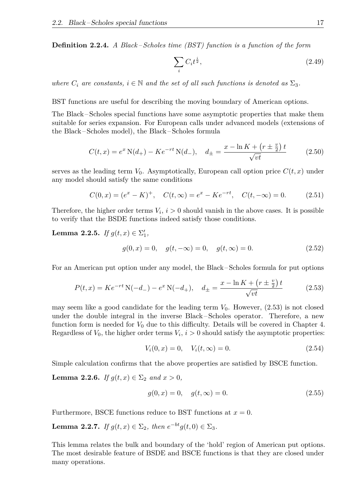**Definition 2.2.4.** *A Black – Scholes time (BST) function is a function of the form*

$$
\sum_{i} C_i t^{\frac{i}{2}},\tag{2.49}
$$

*where*  $C_i$  *are constants,*  $i \in \mathbb{N}$  *and the set of all such functions is denoted as*  $\Sigma_3$ *.* 

BST functions are useful for describing the moving boundary of American options.

The Black – Scholes special functions have some asymptotic properties that make them suitable for series expansion. For European calls under advanced models (extensions of the Black – Scholes model), the Black – Scholes formula

$$
C(t,x) = e^x N(d_+) - Ke^{-rt} N(d_-), \quad d_{\pm} = \frac{x - \ln K + (r \pm \frac{v}{2}) t}{\sqrt{vt}}
$$
(2.50)

serves as the leading term  $V_0$ . Asymptotically, European call option price  $C(t, x)$  under any model should satisfy the same conditions

$$
C(0, x) = (e^x - K)^+, \quad C(t, \infty) = e^x - Ke^{-rt}, \quad C(t, -\infty) = 0.
$$
 (2.51)

Therefore, the higher order terms  $V_i$ ,  $i > 0$  should vanish in the above cases. It is possible to verify that the BSDE functions indeed satisfy those conditions.

**Lemma 2.2.5.** *If*  $g(t, x) \in \Sigma'_1$ ,

$$
g(0, x) = 0, \quad g(t, -\infty) = 0, \quad g(t, \infty) = 0.
$$
\n(2.52)

For an American put option under any model, the Black – Scholes formula for put options

$$
P(t,x) = Ke^{-rt} \mathcal{N}(-d_-) - e^x \mathcal{N}(-d_+), \quad d_{\pm} = \frac{x - \ln K + (r \pm \frac{v}{2})t}{\sqrt{vt}}
$$
(2.53)

may seem like a good candidate for the leading term  $V_0$ . However,  $(2.53)$  is not closed under the double integral in the inverse Black – Scholes operator. Therefore, a new function form is needed for *V*<sup>0</sup> due to this difficulty. Details will be covered in Chapter [4.](#page-81-0) Regardless of  $V_0$ , the higher order terms  $V_i$ ,  $i > 0$  should satisfy the asymptotic properties:

<span id="page-25-0"></span>
$$
V_i(0, x) = 0, \quad V_i(t, \infty) = 0.
$$
\n(2.54)

Simple calculation confirms that the above properties are satisfied by BSCE function.

**Lemma 2.2.6.** *If*  $g(t, x) \in \Sigma_2$  *and*  $x > 0$ *,* 

$$
g(0, x) = 0, \quad g(t, \infty) = 0.
$$
\n(2.55)

Furthermore, BSCE functions reduce to BST functions at  $x = 0$ .

**Lemma 2.2.7.** *If*  $g(t, x) \in \Sigma_2$ , then  $e^{-bt}g(t, 0) \in \Sigma_3$ .

<span id="page-25-1"></span>This lemma relates the bulk and boundary of the 'hold' region of American put options. The most desirable feature of BSDE and BSCE functions is that they are closed under many operations.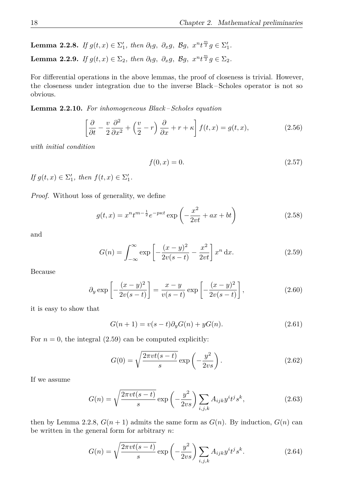<span id="page-26-1"></span>**Lemma 2.2.8.** *If*  $g(t, x) \in \Sigma'_1$ , then  $\partial_t g$ ,  $\partial_x g$ ,  $\mathcal{B}g$ ,  $x^n t^{\frac{m}{2}} g \in \Sigma'_1$ . **Lemma 2.2.9.** *If*  $g(t, x) \in \Sigma_2$ , then  $\partial_t g$ ,  $\partial_x g$ ,  $\mathcal{B}g$ ,  $x^n t^{\frac{m}{2}} g \in \Sigma_2$ .

For differential operations in the above lemmas, the proof of closeness is trivial. However, the closeness under integration due to the inverse Black – Scholes operator is not so obvious.

<span id="page-26-2"></span>**Lemma 2.2.10.** *For inhomogeneous Black – Scholes equation*

$$
\left[\frac{\partial}{\partial t} - \frac{v}{2} \frac{\partial^2}{\partial x^2} + \left(\frac{v}{2} - r\right) \frac{\partial}{\partial x} + r + \kappa\right] f(t, x) = g(t, x),\tag{2.56}
$$

*with initial condition*

<span id="page-26-0"></span>
$$
f(0, x) = 0.\t(2.57)
$$

*If*  $g(t, x) \in \Sigma'_1$ , then  $f(t, x) \in \Sigma'_1$ .

*Proof.* Without loss of generality, we define

$$
g(t,x) = x^{n}t^{m-\frac{1}{2}}e^{-p\kappa t} \exp\left(-\frac{x^{2}}{2vt} + ax + bt\right)
$$
 (2.58)

and

$$
G(n) = \int_{-\infty}^{\infty} \exp\left[ -\frac{(x-y)^2}{2v(s-t)} - \frac{x^2}{2vt} \right] x^n \, \mathrm{d}x. \tag{2.59}
$$

Because

$$
\partial_y \exp\left[-\frac{(x-y)^2}{2v(s-t)}\right] = \frac{x-y}{v(s-t)} \exp\left[-\frac{(x-y)^2}{2v(s-t)}\right],\tag{2.60}
$$

it is easy to show that

$$
G(n + 1) = v(s - t)\partial_y G(n) + yG(n).
$$
 (2.61)

For  $n = 0$ , the integral  $(2.59)$  can be computed explicitly:

$$
G(0) = \sqrt{\frac{2\pi vt(s-t)}{s}} \exp\left(-\frac{y^2}{2vs}\right). \tag{2.62}
$$

If we assume

$$
G(n) = \sqrt{\frac{2\pi vt(s-t)}{s}} \exp\left(-\frac{y^2}{2vs}\right) \sum_{i,j,k} A_{ijk} y^i t^j s^k,
$$
\n(2.63)

then by Lemma [2.2.8,](#page-25-1)  $G(n+1)$  admits the same form as  $G(n)$ . By induction,  $G(n)$  can be written in the general form for arbitrary *n*:

$$
G(n) = \sqrt{\frac{2\pi vt(s-t)}{s}} \exp\left(-\frac{y^2}{2vs}\right) \sum_{i,j,k} A_{ijk} y^i t^j s^k.
$$
 (2.64)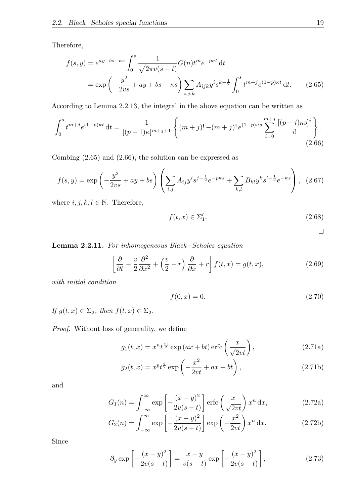Therefore,

$$
f(s,y) = e^{ay + bs - \kappa s} \int_0^s \frac{1}{\sqrt{2\pi v(s-t)}} G(n) t^m e^{-p\kappa t} dt
$$
  
=  $\exp\left(-\frac{y^2}{2vs} + ay + bs - \kappa s\right) \sum_{i,j,k} A_{ijk} y^i s^{k-\frac{1}{2}} \int_0^s t^{m+j} e^{(1-p)\kappa t} dt.$  (2.65)

According to Lemma [2.2.13,](#page-28-0) the integral in the above equation can be written as

$$
\int_0^s t^{m+j} e^{(1-p)\kappa t} dt = \frac{1}{[(p-1)\kappa]^{m+j+1}} \left\{ (m+j)! - (m+j)! e^{(1-p)\kappa s} \sum_{i=0}^{m+j} \frac{[(p-i)\kappa s]^i}{i!} \right\}.
$$
\n(2.66)

Combing [\(2.65\)](#page-27-0) and [\(2.66\)](#page-27-1), the solution can be expressed as

$$
f(s,y) = \exp\left(-\frac{y^2}{2vs} + ay + bs\right) \left(\sum_{i,j} A_{ij} y^i s^{j-\frac{1}{2}} e^{-p\kappa s} + \sum_{k,l} B_{kl} y^k s^{l-\frac{1}{2}} e^{-\kappa s}\right), \tag{2.67}
$$

where  $i, j, k, l \in \mathbb{N}$ . Therefore,

$$
f(t,x) \in \Sigma_1'.\tag{2.68}
$$

<span id="page-27-1"></span><span id="page-27-0"></span> $\Box$ 

**Lemma 2.2.11.** *For inhomogeneous Black – Scholes equation*

$$
\left[\frac{\partial}{\partial t} - \frac{v}{2} \frac{\partial^2}{\partial x^2} + \left(\frac{v}{2} - r\right) \frac{\partial}{\partial x} + r\right] f(t, x) = g(t, x),\tag{2.69}
$$

*with initial condition*

$$
f(0, x) = 0.\t(2.70)
$$

*If*  $g(t, x) \in \Sigma_2$ , then  $f(t, x) \in \Sigma_2$ .

*Proof.* Without loss of generality, we define

$$
g_1(t,x) = x^n t^{\frac{m}{2}} \exp\left(ax + bt\right) \text{erfc}\left(\frac{x}{\sqrt{2vt}}\right),\tag{2.71a}
$$

$$
g_2(t,x) = x^p t^{\frac{q}{2}} \exp\left(-\frac{x^2}{2vt} + ax + bt\right),
$$
 (2.71b)

<span id="page-27-2"></span>and

$$
G_1(n) = \int_{-\infty}^{\infty} \exp\left[-\frac{(x-y)^2}{2v(s-t)}\right] \operatorname{erfc}\left(\frac{x}{\sqrt{2vt}}\right) x^n \, \mathrm{d}x,\tag{2.72a}
$$

$$
G_2(n) = \int_{-\infty}^{\infty} \exp\left[-\frac{(x-y)^2}{2v(s-t)}\right] \exp\left(-\frac{x^2}{2vt}\right) x^n dx.
$$
 (2.72b)

Since

$$
\partial_y \exp\left[-\frac{(x-y)^2}{2v(s-t)}\right] = \frac{x-y}{v(s-t)} \exp\left[-\frac{(x-y)^2}{2v(s-t)}\right],\tag{2.73}
$$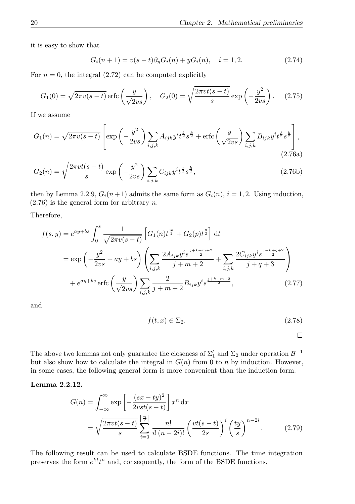it is easy to show that

$$
G_i(n+1) = v(s-t)\partial_y G_i(n) + yG_i(n), \quad i = 1, 2.
$$
 (2.74)

For  $n = 0$ , the integral  $(2.72)$  can be computed explicitly

<span id="page-28-1"></span>
$$
G_1(0) = \sqrt{2\pi v(s-t)} \operatorname{erfc}\left(\frac{y}{\sqrt{2vs}}\right), \quad G_2(0) = \sqrt{\frac{2\pi vt(s-t)}{s}} \exp\left(-\frac{y^2}{2vs}\right). \tag{2.75}
$$

If we assume

$$
G_1(n) = \sqrt{2\pi v(s-t)} \left[ \exp\left(-\frac{y^2}{2vs}\right) \sum_{i,j,k} A_{ijk} y^i t^{\frac{j}{2}} s^{\frac{k}{2}} + \text{erfc}\left(\frac{y}{\sqrt{2vs}}\right) \sum_{i,j,k} B_{ijk} y^i t^{\frac{j}{2}} s^{\frac{k}{2}} \right],\tag{2.76a}
$$

$$
G_2(n) = \sqrt{\frac{2\pi vt(s-t)}{s}} \exp\left(-\frac{y^2}{2vs}\right) \sum_{i,j,k} C_{ijk} y^i t^{\frac{j}{2}} s^{\frac{k}{2}},\tag{2.76b}
$$

then by Lemma [2.2.9,](#page-26-1)  $G_i(n+1)$  admits the same form as  $G_i(n)$ ,  $i = 1, 2$ . Using induction, [\(2.76\)](#page-28-1) is the general form for arbitrary *n*.

Therefore,

$$
f(s,y) = e^{ay+bs} \int_0^s \frac{1}{\sqrt{2\pi v(s-t)}} \left[ G_1(n)t^{\frac{m}{2}} + G_2(p)t^{\frac{q}{2}} \right] dt
$$
  
=  $\exp\left(-\frac{y^2}{2vs} + ay + bs\right) \left( \sum_{i,j,k} \frac{2A_{ijk}y^is^{\frac{j+k+m+2}{2}}}{j+m+2} + \sum_{i,j,k} \frac{2C_{ijk}y^is^{\frac{j+k+q+2}{2}}}{j+q+3} \right)$   
+  $e^{ay+bs} \operatorname{erfc}\left(\frac{y}{\sqrt{2vs}}\right) \sum_{i,j,k} \frac{2}{j+m+2} B_{ijk}y^is^{\frac{j+k+m+2}{2}},$  (2.77)

and

$$
f(t, x) \in \Sigma_2. \tag{2.78}
$$

 $\Box$ 

The above two lemmas not only guarantee the closeness of  $\Sigma'_1$  and  $\Sigma_2$  under operation  $\mathcal{B}^{-1}$ but also show how to calculate the integral in  $G(n)$  from 0 to *n* by induction. However, in some cases, the following general form is more convenient than the induction form.

#### **Lemma 2.2.12.**

$$
G(n) = \int_{-\infty}^{\infty} \exp\left[-\frac{(sx - ty)^2}{2vst(s - t)}\right] x^n dx
$$
  
= 
$$
\sqrt{\frac{2\pi vt(s - t)}{s}} \sum_{i=0}^{\lfloor \frac{n}{2} \rfloor} \frac{n!}{i!(n - 2i)!} \left(\frac{vt(s - t)}{2s}\right)^i \left(\frac{ty}{s}\right)^{n - 2i}.
$$
 (2.79)

<span id="page-28-0"></span>The following result can be used to calculate BSDE functions. The time integration preserves the form  $e^{kt}t^n$  and, consequently, the form of the BSDE functions.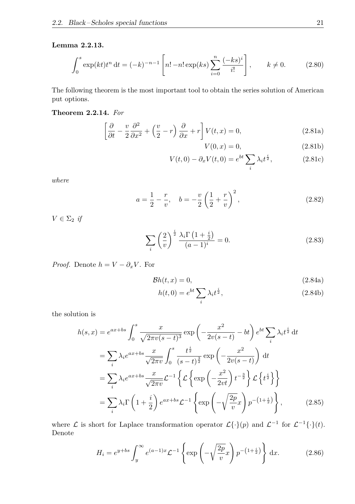### **Lemma 2.2.13.**

$$
\int_0^s \exp(kt)t^n dt = (-k)^{-n-1} \left[ n! - n! \exp(ks) \sum_{i=0}^n \frac{(-ks)^i}{i!} \right], \qquad k \neq 0.
$$
 (2.80)

The following theorem is the most important tool to obtain the series solution of American put options.

### **Theorem 2.2.14.** *For*

$$
\left[\frac{\partial}{\partial t} - \frac{v}{2} \frac{\partial^2}{\partial x^2} + \left(\frac{v}{2} - r\right) \frac{\partial}{\partial x} + r\right] V(t, x) = 0,
$$
\n(2.81a)

$$
V(0, x) = 0,\t(2.81b)
$$

$$
V(t,0) - \partial_x V(t,0) = e^{bt} \sum_i \lambda_i t^{\frac{i}{2}}, \qquad (2.81c)
$$

*where*

$$
a = \frac{1}{2} - \frac{r}{v}, \quad b = -\frac{v}{2} \left(\frac{1}{2} + \frac{r}{v}\right)^2, \tag{2.82}
$$

 $V \in \Sigma_2$  *if* 

$$
\sum_{i} \left(\frac{2}{v}\right)^{\frac{i}{2}} \frac{\lambda_i \Gamma\left(1 + \frac{i}{2}\right)}{(a-1)^i} = 0.
$$
\n(2.83)

*Proof.* Denote  $h = V - \partial_x V$ . For

$$
\mathcal{B}h(t,x) = 0,\tag{2.84a}
$$

$$
h(t,0) = e^{bt} \sum_{i} \lambda_i t^{\frac{i}{2}}, \qquad (2.84b)
$$

the solution is

$$
h(s,x) = e^{ax+bs} \int_0^s \frac{x}{\sqrt{2\pi v(s-t)^3}} \exp\left(-\frac{x^2}{2v(s-t)} - bt\right) e^{bt} \sum_i \lambda_i t^{\frac{i}{2}} dt
$$
  

$$
= \sum_i \lambda_i e^{ax+bs} \frac{x}{\sqrt{2\pi v}} \int_0^s \frac{t^{\frac{i}{2}}}{(s-t)^{\frac{3}{2}}} \exp\left(-\frac{x^2}{2v(s-t)}\right) dt
$$
  

$$
= \sum_i \lambda_i e^{ax+bs} \frac{x}{\sqrt{2\pi v}} \mathcal{L}^{-1} \left\{ \mathcal{L} \left\{ \exp\left(-\frac{x^2}{2vt}\right) t^{-\frac{3}{2}} \right\} \mathcal{L} \left\{ t^{\frac{i}{2}} \right\} \right\}
$$
  

$$
= \sum_i \lambda_i \Gamma\left(1 + \frac{i}{2}\right) e^{ax+bs} \mathcal{L}^{-1} \left\{ \exp\left(-\sqrt{\frac{2p}{v}}x\right) p^{-\left(1 + \frac{i}{2}\right)} \right\}, \tag{2.85}
$$

where  $\mathcal L$  is short for Laplace transformation operator  $\mathcal L{\{\cdot\}}(p)$  and  $\mathcal L^{-1}$  for  $\mathcal L^{-1}{\{\cdot\}}(t)$ . Denote

$$
H_i = e^{y + bs} \int_y^{\infty} e^{(a-1)x} \mathcal{L}^{-1} \left\{ \exp\left(-\sqrt{\frac{2p}{v}}x\right) p^{-\left(1+\frac{i}{2}\right)} \right\} dx.
$$
 (2.86)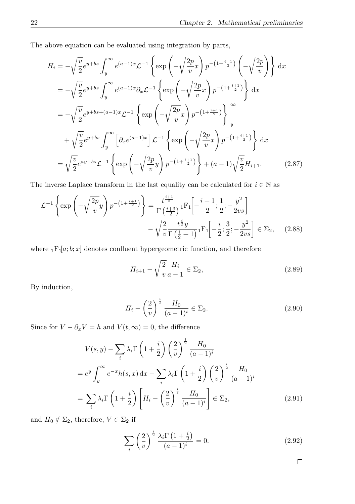The above equation can be evaluated using integration by parts,

$$
H_{i} = -\sqrt{\frac{v}{2}} e^{y+bs} \int_{y}^{\infty} e^{(a-1)x} \mathcal{L}^{-1} \left\{ \exp\left(-\sqrt{\frac{2p}{v}}x\right) p^{-\left(1+\frac{i+1}{2}\right)} \left(-\sqrt{\frac{2p}{v}}\right) \right\} dx
$$
  
\n
$$
= -\sqrt{\frac{v}{2}} e^{y+bs} \int_{y}^{\infty} e^{(a-1)x} \partial_{x} \mathcal{L}^{-1} \left\{ \exp\left(-\sqrt{\frac{2p}{v}}x\right) p^{-\left(1+\frac{i+1}{2}\right)} \right\} dx
$$
  
\n
$$
= -\sqrt{\frac{v}{2}} e^{y+bs+(a-1)x} \mathcal{L}^{-1} \left\{ \exp\left(-\sqrt{\frac{2p}{v}}x\right) p^{-\left(1+\frac{i+1}{2}\right)} \right\} \Big|_{y}^{\infty}
$$
  
\n
$$
+ \sqrt{\frac{v}{2}} e^{y+bs} \int_{y}^{\infty} \left[ \partial_{x} e^{(a-1)x} \right] \mathcal{L}^{-1} \left\{ \exp\left(-\sqrt{\frac{2p}{v}}x\right) p^{-\left(1+\frac{i+1}{2}\right)} \right\} dx
$$
  
\n
$$
= \sqrt{\frac{v}{2}} e^{ay+bs} \mathcal{L}^{-1} \left\{ \exp\left(-\sqrt{\frac{2p}{v}}y\right) p^{-\left(1+\frac{i+1}{2}\right)} \right\} + (a-1)\sqrt{\frac{v}{2}} H_{i+1}.
$$
 (2.87)

The inverse Laplace transform in the last equality can be calculated for  $i\in\mathbb{N}$  as

$$
\mathcal{L}^{-1}\left\{\exp\left(-\sqrt{\frac{2p}{v}}y\right)p^{-\left(1+\frac{i+1}{2}\right)}\right\} = \frac{t^{\frac{i+1}{2}}}{\Gamma\left(\frac{i+3}{2}\right)}{}_1F_1\left[-\frac{i+1}{2};\frac{1}{2};-\frac{y^2}{2vs}\right] \\
-\sqrt{\frac{2}{v}}\frac{t^{\frac{i}{2}}y}{\Gamma\left(\frac{i}{2}+1\right)}{}_1F_1\left[-\frac{i}{2};\frac{3}{2};-\frac{y^2}{2vs}\right] \in \Sigma_2,\tag{2.88}
$$

where  $_1F_1[a; b; x]$  denotes confluent hypergeometric function, and therefore

$$
H_{i+1} - \sqrt{\frac{2}{v}} \frac{H_i}{a-1} \in \Sigma_2,
$$
\n(2.89)

By induction,

$$
H_i - \left(\frac{2}{v}\right)^{\frac{i}{2}} \frac{H_0}{(a-1)^i} \in \Sigma_2.
$$
 (2.90)

Since for  $V - \partial_x V = h$  and  $V(t, \infty) = 0$ , the difference

$$
V(s,y) - \sum_{i} \lambda_i \Gamma\left(1 + \frac{i}{2}\right) \left(\frac{2}{v}\right)^{\frac{i}{2}} \frac{H_0}{(a-1)^i}
$$
  
=  $e^y \int_y^\infty e^{-x} h(s,x) dx - \sum_i \lambda_i \Gamma\left(1 + \frac{i}{2}\right) \left(\frac{2}{v}\right)^{\frac{i}{2}} \frac{H_0}{(a-1)^i}$   
=  $\sum_i \lambda_i \Gamma\left(1 + \frac{i}{2}\right) \left[H_i - \left(\frac{2}{v}\right)^{\frac{i}{2}} \frac{H_0}{(a-1)^i}\right] \in \Sigma_2,$  (2.91)

and  $H_0 \notin \Sigma_2$ , therefore,  $V \in \Sigma_2$  if

$$
\sum_{i} \left(\frac{2}{v}\right)^{\frac{i}{2}} \frac{\lambda_i \Gamma\left(1 + \frac{i}{2}\right)}{(a-1)^i} = 0.
$$
\n(2.92)

 $\Box$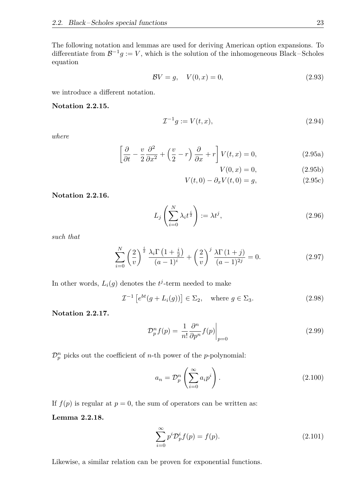The following notation and lemmas are used for deriving American option expansions. To differentiate from  $\mathcal{B}^{-1}g := V$ , which is the solution of the inhomogeneous Black-Scholes equation

$$
BV = g, \quad V(0, x) = 0,\tag{2.93}
$$

we introduce a different notation.

### **Notation 2.2.15.**

$$
\mathcal{I}^{-1}g := V(t, x),\tag{2.94}
$$

*where*

$$
\left[\frac{\partial}{\partial t} - \frac{v}{2}\frac{\partial^2}{\partial x^2} + \left(\frac{v}{2} - r\right)\frac{\partial}{\partial x} + r\right]V(t, x) = 0,
$$
\n(2.95a)

 $V(0, x) = 0,$  (2.95b)

$$
V(t,0) - \partial_x V(t,0) = g,\tag{2.95c}
$$

**Notation 2.2.16.**

$$
L_j\left(\sum_{i=0}^N \lambda_i t^{\frac{i}{2}}\right) := \lambda t^j,\tag{2.96}
$$

*such that*

$$
\sum_{i=0}^{N} \left(\frac{2}{v}\right)^{\frac{i}{2}} \frac{\lambda_i \Gamma\left(1 + \frac{i}{2}\right)}{(a-1)^i} + \left(\frac{2}{v}\right)^j \frac{\lambda \Gamma\left(1 + j\right)}{(a-1)^{2j}} = 0.
$$
 (2.97)

In other words,  $L_i(g)$  denotes the  $t^j$ -term needed to make

$$
\mathcal{I}^{-1}\left[e^{bt}(g+L_i(g))\right] \in \Sigma_2, \quad \text{where } g \in \Sigma_3.
$$
 (2.98)

**Notation 2.2.17.**

$$
\mathcal{D}_p^n f(p) = \left. \frac{1}{n!} \frac{\partial^n}{\partial p^n} f(p) \right|_{p=0} \tag{2.99}
$$

 $\mathcal{D}_p^n$  picks out the coefficient of *n*-th power of the *p*-polynomial:

$$
a_n = \mathcal{D}_p^n \left( \sum_{i=0}^\infty a_i p^i \right). \tag{2.100}
$$

If  $f(p)$  is regular at  $p = 0$ , the sum of operators can be written as: **Lemma 2.2.18.**

$$
\sum_{i=0}^{\infty} p^i \mathcal{D}_p^i f(p) = f(p). \tag{2.101}
$$

Likewise, a similar relation can be proven for exponential functions.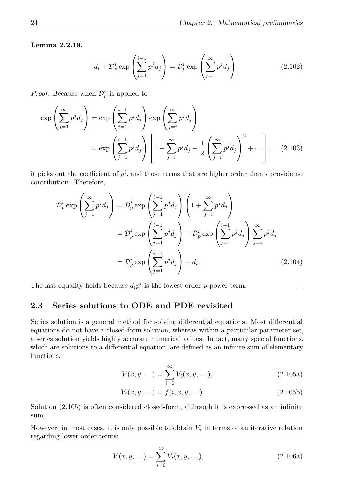#### **Lemma 2.2.19.**

$$
d_i + \mathcal{D}_p^i \exp\left(\sum_{j=1}^{i-1} p^j d_j\right) = \mathcal{D}_p^i \exp\left(\sum_{j=1}^{\infty} p^j d_j\right). \tag{2.102}
$$

*Proof.* Because when  $\mathcal{D}_p^i$  is applied to

$$
\exp\left(\sum_{j=1}^{\infty} p^j d_j\right) = \exp\left(\sum_{j=1}^{i-1} p^j d_j\right) \exp\left(\sum_{j=i}^{\infty} p^j d_j\right)
$$

$$
= \exp\left(\sum_{j=1}^{i-1} p^j d_j\right) \left[1 + \sum_{j=i}^{\infty} p^j d_j + \frac{1}{2} \left(\sum_{j=i}^{\infty} p^j d_j\right)^2 + \cdots\right], \quad (2.103)
$$

it picks out the coefficient of  $p^i$ , and those terms that are higher order than *i* provide no contribution. Therefore,

$$
\mathcal{D}_p^i \exp\left(\sum_{j=1}^{\infty} p^j d_j\right) = \mathcal{D}_p^i \exp\left(\sum_{j=1}^{i-1} p^j d_j\right) \left(1 + \sum_{j=i}^{\infty} p^j d_j\right)
$$

$$
= \mathcal{D}_p^i \exp\left(\sum_{j=1}^{i-1} p^j d_j\right) + \mathcal{D}_p^i \exp\left(\sum_{j=1}^{i-1} p^j d_j\right) \sum_{j=i}^{\infty} p^j d_j
$$

$$
= \mathcal{D}_p^i \exp\left(\sum_{j=1}^{i-1} p^j d_j\right) + d_i.
$$
(2.104)

The last equality holds because  $d_i p^i$  is the lowest order *p*-power term.

## <span id="page-32-0"></span>**2.3 Series solutions to ODE and PDE revisited**

<span id="page-32-1"></span>Series solution is a general method for solving differential equations. Most differential equations do not have a closed-form solution, whereas within a particular parameter set, a series solution yields highly accurate numerical values. In fact, many special functions, which are solutions to a differential equation, are defined as an infinite sum of elementary functions:

$$
V(x, y, \ldots) = \sum_{i=0}^{\infty} V_i(x, y, \ldots),
$$
 (2.105a)

 $\Box$ 

$$
V_i(x, y, \ldots) = f(i, x, y, \ldots). \tag{2.105b}
$$

Solution [\(2.105\)](#page-32-1) is often considered closed-form, although it is expressed as an infinite sum.

However, in most cases, it is only possible to obtain  $V_i$  in terms of an iterative relation regarding lower order terms:

<span id="page-32-2"></span>
$$
V(x, y, \ldots) = \sum_{i=0}^{\infty} V_i(x, y, \ldots),
$$
 (2.106a)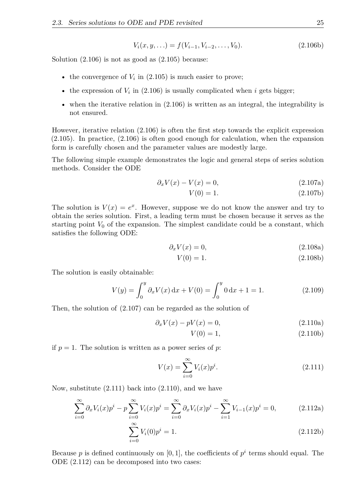$$
V_i(x, y, \ldots) = f(V_{i-1}, V_{i-2}, \ldots, V_0). \tag{2.106b}
$$

Solution  $(2.106)$  is not as good as  $(2.105)$  because:

- the convergence of  $V_i$  in  $(2.105)$  is much easier to prove;
- the expression of  $V_i$  in [\(2.106\)](#page-32-2) is usually complicated when  $i$  gets bigger;
- when the iterative relation in [\(2.106\)](#page-32-2) is written as an integral, the integrability is not ensured.

However, iterative relation [\(2.106\)](#page-32-2) is often the first step towards the explicit expression [\(2.105\)](#page-32-1). In practice, [\(2.106\)](#page-32-2) is often good enough for calculation, when the expansion form is carefully chosen and the parameter values are modestly large.

The following simple example demonstrates the logic and general steps of series solution methods. Consider the ODE

<span id="page-33-0"></span>
$$
\partial_x V(x) - V(x) = 0,\tag{2.107a}
$$

$$
V(0) = 1.\t(2.107b)
$$

The solution is  $V(x) = e^x$ . However, suppose we do not know the answer and try to obtain the series solution. First, a leading term must be chosen because it serves as the starting point  $V_0$  of the expansion. The simplest candidate could be a constant, which satisfies the following ODE:

<span id="page-33-5"></span>
$$
\partial_x V(x) = 0,\tag{2.108a}
$$

$$
V(0) = 1.\t(2.108b)
$$

The solution is easily obtainable:

$$
V(y) = \int_0^y \partial_x V(x) dx + V(0) = \int_0^y 0 dx + 1 = 1.
$$
 (2.109)

Then, the solution of [\(2.107\)](#page-33-0) can be regarded as the solution of

$$
\partial_x V(x) - pV(x) = 0,\tag{2.110a}
$$

<span id="page-33-4"></span><span id="page-33-3"></span><span id="page-33-2"></span><span id="page-33-1"></span>
$$
V(0) = 1,\t(2.110b)
$$

if  $p = 1$ . The solution is written as a power series of  $p$ .

$$
V(x) = \sum_{i=0}^{\infty} V_i(x) p^i.
$$
 (2.111)

Now, substitute [\(2.111\)](#page-33-1) back into [\(2.110\)](#page-33-2), and we have

$$
\sum_{i=0}^{\infty} \partial_x V_i(x) p^i - p \sum_{i=0}^{\infty} V_i(x) p^i = \sum_{i=0}^{\infty} \partial_x V_i(x) p^i - \sum_{i=1}^{\infty} V_{i-1}(x) p^i = 0,
$$
 (2.112a)

$$
\sum_{i=0}^{\infty} V_i(0) p^i = 1.
$$
\n(2.112b)

Because  $p$  is defined continuously on  $[0,1]$ , the coefficients of  $p^i$  terms should equal. The ODE [\(2.112\)](#page-33-3) can be decomposed into two cases: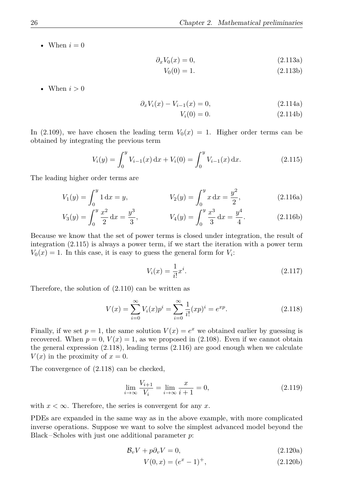• When  $i = 0$ 

$$
\partial_x V_0(x) = 0,\tag{2.113a}
$$

$$
V_0(0) = 1.\t(2.113b)
$$

• When  $i > 0$ 

$$
\partial_x V_i(x) - V_{i-1}(x) = 0,\t\t(2.114a)
$$

<span id="page-34-0"></span>
$$
V_i(0) = 0.\t(2.114b)
$$

In [\(2.109\)](#page-33-4), we have chosen the leading term  $V_0(x) = 1$ . Higher order terms can be obtained by integrating the previous term

<span id="page-34-2"></span>
$$
V_i(y) = \int_0^y V_{i-1}(x) dx + V_i(0) = \int_0^y V_{i-1}(x) dx.
$$
 (2.115)

The leading higher order terms are

$$
V_1(y) = \int_0^y 1 \, dx = y, \qquad V_2(y) = \int_0^y x \, dx = \frac{y^2}{2}, \qquad (2.116a)
$$

$$
V_3(y) = \int_0^y \frac{x^2}{2} dx = \frac{y^3}{3}, \qquad V_4(y) = \int_0^y \frac{x^3}{3} dx = \frac{y^4}{4}.
$$
 (2.116b)

Because we know that the set of power terms is closed under integration, the result of integration [\(2.115\)](#page-34-0) is always a power term, if we start the iteration with a power term  $V_0(x) = 1$ . In this case, it is easy to guess the general form for  $V_i$ :

<span id="page-34-1"></span>
$$
V_i(x) = \frac{1}{i!}x^i.
$$
\n(2.117)

Therefore, the solution of [\(2.110\)](#page-33-2) can be written as

$$
V(x) = \sum_{i=0}^{\infty} V_i(x) p^i = \sum_{i=0}^{\infty} \frac{1}{i!} (xp)^i = e^{xp}.
$$
 (2.118)

Finally, if we set  $p = 1$ , the same solution  $V(x) = e^x$  we obtained earlier by guessing is recovered. When  $p = 0$ ,  $V(x) = 1$ , as we proposed in [\(2.108\)](#page-33-5). Even if we cannot obtain the general expression [\(2.118\)](#page-34-1), leading terms [\(2.116\)](#page-34-2) are good enough when we calculate  $V(x)$  in the proximity of  $x = 0$ .

The convergence of [\(2.118\)](#page-34-1) can be checked,

$$
\lim_{i \to \infty} \frac{V_{i+1}}{V_i} = \lim_{i \to \infty} \frac{x}{i+1} = 0,
$$
\n(2.119)

with  $x < \infty$ . Therefore, the series is convergent for any *x*.

PDEs are expanded in the same way as in the above example, with more complicated inverse operations. Suppose we want to solve the simplest advanced model beyond the Black – Scholes with just one additional parameter *p*:

$$
\mathcal{B}_v V + p \partial_v V = 0,\tag{2.120a}
$$

<span id="page-34-3"></span>
$$
V(0, x) = (e^x - 1)^+, \tag{2.120b}
$$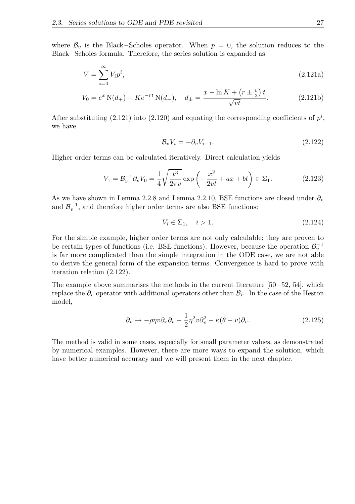where  $\mathcal{B}_v$  is the Black-Scholes operator. When  $p = 0$ , the solution reduces to the Black – Scholes formula. Therefore, the series solution is expanded as

$$
V = \sum_{i=0}^{\infty} V_i p^i,\tag{2.121a}
$$

$$
V_0 = e^x N(d_+) - Ke^{-rt} N(d_-), \quad d_{\pm} = \frac{x - \ln K + (r \pm \frac{v}{2})t}{\sqrt{vt}}.
$$
 (2.121b)

After substituting  $(2.121)$  into  $(2.120)$  and equating the corresponding coefficients of  $p^i$ , we have

<span id="page-35-1"></span><span id="page-35-0"></span>
$$
\mathcal{B}_v V_i = -\partial_v V_{i-1}.\tag{2.122}
$$

Higher order terms can be calculated iteratively. Direct calculation yields

$$
V_1 = \mathcal{B}_v^{-1} \partial_v V_0 = \frac{1}{4} \sqrt{\frac{t^3}{2\pi v}} \exp\left(-\frac{x^2}{2vt} + ax + bt\right) \in \Sigma_1.
$$
 (2.123)

As we have shown in Lemma [2.2.8](#page-25-1) and Lemma [2.2.10,](#page-26-2) BSE functions are closed under *∂<sup>v</sup>* and  $\mathcal{B}_v^{-1}$ , and therefore higher order terms are also BSE functions:

$$
V_i \in \Sigma_1, \quad i > 1. \tag{2.124}
$$

For the simple example, higher order terms are not only calculable; they are proven to be certain types of functions (i.e. BSE functions). However, because the operation  $\mathcal{B}_v^{-1}$ is far more complicated than the simple integration in the ODE case, we are not able to derive the general form of the expansion terms. Convergence is hard to prove with iteration relation [\(2.122\)](#page-35-1).

The example above summarises the methods in the current literature  $[50 - 52, 54]$  $[50 - 52, 54]$  $[50 - 52, 54]$  $[50 - 52, 54]$  $[50 - 52, 54]$ , which replace the  $\partial_\nu$  operator with additional operators other than  $\mathcal{B}_\nu$ . In the case of the Heston model,

$$
\partial_v \to -\rho \eta v \partial_x \partial_v - \frac{1}{2} \eta^2 v \partial_v^2 - \kappa (\theta - v) \partial_v.
$$
 (2.125)

The method is valid in some cases, especially for small parameter values, as demonstrated by numerical examples. However, there are more ways to expand the solution, which have better numerical accuracy and we will present them in the next chapter.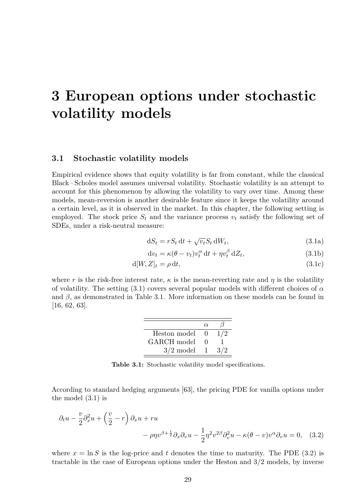# **3 European options under stochastic volatility models**

## **3.1 Stochastic volatility models**

Empirical evidence shows that equity volatility is far from constant, while the classical Black – Scholes model assumes universal volatility. Stochastic volatility is an attempt to account for this phenomenon by allowing the volatility to vary over time. Among these models, mean-reversion is another desirable feature since it keeps the volatility around a certain level, as it is observed in the market. In this chapter, the following setting is employed. The stock price  $S_t$  and the variance process  $v_t$  satisfy the following set of SDEs, under a risk-neutral measure:

<span id="page-37-0"></span>
$$
dS_t = rS_t dt + \sqrt{v_t} S_t dW_t,
$$
\n(3.1a)

$$
dv_t = \kappa(\theta - v_t)v_t^{\alpha} dt + \eta v_t^{\beta} dZ_t,
$$
\n(3.1b)

$$
d[W, Z]_t = \rho dt, \qquad (3.1c)
$$

where r is the risk-free interest rate,  $\kappa$  is the mean-reverting rate and  $\eta$  is the volatility of volatility. The setting  $(3.1)$  covers several popular models with different choices of  $\alpha$ and  $\beta$ , as demonstrated in Table [3.1.](#page-37-1) More information on these models can be found in [\[16,](#page-108-0) [62,](#page-111-0) [63\]](#page-111-1).

<span id="page-37-2"></span>

|              | $\alpha$     |     |
|--------------|--------------|-----|
| Heston model |              | 1/2 |
| GARCH model  | $\mathbf{I}$ |     |
| $3/2$ model  |              | 3/2 |

<span id="page-37-1"></span>**Table 3.1:** Stochastic volatility model specifications.

According to standard hedging arguments [\[63\]](#page-111-1), the pricing PDE for vanilla options under the model [\(3.1\)](#page-37-0) is

$$
\partial_t u - \frac{v}{2} \partial_x^2 u + \left(\frac{v}{2} - r\right) \partial_x u + ru
$$
  
-  $\rho \eta v^{\beta + \frac{1}{2}} \partial_x \partial_v u - \frac{1}{2} \eta^2 v^{\beta} \partial_v^2 u - \kappa (\theta - v) v^{\alpha} \partial_v u = 0, \quad (3.2)$ 

where  $x = \ln S$  is the log-price and t denotes the time to maturity. The PDE [\(3.2\)](#page-37-2) is tractable in the case of European options under the Heston and 3/2 models, by inverse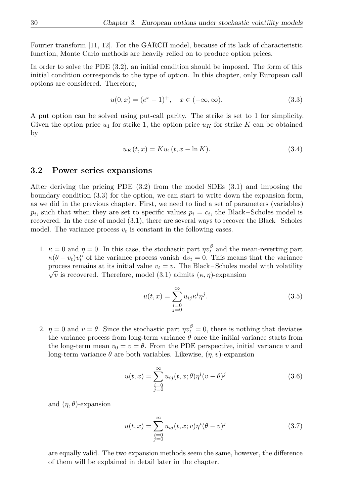Fourier transform [\[11,](#page-108-1) [12\]](#page-108-2). For the GARCH model, because of its lack of characteristic function, Monte Carlo methods are heavily relied on to produce option prices.

In order to solve the PDE [\(3.2\)](#page-37-2), an initial condition should be imposed. The form of this initial condition corresponds to the type of option. In this chapter, only European call options are considered. Therefore,

$$
u(0, x) = (e^x - 1)^+, \quad x \in (-\infty, \infty). \tag{3.3}
$$

A put option can be solved using put-call parity. The strike is set to 1 for simplicity. Given the option price  $u_1$  for strike 1, the option price  $u_K$  for strike K can be obtained by

<span id="page-38-0"></span>
$$
u_K(t, x) = Ku_1(t, x - \ln K). \tag{3.4}
$$

#### <span id="page-38-4"></span>**3.2 Power series expansions**

After deriving the pricing PDE [\(3.2\)](#page-37-2) from the model SDEs [\(3.1\)](#page-37-0) and imposing the boundary condition [\(3.3\)](#page-38-0) for the option, we can start to write down the expansion form, as we did in the previous chapter. First, we need to find a set of parameters (variables)  $p_i$ , such that when they are set to specific values  $p_i = c_i$ , the Black–Scholes model is recovered. In the case of model [\(3.1\)](#page-37-0), there are several ways to recover the Black – Scholes model. The variance process  $v_t$  is constant in the following cases.

1.  $\kappa = 0$  and  $\eta = 0$ . In this case, the stochastic part  $\eta v_t^{\beta}$  and the mean-reverting part  $\kappa(\theta - v_t)v_t^{\alpha}$  of the variance process vanish  $dv_t = 0$ . This means that the variance process remains at its initial value  $v_t = v$ . The Black-Scholes model with volatility  $\sqrt{v}$  is recovered. Therefore, model [\(3.1\)](#page-37-0) admits  $(\kappa, \eta)$ -expansion

<span id="page-38-1"></span>
$$
u(t,x) = \sum_{\substack{i=0 \ j=0}}^{\infty} u_{ij} \kappa^i \eta^j.
$$
 (3.5)

2.  $\eta = 0$  and  $v = \theta$ . Since the stochastic part  $\eta v_t^{\beta} = 0$ , there is nothing that deviates the variance process from long-term variance *θ* once the initial variance starts from the long-term mean  $v_0 = v = \theta$ . From the PDE perspective, initial variance v and long-term variance  $\theta$  are both variables. Likewise,  $(\eta, v)$ -expansion

<span id="page-38-2"></span>
$$
u(t,x) = \sum_{\substack{i=0 \ j=0}}^{\infty} u_{ij}(t,x;\theta)\eta^i(v-\theta)^j
$$
 (3.6)

and  $(\eta, \theta)$ -expansion

<span id="page-38-3"></span>
$$
u(t,x) = \sum_{\substack{i=0 \ j=0}}^{\infty} u_{ij}(t,x;v)\eta^{i}(\theta - v)^{j}
$$
 (3.7)

are equally valid. The two expansion methods seem the same, however, the difference of them will be explained in detail later in the chapter.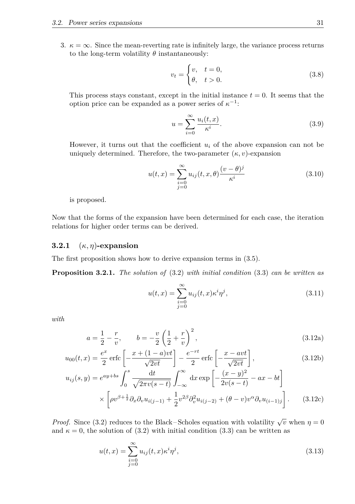3.  $\kappa = \infty$ . Since the mean-reverting rate is infinitely large, the variance process returns to the long-term volatility  $\theta$  instantaneously:

$$
v_t = \begin{cases} v, & t = 0, \\ \theta, & t > 0. \end{cases}
$$
 (3.8)

This process stays constant, except in the initial instance  $t = 0$ . It seems that the option price can be expanded as a power series of  $\kappa^{-1}$ :

<span id="page-39-2"></span>
$$
u = \sum_{i=0}^{\infty} \frac{u_i(t, x)}{\kappa^i}.
$$
\n(3.9)

However, it turns out that the coefficient  $u_i$  of the above expansion can not be uniquely determined. Therefore, the two-parameter  $(\kappa, v)$ -expansion

$$
u(t,x) = \sum_{\substack{i=0 \ j=0}}^{\infty} u_{ij}(t,x,\theta) \frac{(v-\theta)^j}{\kappa^i}
$$
\n(3.10)

is proposed.

Now that the forms of the expansion have been determined for each case, the iteration relations for higher order terms can be derived.

## **3.2.1** (*κ, η*)**-expansion**

The first proposition shows how to derive expansion terms in [\(3.5\)](#page-38-1).

**Proposition 3.2.1.** *The solution of* [\(3.2\)](#page-37-2) *with initial condition* [\(3.3\)](#page-38-0) *can be written as*

<span id="page-39-1"></span>
$$
u(t,x) = \sum_{\substack{i=0 \ j=0}}^{\infty} u_{ij}(t,x)\kappa^i \eta^j,
$$
\n(3.11)

*with*

$$
a = \frac{1}{2} - \frac{r}{v}, \qquad b = -\frac{v}{2} \left( \frac{1}{2} + \frac{r}{v} \right)^2,
$$
\n(3.12a)

$$
u_{00}(t,x) = \frac{e^x}{2} \operatorname{erfc} \left[ -\frac{x + (1-a)v t}{\sqrt{2vt}} \right] - \frac{e^{-rt}}{2} \operatorname{erfc} \left[ -\frac{x - avt}{\sqrt{2vt}} \right],\tag{3.12b}
$$

$$
u_{ij}(s,y) = e^{ay+bs} \int_0^s \frac{\mathrm{d}t}{\sqrt{2\pi v(s-t)}} \int_{-\infty}^{\infty} \mathrm{d}x \exp\left[-\frac{(x-y)^2}{2v(s-t)} - ax - bt\right]
$$

$$
\times \left[\rho v^{\beta+\frac{1}{2}} \partial_x \partial_v u_{i(j-1)} + \frac{1}{2} v^{2\beta} \partial_v^2 u_{i(j-2)} + (\theta - v) v^{\alpha} \partial_v u_{(i-1)j}\right]. \tag{3.12c}
$$

*Proof.* Since [\(3.2\)](#page-37-2) reduces to the Black-Scholes equation with volatility  $\sqrt{v}$  when  $\eta = 0$ and  $\kappa = 0$ , the solution of [\(3.2\)](#page-37-2) with initial condition [\(3.3\)](#page-38-0) can be written as

<span id="page-39-0"></span>
$$
u(t,x) = \sum_{\substack{i=0 \ j=0}}^{\infty} u_{ij}(t,x)\kappa^i \eta^j,
$$
\n(3.13)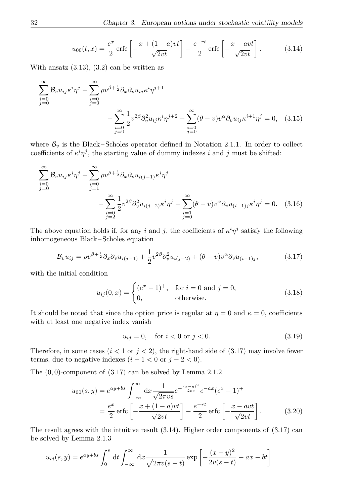<span id="page-40-1"></span>
$$
u_{00}(t,x) = \frac{e^x}{2} \operatorname{erfc} \left[ -\frac{x + (1-a)v t}{\sqrt{2vt}} \right] - \frac{e^{-rt}}{2} \operatorname{erfc} \left[ -\frac{x - av t}{\sqrt{2vt}} \right].
$$
 (3.14)

With ansatz  $(3.13)$ ,  $(3.2)$  can be written as

$$
\sum_{\substack{i=0 \ j=0}}^{\infty} \mathcal{B}_{v} u_{ij} \kappa^{i} \eta^{j} - \sum_{\substack{i=0 \ j=0}}^{\infty} \rho v^{\beta + \frac{1}{2}} \partial_{x} \partial_{v} u_{ij} \kappa^{i} \eta^{j+1} - \sum_{\substack{i=0 \ j=0}}^{\infty} (\theta - v) v^{\alpha} \partial_{v} u_{ij} \kappa^{i+1} \eta^{j} = 0, \quad (3.15)
$$

where  $\mathcal{B}_v$  is the Black-Scholes operator defined in Notation [2.1.1.](#page-20-0) In order to collect coefficients of  $\kappa^i \eta^j$ , the starting value of dummy indexes *i* and *j* must be shifted:

$$
\sum_{i=0}^{\infty} \mathcal{B}_{v} u_{ij} \kappa^{i} \eta^{j} - \sum_{\substack{i=0 \ j=1}}^{\infty} \rho v^{\beta + \frac{1}{2}} \partial_{x} \partial_{v} u_{i(j-1)} \kappa^{i} \eta^{j} - \sum_{\substack{i=0 \ j=2}}^{\infty} \frac{1}{2} v^{2\beta} \partial_{v}^{2} u_{i(j-2)} \kappa^{i} \eta^{j} - \sum_{\substack{i=1 \ j=0}}^{\infty} (\theta - v) v^{\alpha} \partial_{v} u_{(i-1)j} \kappa^{i} \eta^{j} = 0. \quad (3.16)
$$

The above equation holds if, for any *i* and *j*, the coefficients of  $\kappa^i \eta^j$  satisfy the following inhomogeneous Black – Scholes equation

$$
\mathcal{B}_v u_{ij} = \rho v^{\beta + \frac{1}{2}} \partial_x \partial_v u_{i(j-1)} + \frac{1}{2} v^{2\beta} \partial_v^2 u_{i(j-2)} + (\theta - v) v^{\alpha} \partial_v u_{(i-1)j}, \tag{3.17}
$$

with the initial condition

$$
u_{ij}(0,x) = \begin{cases} (e^x - 1)^+, & \text{for } i = 0 \text{ and } j = 0, \\ 0, & \text{otherwise.} \end{cases}
$$
 (3.18)

It should be noted that since the option price is regular at  $\eta = 0$  and  $\kappa = 0$ , coefficients with at least one negative index vanish

<span id="page-40-2"></span><span id="page-40-0"></span>
$$
u_{ij} = 0, \quad \text{for } i < 0 \text{ or } j < 0. \tag{3.19}
$$

Therefore, in some cases  $(i < 1 \text{ or } j < 2)$ , the right-hand side of  $(3.17)$  may involve fewer terms, due to negative indexes  $(i - 1 < 0 \text{ or } j - 2 < 0).$ 

The (0*,* 0)-component of [\(3.17\)](#page-40-0) can be solved by Lemma [2.1.2](#page-20-1)

$$
u_{00}(s,y) = e^{ay+bs} \int_{-\infty}^{\infty} dx \frac{1}{\sqrt{2\pi vs}} e^{-\frac{(x-y)^2}{2 vs}} e^{-ax} (e^x - 1)^+
$$
  
=  $\frac{e^x}{2}$  erfc  $\left[ -\frac{x + (1-a)v t}{\sqrt{2vt}} \right] - \frac{e^{-rt}}{2}$  erfc  $\left[ -\frac{x - avt}{\sqrt{2vt}} \right]$ . (3.20)

The result agrees with the intuitive result  $(3.14)$ . Higher order components of  $(3.17)$  can be solved by Lemma [2.1.3](#page-21-0)

$$
u_{ij}(s,y) = e^{ay + bs} \int_0^s dt \int_{-\infty}^{\infty} dx \frac{1}{\sqrt{2\pi v(s-t)}} \exp \left[ -\frac{(x-y)^2}{2v(s-t)} - ax - bt \right]
$$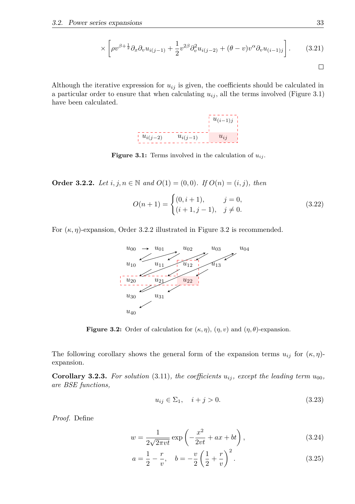$$
\times \left[ \rho v^{\beta + \frac{1}{2}} \partial_x \partial_v u_{i(j-1)} + \frac{1}{2} v^{2\beta} \partial_v^2 u_{i(j-2)} + (\theta - v) v^{\alpha} \partial_v u_{(i-1)j} \right].
$$
 (3.21)

 $\Box$ 

Although the iterative expression for  $u_{ij}$  is given, the coefficients should be calculated in a particular order to ensure that when calculating  $u_{ij}$ , all the terms involved (Figure [3.1\)](#page-41-0) have been calculated.



<span id="page-41-0"></span>**Figure 3.1:** Terms involved in the calculation of  $u_{ij}$ .

<span id="page-41-1"></span>**Order 3.2.2.** *Let*  $i, j, n \in \mathbb{N}$  *and*  $O(1) = (0, 0)$ *. If*  $O(n) = (i, j)$ *, then* 

$$
O(n+1) = \begin{cases} (0, i+1), & j = 0, \\ (i+1, j-1), & j \neq 0. \end{cases}
$$
 (3.22)

For  $(\kappa, \eta)$ -expansion, Order [3.2.2](#page-41-1) illustrated in Figure [3.2](#page-41-2) is recommended.



<span id="page-41-2"></span>**Figure 3.2:** Order of calculation for  $(\kappa, \eta)$ ,  $(\eta, v)$  and  $(\eta, \theta)$ -expansion.

The following corollary shows the general form of the expansion terms  $u_{ij}$  for  $(\kappa, \eta)$ expansion.

**Corollary 3.2.3.** For solution [\(3.11\)](#page-39-1), the coefficients  $u_{ij}$ , except the leading term  $u_{00}$ , *are BSE functions,*

$$
u_{ij} \in \Sigma_1, \quad i+j > 0. \tag{3.23}
$$

*Proof.* Define

$$
w = \frac{1}{2\sqrt{2\pi vt}} \exp\left(-\frac{x^2}{2vt} + ax + bt\right),\tag{3.24}
$$

$$
a = \frac{1}{2} - \frac{r}{v}, \quad b = -\frac{v}{2} \left(\frac{1}{2} + \frac{r}{v}\right)^2.
$$
 (3.25)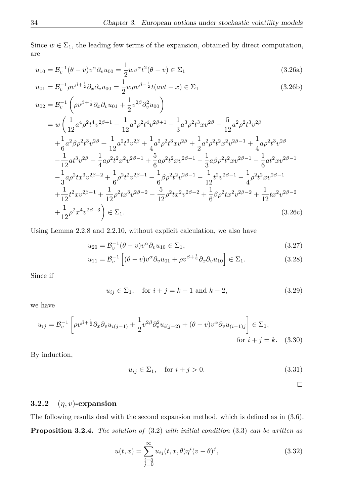Since  $w \in \Sigma_1$ , the leading few terms of the expansion, obtained by direct computation, are

$$
u_{10} = \mathcal{B}_v^{-1}(\theta - v)v^{\alpha}\partial_v u_{00} = \frac{1}{2}wv^{\alpha}t^2(\theta - v) \in \Sigma_1
$$
\n(3.26a)

<span id="page-42-2"></span>
$$
u_{01} = \mathcal{B}_v^{-1} \rho v^{\beta + \frac{1}{2}} \partial_x \partial_v u_{00} = \frac{1}{2} w \rho v^{\beta - \frac{1}{2}} t (avt - x) \in \Sigma_1
$$
 (3.26b)

$$
u_{02} = \mathcal{B}_{v}^{-1} \left( \rho v^{\beta + \frac{1}{2}} \partial_{x} \partial_{v} u_{01} + \frac{1}{2} v^{2\beta} \partial_{v}^{2} u_{00} \right)
$$
  
\n
$$
= w \left( \frac{1}{12} a^{4} \rho^{2} t^{4} v^{2\beta + 1} - \frac{1}{12} a^{3} \rho^{2} t^{4} v^{2\beta + 1} - \frac{1}{3} a^{3} \rho^{2} t^{3} x v^{2\beta} - \frac{5}{12} a^{2} \rho^{2} t^{3} v^{2\beta} \right)
$$
  
\n
$$
+ \frac{1}{6} a^{2} \beta \rho^{2} t^{3} v^{2\beta} + \frac{1}{12} a^{2} t^{3} v^{2\beta} + \frac{1}{4} a^{2} \rho^{2} t^{3} x v^{2\beta} + \frac{1}{2} a^{2} \rho^{2} t^{2} x^{2} v^{2\beta - 1} + \frac{1}{4} a \rho^{2} t^{3} v^{2\beta}
$$
  
\n
$$
- \frac{1}{12} a t^{3} v^{2\beta} - \frac{1}{4} a \rho^{2} t^{2} x^{2} v^{2\beta - 1} + \frac{5}{6} a \rho^{2} t^{2} x v^{2\beta - 1} - \frac{1}{3} a \beta \rho^{2} t^{2} x v^{2\beta - 1} - \frac{1}{6} a t^{2} x v^{2\beta - 1}
$$
  
\n
$$
- \frac{1}{3} a \rho^{2} t x^{3} v^{2\beta - 2} + \frac{1}{6} \rho^{2} t^{2} v^{2\beta - 1} - \frac{1}{6} \beta \rho^{2} t^{2} v^{2\beta - 1} - \frac{1}{12} t^{2} v^{2\beta - 1} - \frac{1}{4} \rho^{2} t^{2} x v^{2\beta - 1}
$$
  
\n
$$
+ \frac{1}{12} t^{2} x v^{2\beta - 1} + \frac{1}{12} \rho^{2} t x^{3} v^{2\beta - 2} - \frac{5}{12} \rho^{2} t x^{2} v^{2\beta - 2} + \frac{1}{6} \beta \rho^{2} t x^{2}
$$

Using Lemma [2.2.8](#page-25-0) and [2.2.10,](#page-26-0) without explicit calculation, we also have

$$
u_{20} = \mathcal{B}_v^{-1}(\theta - v)v^{\alpha}\partial_v u_{10} \in \Sigma_1,
$$
\n
$$
(3.27)
$$

$$
u_{11} = \mathcal{B}_v^{-1} \left[ (\theta - v) v^{\alpha} \partial_v u_{01} + \rho v^{\beta + \frac{1}{2}} \partial_x \partial_v u_{10} \right] \in \Sigma_1.
$$
 (3.28)

Since if

$$
u_{ij} \in \Sigma_1
$$
, for  $i + j = k - 1$  and  $k - 2$ , (3.29)

we have

$$
u_{ij} = \mathcal{B}_v^{-1} \left[ \rho v^{\beta + \frac{1}{2}} \partial_x \partial_v u_{i(j-1)} + \frac{1}{2} v^{2\beta} \partial_v^2 u_{i(j-2)} + (\theta - v) v^{\alpha} \partial_v u_{(i-1)j} \right] \in \Sigma_1,
$$
  
for  $i + j = k$ . (3.30)

By induction,

$$
u_{ij} \in \Sigma_1, \quad \text{for } i + j > 0. \tag{3.31}
$$

<span id="page-42-0"></span> $\Box$ 

# **3.2.2** (*η, v*)**-expansion**

<span id="page-42-1"></span>The following results deal with the second expansion method, which is defined as in [\(3.6\)](#page-38-2). **Proposition 3.2.4.** *The solution of* [\(3.2\)](#page-37-2) *with initial condition* [\(3.3\)](#page-38-0) *can be written as*

$$
u(t,x) = \sum_{\substack{i=0 \ j=0}}^{\infty} u_{ij}(t,x,\theta) \eta^{i}(v-\theta)^{j},
$$
\n(3.32)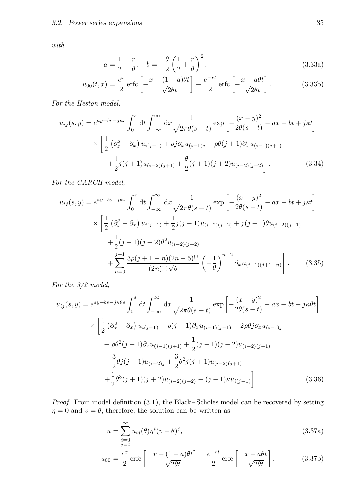*with*

$$
a = \frac{1}{2} - \frac{r}{\theta}, \quad b = -\frac{\theta}{2} \left( \frac{1}{2} + \frac{r}{\theta} \right)^2,
$$
 (3.33a)

$$
u_{00}(t,x) = \frac{e^x}{2} \operatorname{erfc} \left[ -\frac{x + (1-a)\theta t}{\sqrt{2\theta t}} \right] - \frac{e^{-rt}}{2} \operatorname{erfc} \left[ -\frac{x - a\theta t}{\sqrt{2\theta t}} \right].
$$
 (3.33b)

*For the Heston model,*

$$
u_{ij}(s,y) = e^{ay+bs-j\kappa s} \int_0^s dt \int_{-\infty}^{\infty} dx \frac{1}{\sqrt{2\pi\theta(s-t)}} \exp\left[ -\frac{(x-y)^2}{2\theta(s-t)} - ax - bt + j\kappa t \right]
$$

$$
\times \left[ \frac{1}{2} \left( \partial_x^2 - \partial_x \right) u_{i(j-1)} + \rho j \partial_x u_{(i-1)j} + \rho \theta(j+1) \partial_x u_{(i-1)(j+1)} + \frac{1}{2} j(j+1) u_{(i-2)(j+1)} + \frac{\theta}{2} (j+1)(j+2) u_{(i-2)(j+2)} \right].
$$
(3.34)

*For the GARCH model,*

$$
u_{ij}(s,y) = e^{ay+bs-j\kappa s} \int_0^s dt \int_{-\infty}^{\infty} dx \frac{1}{\sqrt{2\pi\theta(s-t)}} \exp\left[ -\frac{(x-y)^2}{2\theta(s-t)} - ax - bt + j\kappa t \right]
$$
  

$$
\times \left[ \frac{1}{2} \left( \partial_x^2 - \partial_x \right) u_{i(j-1)} + \frac{1}{2} j(j-1) u_{(i-2)(j+2)} + j(j+1) \theta u_{(i-2)(j+1)} + \frac{1}{2} (j+1)(j+2) \theta^2 u_{(i-2)(j+2)} + \sum_{n=0}^{j+1} \frac{3\rho(j+1-n)(2n-5)!!}{(2n)!! \sqrt{\theta}} \left( -\frac{1}{\theta} \right)^{n-2} \partial_x u_{(i-1)(j+1-n)} \right].
$$
 (3.35)

*For the 3/2 model,*

$$
u_{ij}(s,y) = e^{ay+bs-j\kappa\theta s} \int_0^s dt \int_{-\infty}^{\infty} dx \frac{1}{\sqrt{2\pi\theta(s-t)}} \exp\left[ -\frac{(x-y)^2}{2\theta(s-t)} - ax - bt + j\kappa\theta t \right]
$$
  

$$
\times \left[ \frac{1}{2} \left( \partial_x^2 - \partial_x \right) u_{i(j-1)} + \rho(j-1) \partial_x u_{(i-1)(j-1)} + 2\rho\theta j \partial_x u_{(i-1)j} + \rho\theta^2 (j+1) \partial_x u_{(i-1)(j+1)} + \frac{1}{2} (j-1)(j-2) u_{(i-2)(j-1)} + \frac{3}{2} \theta j (j-1) u_{(i-2)j} + \frac{3}{2} \theta^2 j (j+1) u_{(i-2)(j+1)} + \frac{1}{2} \theta^3 (j+1)(j+2) u_{(i-2)(j+2)} - (j-1) \kappa u_{i(j-1)} \right].
$$
 (3.36)

*Proof.* From model definition [\(3.1\)](#page-37-0), the Black – Scholes model can be recovered by setting  $\eta = 0$  and  $v = \theta$ ; therefore, the solution can be written as

<span id="page-43-0"></span>
$$
u = \sum_{\substack{i=0 \ j=0}}^{\infty} u_{ij}(\theta) \eta^i (v - \theta)^j,
$$
\n(3.37a)

$$
u_{00} = \frac{e^x}{2} \operatorname{erfc} \left[ -\frac{x + (1 - a)\theta t}{\sqrt{2\theta t}} \right] - \frac{e^{-rt}}{2} \operatorname{erfc} \left[ -\frac{x - a\theta t}{\sqrt{2\theta t}} \right].
$$
 (3.37b)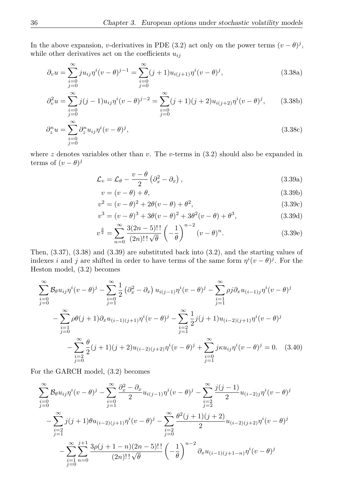In the above expansion, *v*-derivatives in PDE [\(3.2\)](#page-37-2) act only on the power terms  $(v - \theta)^j$ , while other derivatives act on the coefficients  $u_{ij}$ 

<span id="page-44-0"></span>
$$
\partial_v u = \sum_{\substack{i=0 \ j=0}}^{\infty} j u_{ij} \eta^i (v - \theta)^{j-1} = \sum_{\substack{i=0 \ j=0}}^{\infty} (j+1) u_{i(j+1)} \eta^i (v - \theta)^j,
$$
\n(3.38a)

$$
\partial_v^2 u = \sum_{\substack{i=0 \ j=0}}^{\infty} j(j-1) u_{ij} \eta^i (v-\theta)^{j-2} = \sum_{\substack{i=0 \ j=0}}^{\infty} (j+1)(j+2) u_{i(j+2)} \eta^i (v-\theta)^j, \qquad (3.38b)
$$

$$
\partial_z^n u = \sum_{\substack{i=0 \ j=0}}^{\infty} \partial_z^n u_{ij} \eta^i (v - \theta)^j,
$$
\n(3.38c)

where  $z$  denotes variables other than  $v$ . The  $v$ -terms in  $(3.2)$  should also be expanded in terms of  $(v - \theta)^j$ 

<span id="page-44-1"></span>
$$
\mathcal{L}_v = \mathcal{L}_\theta - \frac{v - \theta}{2} \left( \partial_x^2 - \partial_x \right), \tag{3.39a}
$$

$$
v = (v - \theta) + \theta,\tag{3.39b}
$$

$$
v^{2} = (v - \theta)^{2} + 2\theta(v - \theta) + \theta^{2},
$$
\n(3.39c)

$$
v^{3} = (v - \theta)^{3} + 3\theta(v - \theta)^{2} + 3\theta^{2}(v - \theta) + \theta^{3},
$$
\n(3.39d)

<span id="page-44-2"></span>
$$
v^{\frac{3}{2}} = \sum_{n=0}^{\infty} \frac{3(2n-5)!!}{(2n)!!\sqrt{\theta}} \left(-\frac{1}{\theta}\right)^{n-2} (v-\theta)^n.
$$
 (3.39e)

Then, [\(3.37\)](#page-43-0), [\(3.38\)](#page-44-0) and [\(3.39\)](#page-44-1) are substituted back into [\(3.2\)](#page-37-2), and the starting values of indexes *i* and *j* are shifted in order to have terms of the same form  $\eta^{i}(v - \theta)^{j}$ . For the Heston model, [\(3.2\)](#page-37-2) becomes

$$
\sum_{\substack{i=0 \ j=0}}^{\infty} \mathcal{B}_{\theta} u_{ij} \eta^{i} (v - \theta)^{j} - \sum_{\substack{i=0 \ j=1}}^{\infty} \frac{1}{2} \left( \partial_{x}^{2} - \partial_{x} \right) u_{i(j-1)} \eta^{i} (v - \theta)^{j} - \sum_{\substack{i=1 \ j=1}}^{\infty} \rho_{j} \partial_{x} u_{(i-1)j} \eta^{i} (v - \theta)^{j}
$$

$$
- \sum_{\substack{i=1 \ j=0}}^{\infty} \rho \theta(j+1) \partial_{x} u_{(i-1)(j+1)} \eta^{i} (v - \theta)^{j} - \sum_{\substack{i=2 \ j=1}}^{\infty} \frac{1}{2} j(j+1) u_{(i-2)(j+1)} \eta^{i} (v - \theta)^{j}
$$

$$
- \sum_{\substack{i=2 \ j=0}}^{\infty} \frac{\theta}{2} (j+1)(j+2) u_{(i-2)(j+2)} \eta^{i} (v - \theta)^{j} + \sum_{\substack{i=0 \ j=1}}^{\infty} j \kappa u_{ij} \eta^{i} (v - \theta)^{j} = 0. \quad (3.40)
$$

For the GARCH model, [\(3.2\)](#page-37-2) becomes

$$
\sum_{\substack{i=0 \ j=0}}^{\infty} \mathcal{B}_{\theta} u_{ij} \eta^{i} (v - \theta)^{j} - \sum_{\substack{i=0 \ j=1}}^{\infty} \frac{\partial_{x}^{2} - \partial_{x}}{2} u_{i(j-1)} \eta^{i} (v - \theta)^{j} - \sum_{\substack{i=2 \ j=2}}^{\infty} \frac{j(j-1)}{2} u_{(i-2)j} \eta^{i} (v - \theta)^{j}
$$

$$
- \sum_{\substack{i=2 \ j=1}}^{\infty} j(j+1) \theta u_{(i-2)(j+1)} \eta^{i} (v - \theta)^{j} - \sum_{\substack{i=2 \ j=0}}^{\infty} \frac{\theta^{2} (j+1)(j+2)}{2} u_{(i-2)(j+2)} \eta^{i} (v - \theta)^{j}
$$

$$
- \sum_{\substack{i=1 \ j=0}}^{\infty} \sum_{n=0}^{j+1} \frac{3 \rho (j+1-n)(2n-5)!!}{(2n)!! \sqrt{\theta}} \left(-\frac{1}{\theta}\right)^{n-2} \partial_{x} u_{(i-1)(j+1-n)} \eta^{i} (v - \theta)^{j}
$$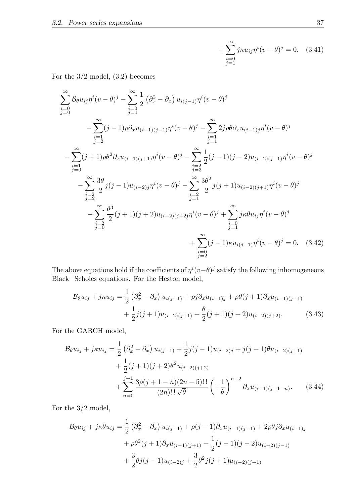<span id="page-45-1"></span><span id="page-45-0"></span>+ 
$$
\sum_{\substack{i=0 \ j=1}}^{\infty} j \kappa u_{ij} \eta^i (v - \theta)^j = 0.
$$
 (3.41)

For the 3/2 model, [\(3.2\)](#page-37-2) becomes

$$
\sum_{\substack{i=0 \ j=0}}^{\infty} \mathcal{B}_{\theta} u_{ij} \eta^{i} (v - \theta)^{j} - \sum_{\substack{i=0 \ j=1}}^{\infty} \frac{1}{2} \left( \partial_{x}^{2} - \partial_{x} \right) u_{i(j-1)} \eta^{i} (v - \theta)^{j}
$$
\n
$$
- \sum_{\substack{i=1 \ j=2}}^{\infty} (j-1) \rho \partial_{x} u_{(i-1)(j-1)} \eta^{i} (v - \theta)^{j} - \sum_{\substack{i=1 \ j=1}}^{\infty} 2j \rho \theta \partial_{x} u_{(i-1)j} \eta^{i} (v - \theta)^{j}
$$
\n
$$
- \sum_{\substack{i=1 \ j=0}}^{\infty} (j+1) \rho \theta^{2} \partial_{x} u_{(i-1)(j+1)} \eta^{i} (v - \theta)^{j} - \sum_{\substack{i=2 \ j=3}}^{\infty} \frac{1}{2} (j-1)(j-2) u_{(i-2)(j-1)} \eta^{i} (v - \theta)^{j}
$$
\n
$$
- \sum_{\substack{i=2 \ j=2}}^{\infty} \frac{3\theta}{2} j(j-1) u_{(i-2)j} \eta^{i} (v - \theta)^{j} - \sum_{\substack{i=2 \ j=1}}^{\infty} \frac{3\theta^{2}}{2} j(j+1) u_{(i-2)(j+1)} \eta^{i} (v - \theta)^{j}
$$
\n
$$
- \sum_{\substack{i=2 \ j=0}}^{\infty} \frac{\theta^{3}}{2} (j+1)(j+2) u_{(i-2)(j+2)} \eta^{i} (v - \theta)^{j} + \sum_{\substack{i=0 \ j=1}}^{\infty} j \kappa \theta u_{ij} \eta^{i} (v - \theta)^{j}
$$
\n
$$
+ \sum_{\substack{i=0 \ j=2}}^{\infty} (j-1) \kappa u_{i(j-1)} \eta^{i} (v - \theta)^{j} = 0. \quad (3.42)
$$

The above equations hold if the coefficients of  $\eta^i(v-\theta)^j$  satisfy the following inhomogeneous Black – Scholes equations. For the Heston model,

<span id="page-45-2"></span>
$$
\mathcal{B}_{\theta}u_{ij} + j\kappa u_{ij} = \frac{1}{2} \left(\partial_x^2 - \partial_x\right) u_{i(j-1)} + \rho j \partial_x u_{(i-1)j} + \rho \theta(j+1) \partial_x u_{(i-1)(j+1)} + \frac{1}{2} j(j+1) u_{(i-2)(j+1)} + \frac{\theta}{2} (j+1)(j+2) u_{(i-2)(j+2)}.
$$
(3.43)

For the GARCH model,

$$
\mathcal{B}_{\theta}u_{ij} + j\kappa u_{ij} = \frac{1}{2} \left(\partial_x^2 - \partial_x\right) u_{i(j-1)} + \frac{1}{2}j(j-1)u_{(i-2)j} + j(j+1)\theta u_{(i-2)(j+1)} \n+ \frac{1}{2}(j+1)(j+2)\theta^2 u_{(i-2)(j+2)} \n+ \sum_{n=0}^{j+1} \frac{3\rho(j+1-n)(2n-5)!!}{(2n)!!\sqrt{\theta}} \left(-\frac{1}{\theta}\right)^{n-2} \partial_x u_{(i-1)(j+1-n)}.
$$
\n(3.44)

For the 3/2 model,

$$
\mathcal{B}_{\theta}u_{ij} + j\kappa\theta u_{ij} = \frac{1}{2} \left(\partial_x^2 - \partial_x\right) u_{i(j-1)} + \rho(j-1)\partial_x u_{(i-1)(j-1)} + 2\rho\theta j \partial_x u_{(i-1)j} \n+ \rho\theta^2 (j+1)\partial_x u_{(i-1)(j+1)} + \frac{1}{2}(j-1)(j-2)u_{(i-2)(j-1)} \n+ \frac{3}{2}\theta j(j-1)u_{(i-2)j} + \frac{3}{2}\theta^2 j(j+1)u_{(i-2)(j+1)}
$$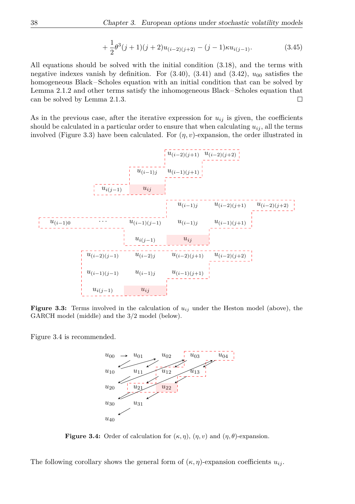<span id="page-46-2"></span>
$$
+\frac{1}{2}\theta^3(j+1)(j+2)u_{(i-2)(j+2)}-(j-1)\kappa u_{i(j-1)}.\tag{3.45}
$$

All equations should be solved with the initial condition [\(3.18\)](#page-40-2), and the terms with negative indexes vanish by definition. For  $(3.40)$ ,  $(3.41)$  and  $(3.42)$ ,  $u_{00}$  satisfies the homogeneous Black – Scholes equation with an initial condition that can be solved by Lemma [2.1.2](#page-20-1) and other terms satisfy the inhomogeneous Black – Scholes equation that can be solved by Lemma [2.1.3.](#page-21-0)  $\Box$ 

As in the previous case, after the iterative expression for  $u_{ij}$  is given, the coefficients should be calculated in a particular order to ensure that when calculating  $u_{ij}$ , all the terms involved (Figure [3.3\)](#page-46-0) have been calculated. For  $(\eta, v)$ -expansion, the order illustrated in



<span id="page-46-0"></span>**Figure 3.3:** Terms involved in the calculation of *uij* under the Heston model (above), the GARCH model (middle) and the 3/2 model (below).

Figure [3.4](#page-46-1) is recommended.



<span id="page-46-1"></span>**Figure 3.4:** Order of calculation for  $(\kappa, \eta)$ ,  $(\eta, v)$  and  $(\eta, \theta)$ -expansion.

The following corollary shows the general form of  $(\kappa, \eta)$ -expansion coefficients  $u_{ij}$ .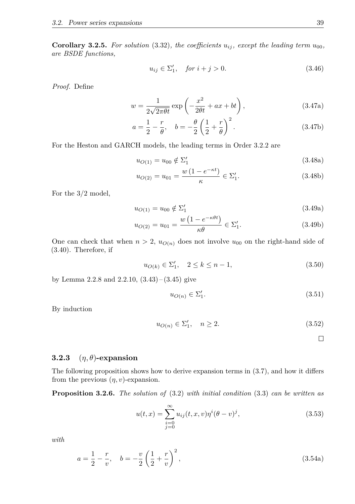**Corollary 3.2.5.** For solution [\(3.32\)](#page-42-0), the coefficients  $u_{ij}$ , except the leading term  $u_{00}$ , *are BSDE functions,*

$$
u_{ij} \in \Sigma_1', \quad \text{for } i + j > 0. \tag{3.46}
$$

*Proof.* Define

$$
w = \frac{1}{2\sqrt{2\pi\theta t}} \exp\left(-\frac{x^2}{2\theta t} + ax + bt\right),\tag{3.47a}
$$

$$
a = \frac{1}{2} - \frac{r}{\theta}, \quad b = -\frac{\theta}{2} \left( \frac{1}{2} + \frac{r}{\theta} \right)^2.
$$
 (3.47b)

For the Heston and GARCH models, the leading terms in Order [3.2.2](#page-41-1) are

$$
u_{O(1)} = u_{00} \notin \Sigma_1' \tag{3.48a}
$$

$$
u_{O(2)} = u_{01} = \frac{w(1 - e^{-\kappa t})}{\kappa} \in \Sigma'_1.
$$
 (3.48b)

For the 3/2 model,

$$
u_{O(1)} = u_{00} \notin \Sigma_1' \tag{3.49a}
$$

$$
u_{O(2)} = u_{01} = \frac{w \left(1 - e^{-\kappa \theta t}\right)}{\kappa \theta} \in \Sigma'_1.
$$
 (3.49b)

One can check that when  $n > 2$ ,  $u_{O(n)}$  does not involve  $u_{00}$  on the right-hand side of [\(3.40\)](#page-44-2). Therefore, if

$$
u_{O(k)} \in \Sigma_1', \quad 2 \le k \le n - 1,
$$
\n(3.50)

by Lemma [2.2.8](#page-25-0) and [2.2.10,](#page-26-0)  $(3.43)$  –  $(3.45)$  give

$$
u_{O(n)} \in \Sigma'_1. \tag{3.51}
$$

By induction

$$
u_{O(n)} \in \Sigma_1', \quad n \ge 2. \tag{3.52}
$$

<span id="page-47-0"></span> $\Box$ 

#### **3.2.3** (*η, θ*)**-expansion**

The following proposition shows how to derive expansion terms in [\(3.7\)](#page-38-3), and how it differs from the previous  $(\eta, v)$ -expansion.

**Proposition 3.2.6.** *The solution of* [\(3.2\)](#page-37-2) *with initial condition* [\(3.3\)](#page-38-0) *can be written as*

$$
u(t,x) = \sum_{\substack{i=0 \ j=0}}^{\infty} u_{ij}(t,x,v)\eta^{i}(\theta - v)^{j},
$$
\n(3.53)

*with*

$$
a = \frac{1}{2} - \frac{r}{v}, \quad b = -\frac{v}{2} \left(\frac{1}{2} + \frac{r}{v}\right)^2,\tag{3.54a}
$$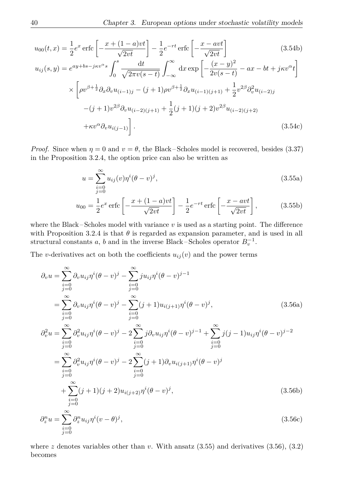$$
u_{00}(t,x) = \frac{1}{2}e^x \operatorname{erfc}\left[-\frac{x+(1-a)vt}{\sqrt{2vt}}\right] - \frac{1}{2}e^{-rt} \operatorname{erfc}\left[-\frac{x-aut}{\sqrt{2vt}}\right]
$$
(3.54b)  

$$
u_{ij}(s,y) = e^{ay+bs-j\kappa v^{\alpha}s} \int_0^s \frac{\mathrm{d}t}{\sqrt{2\pi v(s-t)}} \int_{-\infty}^{\infty} \mathrm{d}x \exp\left[-\frac{(x-y)^2}{2v(s-t)} - ax - bt + j\kappa v^{\alpha}t\right]
$$

$$
\times \left[\rho v^{\beta+\frac{1}{2}} \partial_x \partial_v u_{(i-1)j} - (j+1)\rho v^{\beta+\frac{1}{2}} \partial_x u_{(i-1)(j+1)} + \frac{1}{2}v^{2\beta} \partial_v^2 u_{(i-2)j} - (j+1)v^{2\beta} \partial_v u_{(i-2)(j+1)} + \frac{1}{2}(j+1)(j+2)v^{2\beta} u_{(i-2)(j+2)} + \kappa v^{\alpha} \partial_v u_{i(j-1)}\right].
$$
(3.54c)

*Proof.* Since when  $\eta = 0$  and  $v = \theta$ , the Black-Scholes model is recovered, besides [\(3.37\)](#page-43-0) in the Proposition [3.2.4,](#page-42-1) the option price can also be written as

<span id="page-48-0"></span>
$$
u = \sum_{\substack{i=0 \ j=0}}^{\infty} u_{ij}(v)\eta^{i}(\theta - v)^{j},
$$
\n(3.55a)

<span id="page-48-1"></span>
$$
u_{00} = \frac{1}{2}e^x \operatorname{erfc} \left[ -\frac{x + (1 - a)v t}{\sqrt{2vt}} \right] - \frac{1}{2}e^{-rt} \operatorname{erfc} \left[ -\frac{x - av t}{\sqrt{2vt}} \right],
$$
 (3.55b)

where the Black – Scholes model with variance  $v$  is used as a starting point. The difference with Proposition [3.2.4](#page-42-1) is that  $\theta$  is regarded as expansion parameter, and is used in all structural constants *a*, *b* and in the inverse Black–Scholes operator  $B_v^{-1}$ .

The *v*-derivatives act on both the coefficients  $u_{ij}(v)$  and the power terms

$$
\partial_v u = \sum_{\substack{i=0 \ i=0}}^{\infty} \partial_v u_{ij} \eta^i (\theta - v)^j - \sum_{\substack{i=0 \ i=0}}^{\infty} j u_{ij} \eta^i (\theta - v)^{j-1}
$$
\n
$$
= \sum_{\substack{i=0 \ j=0}}^{\infty} \partial_v u_{ij} \eta^i (\theta - v)^j - \sum_{\substack{i=0 \ j=0}}^{\infty} (j+1) u_{i(j+1)} \eta^i (\theta - v)^j,
$$
\n(3.56a)\n
$$
\partial_v^2 u = \sum_{\substack{i=0 \ j=0}}^{\infty} \partial_v^2 u_{ij} \eta^i (\theta - v)^j - 2 \sum_{\substack{i=0 \ j=0 \ j=0}}^{\infty} j \partial_v u_{ij} \eta^i (\theta - v)^{j-1} + \sum_{\substack{i=0 \ j=0 \ j=0}}^{\infty} j(j-1) u_{ij} \eta^i (\theta - v)^{j-2}
$$
\n
$$
= \sum_{\substack{i=0 \ j=0 \ j=0}}^{\infty} \partial_v^2 u_{ij} \eta^i (\theta - v)^j - 2 \sum_{\substack{i=0 \ j=0 \ j=0}}^{\infty} (j+1) \partial_v u_{i(j+1)} \eta^i (\theta - v)^j
$$
\n
$$
+ \sum_{\substack{i=0 \ j=0 \ j=0}}^{\infty} (j+1) (j+2) u_{i(j+2)} \eta^i (\theta - v)^j,
$$
\n(3.56b)\n
$$
\partial_x^n u = \sum_{\substack{j=0 \ j=0}}^{\infty} \partial_x^n u_{ij} \eta^i (v - \theta)^j,
$$
\n(3.56c)

where  $z$  denotes variables other than  $v$ . With ansatz  $(3.55)$  and derivatives  $(3.56)$ ,  $(3.2)$ becomes

*i*=0 *j*=0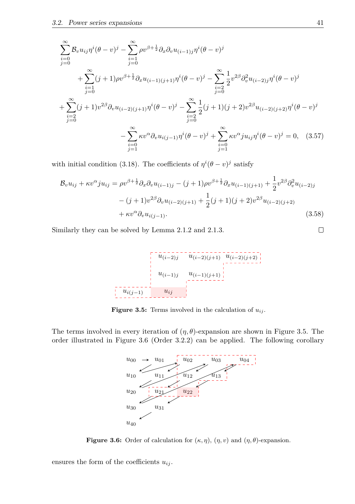$$
\sum_{\substack{i=0 \ j=0}}^{\infty} \mathcal{B}_{v} u_{ij} \eta^{i} (\theta - v)^{j} - \sum_{\substack{i=1 \ j=0}}^{\infty} \rho v^{\beta + \frac{1}{2}} \partial_{x} \partial_{v} u_{(i-1)j} \eta^{i} (\theta - v)^{j} \n+ \sum_{\substack{i=1 \ j=0 \ j=0}}^{\infty} (j+1) \rho v^{\beta + \frac{1}{2}} \partial_{x} u_{(i-1)(j+1)} \eta^{i} (\theta - v)^{j} - \sum_{\substack{i=2 \ j=0 \ j=0}}^{\infty} \frac{1}{2} v^{2\beta} \partial_{v}^{2} u_{(i-2)j} \eta^{i} (\theta - v)^{j} \n+ \sum_{\substack{i=2 \ j=0 \ j=0}}^{\infty} (j+1) v^{2\beta} \partial_{v} u_{(i-2)(j+1)} \eta^{i} (\theta - v)^{j} - \sum_{\substack{i=2 \ j=0 \ j=0}}^{\infty} \frac{1}{2} (j+1)(j+2) v^{2\beta} u_{(i-2)(j+2)} \eta^{i} (\theta - v)^{j} \n- \sum_{\substack{i=0 \ j=1}}^{\infty} \kappa v^{\alpha} \partial_{v} u_{i(j-1)} \eta^{i} (\theta - v)^{j} + \sum_{\substack{i=0 \ j=1 \ j=1}}^{\infty} \kappa v^{\alpha} j u_{ij} \eta^{i} (\theta - v)^{j} = 0, \quad (3.57)
$$

with initial condition [\(3.18\)](#page-40-2). The coefficients of  $\eta^{i}(\theta - v)^{j}$  satisfy

$$
\mathcal{B}_{v}u_{ij} + \kappa v^{\alpha}ju_{ij} = \rho v^{\beta + \frac{1}{2}} \partial_{x} \partial_{v} u_{(i-1)j} - (j+1)\rho v^{\beta + \frac{1}{2}} \partial_{x} u_{(i-1)(j+1)} + \frac{1}{2} v^{2\beta} \partial_{v}^{2} u_{(i-2)j} - (j+1)v^{2\beta} \partial_{v} u_{(i-2)(j+1)} + \frac{1}{2} (j+1)(j+2)v^{2\beta} u_{(i-2)(j+2)} + \kappa v^{\alpha} \partial_{v} u_{i(j-1)}.
$$
\n(3.58)

Similarly they can be solved by Lemma [2.1.2](#page-20-1) and [2.1.3.](#page-21-0)

$$
u_{(i-2)j} = u_{(i-2)(j+1)} - u_{(i-2)(j+2)}
$$

<span id="page-49-0"></span>**Figure 3.5:** Terms involved in the calculation of  $u_{ij}$ .

The terms involved in every iteration of  $(\eta, \theta)$ -expansion are shown in Figure [3.5.](#page-49-0) The order illustrated in Figure [3.6](#page-49-1) (Order [3.2.2\)](#page-41-1) can be applied. The following corollary



<span id="page-49-1"></span>**Figure 3.6:** Order of calculation for  $(\kappa, \eta)$ ,  $(\eta, v)$  and  $(\eta, \theta)$ -expansion.

ensures the form of the coefficients  $u_{ij}$ .

$$
\qquad \qquad \Box
$$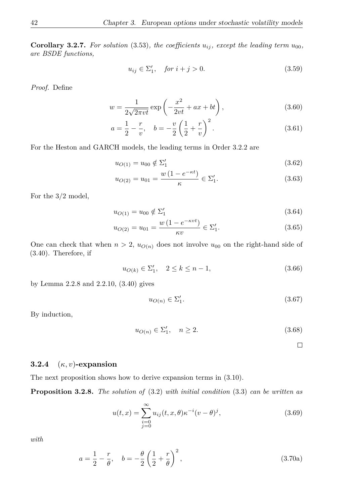**Corollary 3.2.7.** For solution [\(3.53\)](#page-47-0), the coefficients  $u_{ij}$ , except the leading term  $u_{00}$ , *are BSDE functions,*

$$
u_{ij} \in \Sigma_1', \quad \text{for } i + j > 0. \tag{3.59}
$$

*Proof.* Define

$$
w = \frac{1}{2\sqrt{2\pi vt}} \exp\left(-\frac{x^2}{2vt} + ax + bt\right),\tag{3.60}
$$

$$
a = \frac{1}{2} - \frac{r}{v}, \quad b = -\frac{v}{2} \left( \frac{1}{2} + \frac{r}{v} \right)^2.
$$
 (3.61)

For the Heston and GARCH models, the leading terms in Order [3.2.2](#page-41-1) are

$$
u_{O(1)} = u_{00} \notin \Sigma'_1 \tag{3.62}
$$

$$
u_{O(2)} = u_{01} = \frac{w\left(1 - e^{-\kappa t}\right)}{\kappa} \in \Sigma'_1. \tag{3.63}
$$

For the 3/2 model,

$$
u_{O(1)} = u_{00} \notin \Sigma_1' \tag{3.64}
$$

$$
u_{O(2)} = u_{01} = \frac{w\left(1 - e^{-\kappa vt}\right)}{\kappa v} \in \Sigma'_1. \tag{3.65}
$$

One can check that when  $n > 2$ ,  $u_{O(n)}$  does not involve  $u_{00}$  on the right-hand side of [\(3.40\)](#page-44-2). Therefore, if

$$
u_{O(k)} \in \Sigma_1', \quad 2 \le k \le n - 1,
$$
\n(3.66)

by Lemma [2.2.8](#page-25-0) and [2.2.10,](#page-26-0) [\(3.40\)](#page-44-2) gives

$$
u_{O(n)} \in \Sigma'_1. \tag{3.67}
$$

By induction,

$$
u_{O(n)} \in \Sigma_1', \quad n \ge 2. \tag{3.68}
$$

 $\Box$ 

#### **3.2.4** (*κ, v*)**-expansion**

The next proposition shows how to derive expansion terms in [\(3.10\)](#page-39-2).

<span id="page-50-0"></span>**Proposition 3.2.8.** *The solution of* [\(3.2\)](#page-37-2) *with initial condition* [\(3.3\)](#page-38-0) *can be written as*

$$
u(t,x) = \sum_{\substack{i=0 \ j=0}}^{\infty} u_{ij}(t,x,\theta) \kappa^{-i} (v-\theta)^j,
$$
 (3.69)

*with*

$$
a = \frac{1}{2} - \frac{r}{\theta}, \quad b = -\frac{\theta}{2} \left(\frac{1}{2} + \frac{r}{\theta}\right)^2, \tag{3.70a}
$$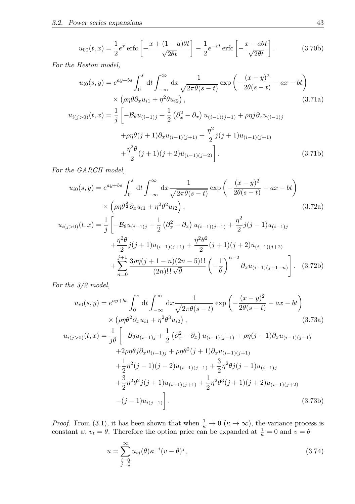$$
u_{00}(t,x) = \frac{1}{2}e^x \operatorname{erfc}\left[-\frac{x+(1-a)\theta t}{\sqrt{2\theta t}}\right] - \frac{1}{2}e^{-rt} \operatorname{erfc}\left[-\frac{x-a\theta t}{\sqrt{2\theta t}}\right].
$$
 (3.70b)

*For the Heston model,*

$$
u_{i0}(s,y) = e^{ay+bs} \int_0^s dt \int_{-\infty}^{\infty} dx \frac{1}{\sqrt{2\pi\theta(s-t)}} \exp\left(-\frac{(x-y)^2}{2\theta(s-t)} - ax - bt\right)
$$

$$
\times \left(\rho\eta\theta\partial_x u_{i1} + \eta^2\theta u_{i2}\right), \tag{3.71a}
$$

$$
u_{i(j>0)}(t,x) = \frac{1}{j} \left[ -\mathcal{B}_{\theta} u_{(i-1)j} + \frac{1}{2} \left( \partial_x^2 - \partial_x \right) u_{(i-1)(j-1)} + \rho \eta j \partial_x u_{(i-1)j} + \rho \eta \theta(j+1) \partial_x u_{(i-1)(j+1)} + \frac{\eta^2}{2} j(j+1) u_{(i-1)(j+1)} + \frac{\eta^2 \theta}{2} (j+1)(j+2) u_{(i-1)(j+2)} \right].
$$
\n(3.71b)

*For the GARCH model,*

$$
u_{i0}(s,y) = e^{ay+bs} \int_0^s dt \int_{-\infty}^{\infty} dx \frac{1}{\sqrt{2\pi\theta(s-t)}} \exp\left(-\frac{(x-y)^2}{2\theta(s-t)} - ax - bt\right)
$$
  
 
$$
\times \left(\rho \eta \theta^{\frac{3}{2}} \partial_x u_{i1} + \eta^2 \theta^2 u_{i2}\right),
$$
 (3.72a)

$$
u_{i(j>0)}(t,x) = \frac{1}{j} \left[ -\mathcal{B}_{\theta} u_{(i-1)j} + \frac{1}{2} \left( \partial_x^2 - \partial_x \right) u_{(i-1)(j-1)} + \frac{\eta^2}{2} j(j-1) u_{(i-1)j} + \frac{\eta^2 \theta}{2} j(j+1) u_{(i-1)(j+1)} + \frac{\eta^2 \theta^2}{2} (j+1)(j+2) u_{(i-1)(j+2)} + \sum_{n=0}^{j+1} \frac{3\rho \eta(j+1-n)(2n-5)!!}{(2n)!! \sqrt{\theta}} \left( -\frac{1}{\theta} \right)^{n-2} \partial_x u_{(i-1)(j+1-n)} \right].
$$
 (3.72b)

*For the 3/2 model,*

$$
u_{i0}(s,y) = e^{ay+bs} \int_0^s dt \int_{-\infty}^{\infty} dx \frac{1}{\sqrt{2\pi\theta(s-t)}} \exp\left(-\frac{(x-y)^2}{2\theta(s-t)} - ax - bt\right)
$$

$$
\times \left(\rho \eta \theta^2 \partial_x u_{i1} + \eta^2 \theta^3 u_{i2}\right), \tag{3.73a}
$$

$$
u_{i(j>0)}(t,x) = \frac{1}{j\theta} \left[ -\mathcal{B}_{\theta} u_{(i-1)j} + \frac{1}{2} \left( \partial_x^2 - \partial_x \right) u_{(i-1)(j-1)} + \rho \eta(j-1) \partial_x u_{(i-1)(j-1)} \right. \\ \left. + 2\rho \eta \theta j \partial_x u_{(i-1)j} + \rho \eta \theta^2 (j+1) \partial_x u_{(i-1)(j+1)} \right. \\ \left. + \frac{1}{2} \eta^2 (j-1)(j-2) u_{(i-1)(j-1)} + \frac{3}{2} \eta^2 \theta j (j-1) u_{(i-1)j} \right. \\ \left. + \frac{3}{2} \eta^2 \theta^2 j (j+1) u_{(i-1)(j+1)} + \frac{1}{2} \eta^2 \theta^3 (j+1)(j+2) u_{(i-1)(j+2)} \right. \\ \left. - (j-1) u_{i(j-1)} \right]. \tag{3.73b}
$$

*Proof.* From [\(3.1\)](#page-37-0), it has been shown that when  $\frac{1}{\kappa} \to 0$  ( $\kappa \to \infty$ ), the variance process is constant at  $v_t = \theta$ . Therefore the option price can be expanded at  $\frac{1}{\kappa} = 0$  and  $v = \theta$ 

$$
u = \sum_{\substack{i=0 \ j=0}}^{\infty} u_{ij}(\theta) \kappa^{-i} (v - \theta)^j,
$$
\n(3.74)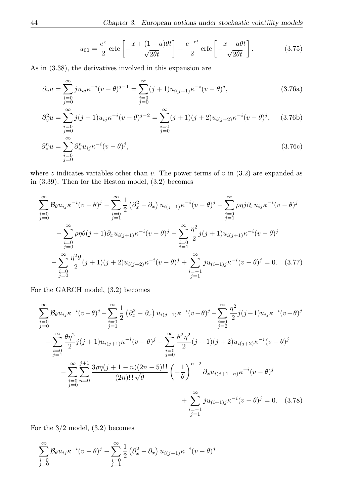$$
u_{00} = \frac{e^x}{2} \operatorname{erfc} \left[ -\frac{x + (1 - a)\theta t}{\sqrt{2\theta t}} \right] - \frac{e^{-rt}}{2} \operatorname{erfc} \left[ -\frac{x - a\theta t}{\sqrt{2\theta t}} \right].
$$
 (3.75)

As in [\(3.38\)](#page-44-0), the derivatives involved in this expansion are

$$
\partial_v u = \sum_{\substack{i=0 \ j=0}}^{\infty} j u_{ij} \kappa^{-i} (v - \theta)^{j-1} = \sum_{\substack{i=0 \ j=0}}^{\infty} (j+1) u_{i(j+1)} \kappa^{-i} (v - \theta)^j,
$$
\n(3.76a)

$$
\partial_v^2 u = \sum_{\substack{i=0 \ j=0}}^{\infty} j(j-1) u_{ij} \kappa^{-i} (v-\theta)^{j-2} = \sum_{\substack{i=0 \ j=0}}^{\infty} (j+1)(j+2) u_{i(j+2)} \kappa^{-i} (v-\theta)^j, \quad (3.76b)
$$

$$
\partial_z^n u = \sum_{\substack{i=0 \ j=0}}^{\infty} \partial_z^n u_{ij} \kappa^{-i} (v - \theta)^j,
$$
\n(3.76c)

where  $z$  indicates variables other than  $v$ . The power terms of  $v$  in  $(3.2)$  are expanded as in [\(3.39\)](#page-44-1). Then for the Heston model, [\(3.2\)](#page-37-2) becomes

$$
\sum_{\substack{i=0 \ j=0}}^{\infty} \mathcal{B}_{\theta} u_{ij} \kappa^{-i} (v - \theta)^j - \sum_{\substack{i=0 \ j=1}}^{\infty} \frac{1}{2} \left( \partial_x^2 - \partial_x \right) u_{i(j-1)} \kappa^{-i} (v - \theta)^j - \sum_{\substack{i=0 \ j=1}}^{\infty} \rho \eta j \partial_x u_{ij} \kappa^{-i} (v - \theta)^j
$$

$$
- \sum_{\substack{i=0 \ j=0}}^{\infty} \rho \eta \theta(j+1) \partial_x u_{i(j+1)} \kappa^{-i} (v - \theta)^j - \sum_{\substack{i=0 \ j=1}}^{\infty} \frac{\eta^2}{2} j(j+1) u_{i(j+1)} \kappa^{-i} (v - \theta)^j
$$

$$
- \sum_{\substack{i=0 \ j=0}}^{\infty} \frac{\eta^2 \theta}{2} (j+1)(j+2) u_{i(j+2)} \kappa^{-i} (v - \theta)^j + \sum_{\substack{i=-1 \ j=1}}^{\infty} j u_{i(j+1)} \kappa^{-i} (v - \theta)^j = 0. \quad (3.77)
$$

For the GARCH model, [\(3.2\)](#page-37-2) becomes

$$
\sum_{\substack{i=0 \ j=0}}^{\infty} \mathcal{B}_{\theta} u_{ij} \kappa^{-i} (v - \theta)^j - \sum_{\substack{i=0 \ j=1}}^{\infty} \frac{1}{2} \left( \partial_x^2 - \partial_x \right) u_{i(j-1)} \kappa^{-i} (v - \theta)^j - \sum_{\substack{i=0 \ j=2}}^{\infty} \frac{\eta^2}{2} j(j-1) u_{ij} \kappa^{-i} (v - \theta)^j
$$
  
- 
$$
\sum_{\substack{i=0 \ j=1}}^{\infty} \frac{\theta \eta^2}{2} j(j+1) u_{i(j+1)} \kappa^{-i} (v - \theta)^j - \sum_{\substack{i=0 \ j=0}}^{\infty} \frac{\theta^2 \eta^2}{2} (j+1)(j+2) u_{i(j+2)} \kappa^{-i} (v - \theta)^j
$$
  
- 
$$
\sum_{\substack{i=0 \ j=0}}^{\infty} \sum_{n=0}^{j+1} \frac{3 \rho \eta (j+1-n)(2n-5)!}{(2n)! \sqrt{\theta}} \left( -\frac{1}{\theta} \right)^{n-2} \partial_x u_{i(j+1-n)} \kappa^{-i} (v - \theta)^j
$$
  
+ 
$$
\sum_{\substack{i=-1 \ j=1}}^{\infty} j u_{(i+1)j} \kappa^{-i} (v - \theta)^j = 0. \quad (3.78)
$$

For the 3/2 model, [\(3.2\)](#page-37-2) becomes

$$
\sum_{\substack{i=0\\j=0}}^{\infty} \mathcal{B}_{\theta} u_{ij} \kappa^{-i} (v - \theta)^j - \sum_{\substack{i=0\\j=1}}^{\infty} \frac{1}{2} \left( \partial_x^2 - \partial_x \right) u_{i(j-1)} \kappa^{-i} (v - \theta)^j
$$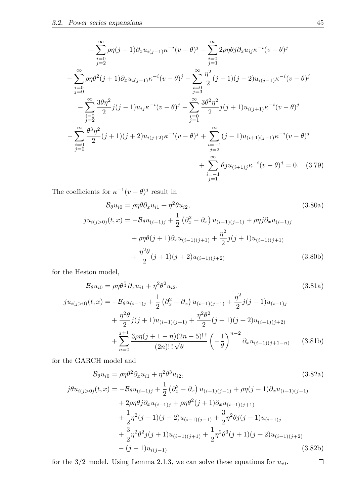$$
-\sum_{\substack{i=0 \ j=2}}^{\infty} \rho \eta(j-1) \partial_x u_{i(j-1)} \kappa^{-i} (v-\theta)^j - \sum_{\substack{i=0 \ j=1}}^{\infty} 2\rho \eta \theta j \partial_x u_{ij} \kappa^{-i} (v-\theta)^j
$$
  

$$
-\sum_{\substack{i=0 \ j=0}}^{\infty} \rho \eta \theta^2 (j+1) \partial_x u_{i(j+1)} \kappa^{-i} (v-\theta)^j - \sum_{\substack{i=0 \ j=3}}^{\infty} \frac{\eta^2}{2} (j-1)(j-2) u_{i(j-1)} \kappa^{-i} (v-\theta)^j
$$
  

$$
-\sum_{\substack{i=0 \ j=2}}^{\infty} \frac{3\theta \eta^2}{2} j(j-1) u_{ij} \kappa^{-i} (v-\theta)^j - \sum_{\substack{i=0 \ j=1}}^{\infty} \frac{3\theta^2 \eta^2}{2} j(j+1) u_{i(j+1)} \kappa^{-i} (v-\theta)^j
$$
  

$$
-\sum_{\substack{i=0 \ j=0}}^{\infty} \frac{\theta^3 \eta^2}{2} (j+1)(j+2) u_{i(j+2)} \kappa^{-i} (v-\theta)^j + \sum_{\substack{i=-1 \ j=2}}^{\infty} (j-1) u_{i+1} (j-1) \kappa^{-i} (v-\theta)^j
$$
  

$$
+\sum_{\substack{i=-1 \ j=1}}^{\infty} \theta j u_{i+1} j \kappa^{-i} (v-\theta)^j = 0. \quad (3.79)
$$

The coefficients for  $\kappa^{-1}(v-\theta)^j$  result in

<span id="page-53-0"></span>
$$
\mathcal{B}_{\theta}u_{i0} = \rho\eta\theta\partial_x u_{i1} + \eta^2\theta u_{i2},
$$
\n(3.80a)  
\n
$$
ju_{i(j>0)}(t,x) = -\mathcal{B}_{\theta}u_{(i-1)j} + \frac{1}{2}(\partial_x^2 - \partial_x)u_{(i-1)(j-1)} + \rho\eta j\partial_x u_{(i-1)j}
$$
\n
$$
+ \rho\eta\theta(j+1)\partial_x u_{(i-1)(j+1)} + \frac{\eta^2}{2}j(j+1)u_{(i-1)(j+1)}
$$
\n
$$
+ \frac{\eta^2\theta}{2}(j+1)(j+2)u_{(i-1)(j+2)}
$$
\n(3.80b)

for the Heston model,

$$
\mathcal{B}_{\theta}u_{i0} = \rho\eta\theta^{\frac{3}{2}}\partial_x u_{i1} + \eta^2\theta^2 u_{i2},
$$
\n
$$
(3.81a)
$$
\n
$$
ju_{i(j>0)}(t,x) = -\mathcal{B}_{\theta}u_{(i-1)j} + \frac{1}{2}\left(\partial_x^2 - \partial_x\right)u_{(i-1)(j-1)} + \frac{\eta^2}{2}j(j-1)u_{(i-1)j} + \frac{\eta^2\theta^2}{2}j(j+1)u_{(i-1)(j+1)} + \frac{\eta^2\theta^2}{2}(j+1)(j+2)u_{(i-1)(j+2)} + \sum_{n=0}^{j+1}\frac{3\rho\eta(j+1-n)(2n-5)!!}{(2n)!!\sqrt{\theta}}\left(-\frac{1}{\theta}\right)^{n-2}\partial_x u_{(i-1)(j+1-n)} \quad (3.81b)
$$

for the GARCH model and

$$
\mathcal{B}_{\theta}u_{i0} = \rho\eta\theta^{2}\partial_{x}u_{i1} + \eta^{2}\theta^{3}u_{i2},
$$
\n
$$
(3.82a)
$$
\n
$$
j\theta u_{i(j>0)}(t,x) = -\mathcal{B}_{\theta}u_{(i-1)j} + \frac{1}{2}\left(\partial_{x}^{2} - \partial_{x}\right)u_{(i-1)(j-1)} + \rho\eta(j-1)\partial_{x}u_{(i-1)(j-1)} + 2\rho\eta\theta j\partial_{x}u_{(i-1)j} + \rho\eta\theta^{2}(j+1)\partial_{x}u_{(i-1)(j+1)} + \frac{1}{2}\eta^{2}(j-1)(j-2)u_{(i-1)(j-1)} + \frac{3}{2}\eta^{2}\theta j(j-1)u_{(i-1)j} + \frac{3}{2}\eta^{2}\theta^{2}j(j+1)u_{(i-1)(j+1)} + \frac{1}{2}\eta^{2}\theta^{3}(j+1)(j+2)u_{(i-1)(j+2)} - (j-1)u_{i(j-1)}
$$
\n(3.82b)

for the  $3/2$  model. Using Lemma [2.1.3,](#page-21-0) we can solve these equations for  $u_{i0}$ .

 $\Box$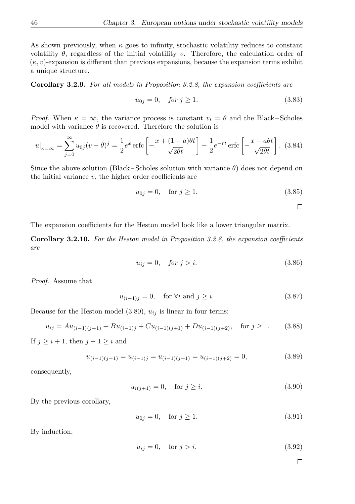As shown previously, when  $\kappa$  goes to infinity, stochastic volatility reduces to constant volatility *θ*, regardless of the initial volatility *v*. Therefore, the calculation order of  $(\kappa, v)$ -expansion is different than previous expansions, because the expansion terms exhibit a unique structure.

**Corollary 3.2.9.** *For all models in Proposition [3.2.8,](#page-50-0) the expansion coefficients are*

$$
u_{0j} = 0, \quad \text{for } j \ge 1. \tag{3.83}
$$

*Proof.* When  $\kappa = \infty$ , the variance process is constant  $v_t = \theta$  and the Black-Scholes model with variance  $\theta$  is recovered. Therefore the solution is

$$
u|_{\kappa=\infty} = \sum_{j=0}^{\infty} u_{0j}(v-\theta)^j = \frac{1}{2}e^x \operatorname{erfc} \left[ -\frac{x+(1-a)\theta t}{\sqrt{2\theta t}} \right] - \frac{1}{2}e^{-rt} \operatorname{erfc} \left[ -\frac{x-a\theta t}{\sqrt{2\theta t}} \right].
$$
 (3.84)

Since the above solution (Black – Scholes solution with variance *θ*) does not depend on the initial variance *v*, the higher order coefficients are

$$
u_{0j} = 0, \quad \text{for } j \ge 1. \tag{3.85}
$$

 $\Box$ 

The expansion coefficients for the Heston model look like a lower triangular matrix.

**Corollary 3.2.10.** *For the Heston model in Proposition [3.2.8,](#page-50-0) the expansion coefficients are*

$$
u_{ij} = 0, \quad \text{for } j > i. \tag{3.86}
$$

*Proof.* Assume that

$$
u_{(i-1)j} = 0, \quad \text{for } \forall i \text{ and } j \ge i. \tag{3.87}
$$

Because for the Heston model  $(3.80)$ ,  $u_{ij}$  is linear in four terms:

$$
u_{ij} = Au_{(i-1)(j-1)} + Bu_{(i-1)j} + Cu_{(i-1)(j+1)} + Du_{(i-1)(j+2)}, \text{ for } j \ge 1.
$$
 (3.88)

If  $j \geq i + 1$ , then  $j - 1 \geq i$  and

$$
u_{(i-1)(j-1)} = u_{(i-1)j} = u_{(i-1)(j+1)} = u_{(i-1)(j+2)} = 0,
$$
\n(3.89)

consequently,

$$
u_{i(j+1)} = 0, \quad \text{for } j \ge i. \tag{3.90}
$$

By the previous corollary,

$$
u_{0j} = 0, \quad \text{for } j \ge 1. \tag{3.91}
$$

By induction,

$$
u_{ij} = 0, \quad \text{for } j > i. \tag{3.92}
$$

 $\Box$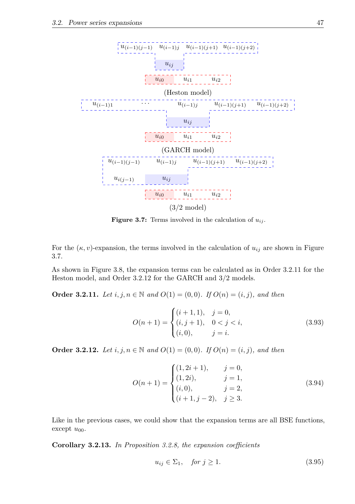

<span id="page-55-0"></span>**Figure 3.7:** Terms involved in the calculation of  $u_{ij}$ .

For the  $(\kappa, v)$ -expansion, the terms involved in the calculation of  $u_{ij}$  are shown in Figure [3.7.](#page-55-0)

As shown in Figure [3.8,](#page-56-0) the expansion terms can be calculated as in Order [3.2.11](#page-55-1) for the Heston model, and Order [3.2.12](#page-55-2) for the GARCH and 3/2 models.

<span id="page-55-1"></span>**Order 3.2.11.** *Let i, j, n* ∈ *N and*  $O(1) = (0,0)$ *. If*  $O(n) = (i, j)$ *, and then* 

$$
O(n+1) = \begin{cases} (i+1,1), & j=0, \\ (i,j+1), & 0 < j < i, \\ (i,0), & j=i. \end{cases}
$$
 (3.93)

<span id="page-55-2"></span>**Order 3.2.12.** *Let i, j, n* ∈ *N and*  $O(1) = (0,0)$ *. If*  $O(n) = (i, j)$ *, and then* 

$$
O(n+1) = \begin{cases} (1, 2i + 1), & j = 0, \\ (1, 2i), & j = 1, \\ (i, 0), & j = 2, \\ (i + 1, j - 2), & j \ge 3. \end{cases}
$$
(3.94)

Like in the previous cases, we could show that the expansion terms are all BSE functions,  $except u_{00}.$ 

**Corollary 3.2.13.** *In Proposition [3.2.8,](#page-50-0) the expansion coefficients*

$$
u_{ij} \in \Sigma_1, \quad \text{for } j \ge 1. \tag{3.95}
$$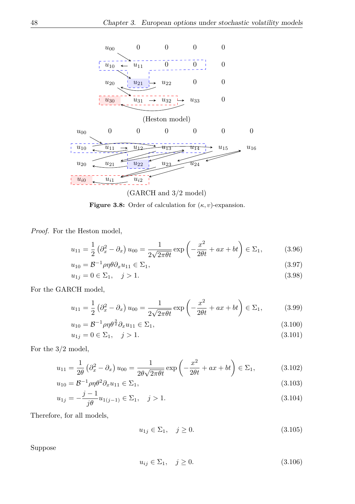

<span id="page-56-0"></span>**Figure 3.8:** Order of calculation for  $(\kappa, v)$ -expansion.

*Proof.* For the Heston model,

$$
u_{11} = \frac{1}{2} \left( \partial_x^2 - \partial_x \right) u_{00} = \frac{1}{2\sqrt{2\pi\theta t}} \exp\left( -\frac{x^2}{2\theta t} + ax + bt \right) \in \Sigma_1,
$$
 (3.96)

$$
u_{10} = \mathcal{B}^{-1} \rho \eta \theta \partial_x u_{11} \in \Sigma_1,\tag{3.97}
$$

$$
u_{1j} = 0 \in \Sigma_1, \quad j > 1. \tag{3.98}
$$

For the GARCH model,

$$
u_{11} = \frac{1}{2} \left( \partial_x^2 - \partial_x \right) u_{00} = \frac{1}{2\sqrt{2\pi\theta t}} \exp\left( -\frac{x^2}{2\theta t} + ax + bt \right) \in \Sigma_1,
$$
 (3.99)

$$
u_{10} = \mathcal{B}^{-1} \rho \eta \theta^{\frac{3}{2}} \partial_x u_{11} \in \Sigma_1,
$$
\n(3.100)

$$
u_{1j} = 0 \in \Sigma_1, \quad j > 1. \tag{3.101}
$$

For the 3/2 model,

$$
u_{11} = \frac{1}{2\theta} \left(\partial_x^2 - \partial_x\right) u_{00} = \frac{1}{2\theta\sqrt{2\pi\theta t}} \exp\left(-\frac{x^2}{2\theta t} + ax + bt\right) \in \Sigma_1,
$$
\n(3.102)

$$
u_{10} = \mathcal{B}^{-1} \rho \eta \theta^2 \partial_x u_{11} \in \Sigma_1,
$$
\n(3.103)\n  
\n
$$
j - 1
$$
\n(3.104)

$$
u_{1j} = -\frac{j-1}{j\theta}u_{1(j-1)} \in \Sigma_1, \quad j > 1.
$$
\n(3.104)

Therefore, for all models,

$$
u_{1j} \in \Sigma_1, \quad j \ge 0. \tag{3.105}
$$

Suppose

$$
u_{ij} \in \Sigma_1, \quad j \ge 0. \tag{3.106}
$$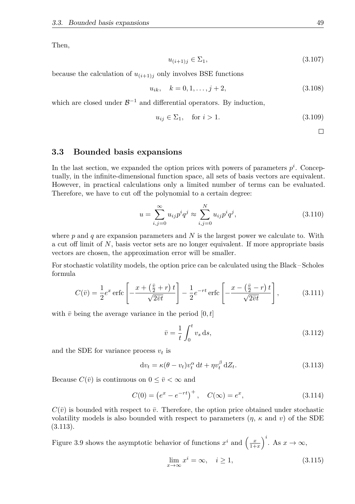Then,

$$
u_{(i+1)j} \in \Sigma_1,\tag{3.107}
$$

because the calculation of  $u_{(i+1)j}$  only involves BSE functions

$$
u_{ik}, \quad k = 0, 1, \dots, j + 2,\tag{3.108}
$$

which are closed under  $\mathcal{B}^{-1}$  and differential operators. By induction,

$$
u_{ij} \in \Sigma_1, \quad \text{for } i > 1. \tag{3.109}
$$

 $\Box$ 

## **3.3 Bounded basis expansions**

In the last section, we expanded the option prices with powers of parameters  $p^i$ . Conceptually, in the infinite-dimensional function space, all sets of basis vectors are equivalent. However, in practical calculations only a limited number of terms can be evaluated. Therefore, we have to cut off the polynomial to a certain degree:

$$
u = \sum_{i,j=0}^{\infty} u_{ij} p^i q^j \approx \sum_{i,j=0}^{N} u_{ij} p^i q^j,
$$
 (3.110)

where *p* and *q* are expansion parameters and *N* is the largest power we calculate to. With a cut off limit of *N*, basis vector sets are no longer equivalent. If more appropriate basis vectors are chosen, the approximation error will be smaller.

For stochastic volatility models, the option price can be calculated using the Black – Scholes formula

$$
C(\bar{v}) = \frac{1}{2}e^x \operatorname{erfc}\left[-\frac{x + \left(\frac{\bar{v}}{2} + r\right)t}{\sqrt{2\bar{v}t}}\right] - \frac{1}{2}e^{-rt} \operatorname{erfc}\left[-\frac{x - \left(\frac{\bar{v}}{2} - r\right)t}{\sqrt{2\bar{v}t}}\right],\tag{3.111}
$$

with  $\bar{v}$  being the average variance in the period  $[0, t]$ 

<span id="page-57-0"></span>
$$
\bar{v} = \frac{1}{t} \int_0^t v_s \, \mathrm{d}s,\tag{3.112}
$$

and the SDE for variance process  $v_t$  is

$$
dv_t = \kappa(\theta - v_t)v_t^{\alpha} dt + \eta v_t^{\beta} dZ_t.
$$
\n(3.113)

Because  $C(\bar{v})$  is continuous on  $0 \leq \bar{v} < \infty$  and

$$
C(0) = (e^x - e^{-rt})^+, \quad C(\infty) = e^x,
$$
\n(3.114)

 $C(\bar{v})$  is bounded with respect to  $\bar{v}$ . Therefore, the option price obtained under stochastic volatility models is also bounded with respect to parameters  $(\eta, \kappa \text{ and } v)$  of the SDE [\(3.113\)](#page-57-0).

Figure [3.9](#page-58-0) shows the asymptotic behavior of functions  $x^i$  and  $\left(\frac{x}{1+x}\right)^i$ . As  $x \to \infty$ ,

$$
\lim_{x \to \infty} x^i = \infty, \quad i \ge 1,
$$
\n(3.115)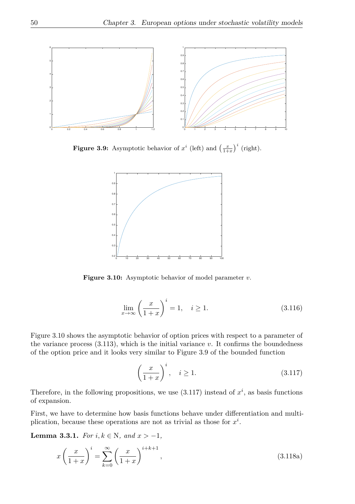

**Figure 3.9:** Asymptotic behavior of  $x^i$  (left) and  $\left(\frac{x}{1+x}\right)^i$  (right).

<span id="page-58-0"></span>

**Figure 3.10:** Asymptotic behavior of model parameter *v*.

<span id="page-58-1"></span>
$$
\lim_{x \to \infty} \left(\frac{x}{1+x}\right)^i = 1, \quad i \ge 1.
$$
\n(3.116)

Figure [3.10](#page-58-1) shows the asymptotic behavior of option prices with respect to a parameter of the variance process [\(3.113\)](#page-57-0), which is the initial variance *v*. It confirms the boundedness of the option price and it looks very similar to Figure [3.9](#page-58-0) of the bounded function

<span id="page-58-2"></span>
$$
\left(\frac{x}{1+x}\right)^i, \quad i \ge 1. \tag{3.117}
$$

Therefore, in the following propositions, we use  $(3.117)$  instead of  $x^i$ , as basis functions of expansion.

First, we have to determine how basis functions behave under differentiation and multiplication, because these operations are not as trivial as those for  $x^i$ .

<span id="page-58-3"></span>**Lemma 3.3.1.** *For i*, *k* ∈ N*, and*  $x$  > −1*,* 

$$
x\left(\frac{x}{1+x}\right)^i = \sum_{k=0}^{\infty} \left(\frac{x}{1+x}\right)^{i+k+1},\tag{3.118a}
$$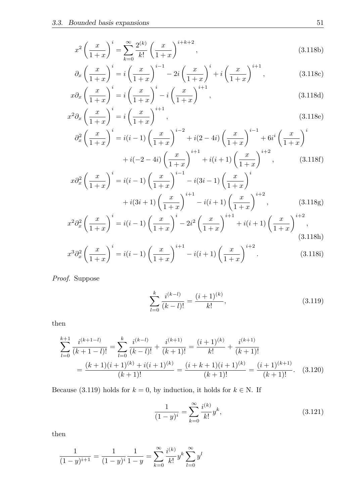$$
x^{2} \left(\frac{x}{1+x}\right)^{i} = \sum_{k=0}^{\infty} \frac{2^{(k)}}{k!} \left(\frac{x}{1+x}\right)^{i+k+2}, \tag{3.118b}
$$

$$
\partial_x \left(\frac{x}{1+x}\right)^i = i\left(\frac{x}{1+x}\right)^{i-1} - 2i\left(\frac{x}{1+x}\right)^i + i\left(\frac{x}{1+x}\right)^{i+1},\tag{3.118c}
$$

$$
x\partial_x \left(\frac{x}{1+x}\right)^i = i\left(\frac{x}{1+x}\right)^i - i\left(\frac{x}{1+x}\right)^{i+1},\tag{3.118d}
$$

$$
x^{2}\partial_{x}\left(\frac{x}{1+x}\right)^{i} = i\left(\frac{x}{1+x}\right)^{i+1},\tag{3.118e}
$$

$$
\partial_x^2 \left(\frac{x}{1+x}\right)^i = i(i-1) \left(\frac{x}{1+x}\right)^{i-2} + i(2-4i) \left(\frac{x}{1+x}\right)^{i-1} + 6i^i \left(\frac{x}{1+x}\right)^i + i(-2-4i) \left(\frac{x}{1+x}\right)^{i+1} + i(i+1) \left(\frac{x}{1+x}\right)^{i+2}, \tag{3.118f}
$$

$$
x\partial_x^2 \left(\frac{x}{1+x}\right)^i = i(i-1)\left(\frac{x}{1+x}\right)^{i-1} - i(3i-1)\left(\frac{x}{1+x}\right)^i
$$

$$
+ i(3i+1)\left(\frac{x}{1+x}\right)^{i+1} - i(i+1)\left(\frac{x}{1+x}\right)^{i+2}, \qquad (3.118g)
$$

$$
x^{2} \partial_{x}^{2} \left(\frac{x}{1+x}\right)^{i} = i(i-1) \left(\frac{x}{1+x}\right)^{i} - 2i^{2} \left(\frac{x}{1+x}\right)^{i+1} + i(i+1) \left(\frac{x}{1+x}\right)^{i+2},
$$
\n(3.118h)

$$
x^3 \partial_x^2 \left(\frac{x}{1+x}\right)^i = i(i-1) \left(\frac{x}{1+x}\right)^{i+1} - i(i+1) \left(\frac{x}{1+x}\right)^{i+2}.
$$
 (3.118i)

*Proof.* Suppose

<span id="page-59-0"></span>
$$
\sum_{l=0}^{k} \frac{i^{(k-l)}}{(k-l)!} = \frac{(i+1)^{(k)}}{k!},\tag{3.119}
$$

then

$$
\sum_{l=0}^{k+1} \frac{i^{(k+1-l)}}{(k+1-l)!} = \sum_{l=0}^{k} \frac{i^{(k-l)}}{(k-l)!} + \frac{i^{(k+1)}}{(k+1)!} = \frac{(i+1)^{(k)}}{k!} + \frac{i^{(k+1)}}{(k+1)!}
$$

$$
= \frac{(k+1)(i+1)^{(k)} + i(i+1)^{(k)}}{(k+1)!} = \frac{(i+k+1)(i+1)^{(k)}}{(k+1)!} = \frac{(i+1)^{(k+1)}}{(k+1)!}.
$$
(3.120)

Because [\(3.119\)](#page-59-0) holds for  $k = 0$ , by induction, it holds for  $k \in N$ . If

<span id="page-59-1"></span>
$$
\frac{1}{(1-y)^i} = \sum_{k=0}^{\infty} \frac{i^{(k)}}{k!} y^k,
$$
\n(3.121)

then

$$
\frac{1}{(1-y)^{i+1}} = \frac{1}{(1-y)^i} \frac{1}{1-y} = \sum_{k=0}^{\infty} \frac{i^{(k)}}{k!} y^k \sum_{l=0}^{\infty} y^l
$$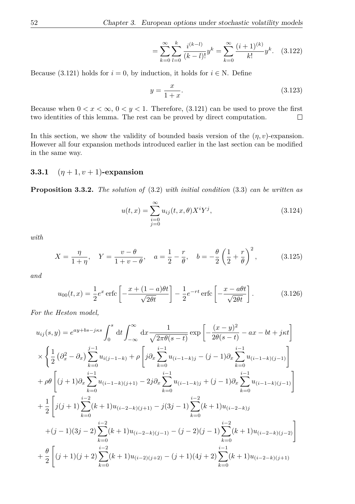$$
= \sum_{k=0}^{\infty} \sum_{l=0}^{k} \frac{i^{(k-l)}}{(k-l)!} y^k = \sum_{k=0}^{\infty} \frac{(i+1)^{(k)}}{k!} y^k.
$$
 (3.122)

Because [\(3.121\)](#page-59-1) holds for  $i = 0$ , by induction, it holds for  $i \in N$ . Define

$$
y = \frac{x}{1+x}.\tag{3.123}
$$

Because when  $0 < x < \infty$ ,  $0 < y < 1$ . Therefore, [\(3.121\)](#page-59-1) can be used to prove the first two identities of this lemma. The rest can be proved by direct computation.  $\Box$ 

In this section, we show the validity of bounded basis version of the  $(\eta, v)$ -expansion. However all four expansion methods introduced earlier in the last section can be modified in the same way.

## <span id="page-60-0"></span>**3.3.1**  $(n+1, v+1)$ -expansion

**Proposition 3.3.2.** *The solution of* [\(3.2\)](#page-37-2) *with initial condition* [\(3.3\)](#page-38-0) *can be written as*

$$
u(t,x) = \sum_{\substack{i=0 \ j=0}}^{\infty} u_{ij}(t,x,\theta) X^i Y^j,
$$
\n(3.124)

*with*

$$
X = \frac{\eta}{1+\eta}, \quad Y = \frac{v-\theta}{1+v-\theta}, \quad a = \frac{1}{2} - \frac{r}{\theta}, \quad b = -\frac{\theta}{2} \left(\frac{1}{2} + \frac{r}{\theta}\right)^2, \quad (3.125)
$$

*and*

$$
u_{00}(t,x) = \frac{1}{2}e^x \operatorname{erfc}\left[-\frac{x+(1-a)\theta t}{\sqrt{2\theta t}}\right] - \frac{1}{2}e^{-rt} \operatorname{erfc}\left[-\frac{x-a\theta t}{\sqrt{2\theta t}}\right].
$$
 (3.126)

*For the Heston model,*

$$
u_{ij}(s,y) = e^{ay+bs-j\kappa s} \int_0^s dt \int_{-\infty}^{\infty} dx \frac{1}{\sqrt{2\pi\theta(s-t)}} \exp\left[-\frac{(x-y)^2}{2\theta(s-t)} - ax - bt + j\kappa t\right]
$$
  
\n
$$
\times \left\{\frac{1}{2} \left(\partial_x^2 - \partial_x\right) \sum_{k=0}^{j-1} u_{i(j-1-k)} + \rho \left[j\partial_x \sum_{k=0}^{i-1} u_{(i-1-k)j} - (j-1)\partial_x \sum_{k=0}^{i-1} u_{(i-1-k)(j-1)}\right]
$$
  
\n
$$
+ \rho \theta \left[(j+1)\partial_x \sum_{k=0}^{i-1} u_{(i-1-k)(j+1)} - 2j\partial_x \sum_{k=0}^{i-1} u_{(i-1-k)j} + (j-1)\partial_x \sum_{k=0}^{i-1} u_{(i-1-k)(j-1)}\right]
$$
  
\n
$$
+ \frac{1}{2} \left[j(j+1)\sum_{k=0}^{i-2} (k+1)u_{(i-2-k)(j+1)} - j(3j-1)\sum_{k=0}^{i-2} (k+1)u_{(i-2-k)j} + (j-1)(3j-2)\sum_{k=0}^{i-2} (k+1)u_{(i-2-k)(j-2)}\right]
$$
  
\n
$$
+ \frac{\theta}{2} \left[(j+1)(j+2)\sum_{k=0}^{i-2} (k+1)u_{(i-2)(j+2)} - (j+1)(4j+2)\sum_{k=0}^{i-1} (k+1)u_{(i-2-k)(j+1)} + \frac{\theta}{2} \left[(j+1)(j+2)\sum_{k=0}^{i-2} (k+1)u_{(i-2)(j+2)} - (j+1)(4j+2)\sum_{k=0}^{i-1} (k+1)u_{(i-2-k)(j+1)}\right]
$$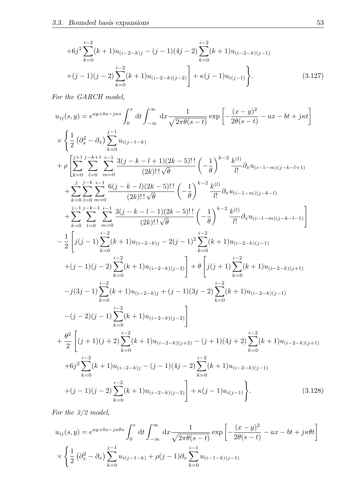$$
+6j^{2}\sum_{k=0}^{i-2}(k+1)u_{(i-2-k)j} - (j-1)(4j-2)\sum_{k=0}^{i-2}(k+1)u_{(i-2-k)(j-1)} + (j-1)(j-2)\sum_{k=0}^{i-2}(k+1)u_{(i-2-k)(j-2)} + \kappa(j-1)u_{i(j-1)}.
$$
 (3.127)

*For the GARCH model,*

$$
u_{ij}(s,y) = e^{ay + bs - j\kappa s} \int_0^s dt \int_{-\infty}^{\infty} dx \frac{1}{\sqrt{2\pi\theta(s-t)}} \exp\left[-\frac{(x-y)^2}{2\theta(s-t)} - ax - bt + j\kappa t\right]
$$
  
\n
$$
\times \left\{\frac{1}{2} \left(\partial_x^2 - \partial_x\right) \sum_{k=0}^{j-1} u_{i(j-1-k)} + \rho \left[\sum_{k=0}^{j-1} \sum_{l=0}^{k-1} \sum_{m=0}^{k-1} \frac{3(j-k-l+1)(2k-5)!!}{(2k)!!\sqrt{\theta}} \left(-\frac{1}{\theta}\right)^{k-2} \frac{k^{(l)}}{l!} \partial_x u_{(i-1-m)(j-k-l+1)}\right]
$$
  
\n
$$
+ \sum_{k=0}^{j} \sum_{l=0}^{j-k} \sum_{m=0}^{i-1} \frac{6(j-k-l)(2k-5)!!}{(2k)!!\sqrt{\theta}} \left(-\frac{1}{\theta}\right)^{k-2} \frac{k^{(l)}}{l!} \partial_x u_{(i-1-m)(j-k-l)}\right]
$$
  
\n
$$
+ \sum_{k=0}^{j-1} \sum_{l=0}^{j-k-1} \sum_{m=0}^{i-1} \frac{3(j-k-l-1)(2k-5)!!}{(2k)!!\sqrt{\theta}} \left(-\frac{1}{\theta}\right)^{k-2} \frac{k^{(l)}}{l!} \partial_x u_{(i-1-m)(j-k-l-1)}\right]
$$
  
\n
$$
- \frac{1}{2} \left[ j(j-1) \sum_{k=0}^{i-2} (k+1) u_{(i-2-k)j} - 2(j-1)^2 \sum_{k=0}^{i-2} (k+1) u_{(i-2-k)(j-1)}\right]
$$
  
\n
$$
+ (j-1)(j-2) \sum_{k=0}^{i-2} (k+1) u_{(i-2-k)(j-2)} \right] + \theta \left[ j(j+1) \sum_{k=0}^{i-2} (k+1) u_{(i-2-k)(j+1)}\right]
$$
  
\n
$$
-j(3j-1) \sum_{k=0}^{i-2} (k+1) u_{(i-2-k)j} + (j-1)(3j-2) \sum_{k=0}^{i
$$

*For the 3/2 model,*

$$
u_{ij}(s,y) = e^{ay + bs - j\kappa\theta s} \int_0^s dt \int_{-\infty}^{\infty} dx \frac{1}{\sqrt{2\pi\theta(s-t)}} \exp\left[-\frac{(x-y)^2}{2\theta(s-t)} - ax - bt + j\kappa\theta t\right] \times \left\{\frac{1}{2} \left(\partial_x^2 - \partial_x\right) \sum_{k=0}^{j-1} u_{i(j-1-k)} + \rho(j-1)\partial_x \sum_{k=0}^{i-1} u_{i(-1-k)(j-1)}\right\}
$$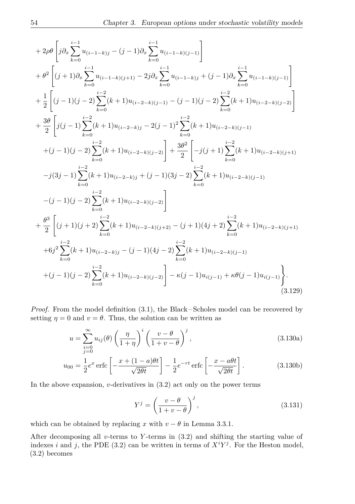$$
+ 2\rho\theta \left[ j\partial_x \sum_{k=0}^{i-1} u_{(i-1-k)j} - (j-1)\partial_x \sum_{k=0}^{i-1} u_{(i-1-k)(j-1)} \right]
$$
  
\n
$$
+ \theta^2 \left[ (j+1)\partial_x \sum_{k=0}^{i-1} u_{(i-1-k)(j+1)} - 2j\partial_x \sum_{k=0}^{i-1} u_{(i-1-k)j} + (j-1)\partial_x \sum_{k=0}^{i-1} u_{(i-1-k)(j-1)} \right]
$$
  
\n
$$
+ \frac{1}{2} \left[ (j-1)(j-2) \sum_{k=0}^{i-2} (k+1)u_{(i-2-k)(j-1)} - (j-1)(j-2) \sum_{k=0}^{i-2} (k+1)u_{(i-2-k)(j-2)} \right]
$$
  
\n
$$
+ \frac{3\theta}{2} \left[ j(j-1) \sum_{k=0}^{i-2} (k+1)u_{(i-2-k)j} - 2(j-1)^2 \sum_{k=0}^{i-2} (k+1)u_{(i-2-k)(j-1)} + (j-1)(j-2) \sum_{k=0}^{i-2} (k+1)u_{(i-2-k)(j-1)} \right]
$$
  
\n
$$
+ (j-1)(j-2) \sum_{k=0}^{i-2} (k+1)u_{(i-2-k)j} + (j-1)(3j-2) \sum_{k=0}^{i-2} (k+1)u_{(i-2-k)(j-1)} -j(3j-1) \sum_{k=0}^{i-2} (k+1)u_{(i-2-k)j-2} \right]
$$
  
\n
$$
- (j-1)(j-2) \sum_{k=0}^{i-2} (k+1)u_{(i-2-k)j} - (j-1)(4j-2) \sum_{k=0}^{i-2} (k+1)u_{(i-2-k)j-1} - (j+1)(4j+2) \sum_{k=0}^{i-2} (k+1)u_{(i-2-k)j+1} + 6j^2 \sum_{k=0}^{i-2} (k+1)u_{(i-2-k)j} - (j-1)(4j-2) \sum_{k=0}^{i-2} (k+1)u_{(i-2-k)j-1} + (j-1)(j-
$$

*Proof.* From the model definition [\(3.1\)](#page-37-0), the Black-Scholes model can be recovered by setting  $\eta = 0$  and  $v = \theta$ . Thus, the solution can be written as

$$
u = \sum_{\substack{i=0 \ j=0}}^{\infty} u_{ij}(\theta) \left(\frac{\eta}{1+\eta}\right)^i \left(\frac{v-\theta}{1+v-\theta}\right)^j,
$$
\n(3.130a)

$$
u_{00} = \frac{1}{2}e^x \operatorname{erfc} \left[ -\frac{x + (1 - a)\theta t}{\sqrt{2\theta t}} \right] - \frac{1}{2}e^{-rt} \operatorname{erfc} \left[ -\frac{x - a\theta t}{\sqrt{2\theta t}} \right].
$$
 (3.130b)

In the above expansion,  $v$ -derivatives in  $(3.2)$  act only on the power terms

$$
Y^{j} = \left(\frac{v - \theta}{1 + v - \theta}\right)^{j},\tag{3.131}
$$

which can be obtained by replacing *x* with  $v - \theta$  in Lemma [3.3.1.](#page-58-3)

After decomposing all *v*-terms to *Y* -terms in [\(3.2\)](#page-37-2) and shifting the starting value of indexes *i* and *j*, the PDE [\(3.2\)](#page-37-2) can be written in terms of  $X<sup>i</sup>Y<sup>j</sup>$ . For the Heston model, [\(3.2\)](#page-37-2) becomes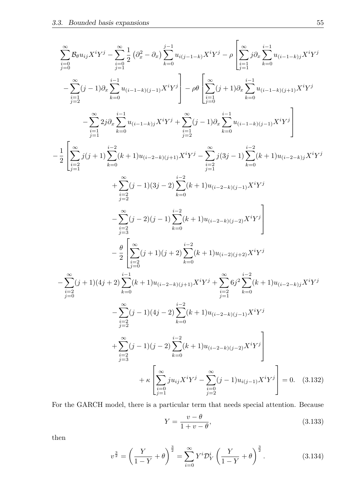$$
\sum_{\substack{j=0 \ j\neq 0}}^{\infty} \mathcal{B}_{\theta} u_{ij} X^{i} Y^{j} - \sum_{\substack{i=1 \ j\neq 0}}^{\infty} \frac{1}{2} \left( \partial_{x}^{2} - \partial_{x} \right) \sum_{k=0}^{j-1} u_{i(j-1-k)} X^{i} Y^{j} - \rho \left[ \sum_{\substack{j=1 \ j\neq 1}}^{\infty} j \partial_{x} \sum_{k=0}^{i-1} u_{(i-1-k)j} X^{i} Y^{j} \right] - \rho \theta \left[ \sum_{\substack{i=1 \ j\neq 0}}^{\infty} (j+1) \partial_{x} \sum_{k=0}^{i-1} u_{(i-1-k)(j+1)} X^{i} Y^{j} \right] - \rho \theta \left[ \sum_{\substack{i=1 \ j\neq 0}}^{\infty} (j+1) \partial_{x} \sum_{k=0}^{i-1} u_{(i-1-k)(j+1)} X^{i} Y^{j} \right] - \sum_{\substack{j=1 \ j\neq 1}}^{\infty} 2j \partial_{x} \sum_{k=0}^{i-1} u_{(i-1-k)(j-1)} X^{i} Y^{j} \right] - \sum_{\substack{j=1 \ j\neq 1}}^{\infty} 2j \partial_{x} \sum_{k=0}^{i-1} u_{(i-1-k)(j+1)} X^{i} Y^{j} + \sum_{\substack{j=1 \ j\neq 1}}^{\infty} (j-1) \partial_{x} \sum_{k=0}^{i-1} u_{(i-1-k)(j-1)} X^{i} Y^{j} \right] - \frac{1}{2} \left[ \sum_{\substack{j=2 \ j\neq 2}}^{\infty} j(j+1) \sum_{k=0}^{\infty} (k+1) u_{(i-2-k)(j-1)} X^{i} Y^{j} \right] - \sum_{\substack{j=2 \ j\neq 3}}^{\infty} (j-2) (j-1) \sum_{k=0}^{i-2} (k+1) u_{(i-2-k)(j-2)} X^{i} Y^{j} \right] - \frac{\rho}{2} \left[ \sum_{\substack{j=2 \ j\neq 0}}^{\infty} (j+1) (j+2) \sum_{k=0}^{i-2} (k+1) u_{(i-2)(j+2)} X^{i
$$

For the GARCH model, there is a particular term that needs special attention. Because

$$
Y = \frac{v - \theta}{1 + v - \theta},\tag{3.133}
$$

then

$$
v^{\frac{3}{2}} = \left(\frac{Y}{1-Y} + \theta\right)^{\frac{3}{2}} = \sum_{i=0}^{\infty} Y^i \mathcal{D}_Y^i \left(\frac{Y}{1-Y} + \theta\right)^{\frac{3}{2}}.
$$
 (3.134)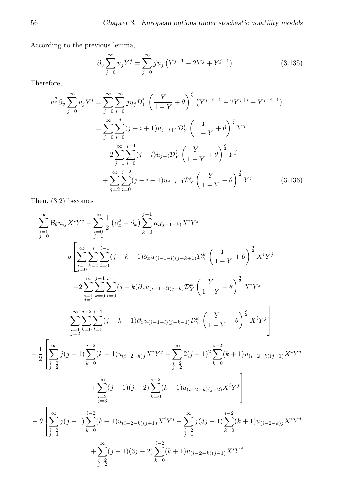According to the previous lemma,

$$
\partial_v \sum_{j=0}^{\infty} u_j Y^j = \sum_{j=0}^{\infty} j u_j \left( Y^{j-1} - 2Y^j + Y^{j+1} \right). \tag{3.135}
$$

Therefore,

$$
v^{\frac{3}{2}} \partial_v \sum_{j=0}^{\infty} u_j Y^j = \sum_{j=0}^{\infty} \sum_{i=0}^{\infty} j u_j \mathcal{D}_Y^i \left( \frac{Y}{1-Y} + \theta \right)^{\frac{3}{2}} (Y^{j+i-1} - 2Y^{j+i} + Y^{j+i+1})
$$
  
\n
$$
= \sum_{j=0}^{\infty} \sum_{i=0}^j (j-i+1) u_{j-i+1} \mathcal{D}_Y^i \left( \frac{Y}{1-Y} + \theta \right)^{\frac{3}{2}} Y^j
$$
  
\n
$$
- 2 \sum_{j=1}^{\infty} \sum_{i=0}^{j-1} (j-i) u_{j-i} \mathcal{D}_Y^i \left( \frac{Y}{1-Y} + \theta \right)^{\frac{3}{2}} Y^j
$$
  
\n
$$
+ \sum_{j=2}^{\infty} \sum_{i=0}^{j-2} (j-i-1) u_{j-i-1} \mathcal{D}_Y^i \left( \frac{Y}{1-Y} + \theta \right)^{\frac{3}{2}} Y^j.
$$
 (3.136)

Then, [\(3.2\)](#page-37-2) becomes

$$
\sum_{i=0}^{\infty} \mathcal{B}_{\theta} u_{ij} X^{i} Y^{j} - \sum_{i=0}^{\infty} \frac{1}{2} \left( \partial_{x}^{2} - \partial_{x} \right) \sum_{k=0}^{j-1} u_{i(j-1-k)} X^{i} Y^{j}
$$
\n
$$
- \rho \left[ \sum_{\substack{i=1 \\ j=0}}^{\infty} \sum_{k=0}^{j} \sum_{l=0}^{i-1} (j-k+1) \partial_{x} u_{(i-1-l)(j-k+1)} \mathcal{D}_{Y}^{k} \left( \frac{Y}{1-Y} + \theta \right)^{\frac{3}{2}} X^{i} Y^{j}
$$
\n
$$
-2 \sum_{\substack{i=1 \\ j=1}}^{\infty} \sum_{k=0}^{j-1} \sum_{l=0}^{i-1} (j-k) \partial_{x} u_{(i-1-l)(j-k)} \mathcal{D}_{Y}^{k} \left( \frac{Y}{1-Y} + \theta \right)^{\frac{3}{2}} X^{i} Y^{j}
$$
\n
$$
+ \sum_{\substack{i=1 \\ j=2}}^{\infty} \sum_{k=0}^{j-2} \sum_{l=0}^{i-1} (j-k-1) \partial_{x} u_{(i-1-l)(j-k-1)} \mathcal{D}_{Y}^{k} \left( \frac{Y}{1-Y} + \theta \right)^{\frac{3}{2}} X^{i} Y^{j}
$$
\n
$$
- \frac{1}{2} \left[ \sum_{\substack{i=2 \\ j=2}}^{\infty} j(j-1) \sum_{k=0}^{i-2} (k+1) u_{(i-2-k)j} X^{i} Y^{j} - \sum_{\substack{i=2 \\ j=2}}^{\infty} 2(j-1)^{2} \sum_{k=0}^{i-2} (k+1) u_{(i-2-k)(j-1)} X^{i} Y^{j}
$$
\n
$$
+ \sum_{\substack{j=2 \\ j=3}}^{\infty} (j-1) (j-2) \sum_{k=0}^{i-2} (k+1) u_{(i-2-k)(j-2)} X^{i} Y^{j}
$$
\n
$$
- \theta \left[ \sum_{\substack{j=2 \\ j=1}}^{\infty} j(j+1) \sum_{k=0}^{i-2} (k+1) u_{(i-2-k)(j+1)} X^{i} Y^{j} - \
$$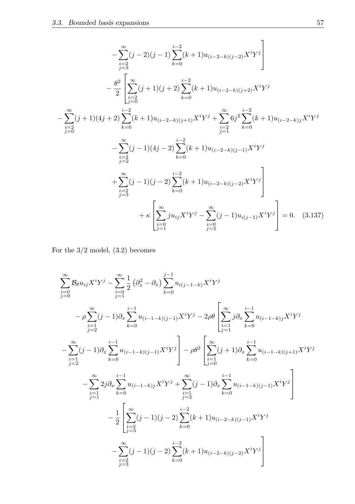$$
-\sum_{\substack{i=2 \ i=3}}^{\infty} (j-2)(j-1) \sum_{k=0}^{i-2} (k+1)u_{(i-2-k)(j-2)} X^{i} Y^{j}
$$
  

$$
-\frac{\theta^{2}}{2} \left[ \sum_{\substack{i=2 \ i=2}}^{\infty} (j+1)(j+2) \sum_{k=0}^{i-2} (k+1)u_{(i-2-k)(j+2)} X^{i} Y^{j}
$$
  

$$
-\sum_{\substack{i=2 \ i=2}}^{\infty} (j+1)(4j+2) \sum_{k=0}^{i-2} (k+1)u_{(i-2-k)(j+1)} X^{i} Y^{j} + \sum_{\substack{i=2 \ i=2}}^{\infty} 6j^{2} \sum_{k=0}^{i-2} (k+1)u_{(i-2-k)j} X^{i} Y^{j}
$$
  

$$
-\sum_{\substack{i=2 \ i=2}}^{\infty} (j-1)(4j-2) \sum_{k=0}^{i-2} (k+1)u_{(i-2-k)(j-1)} X^{i} Y^{j}
$$
  

$$
+\sum_{\substack{i=2 \ i=3}}^{\infty} (j-1)(j-2) \sum_{k=0}^{i-2} (k+1)u_{(i-2-k)(j-2)} X^{i} Y^{j}
$$
  

$$
+ \kappa \left[ \sum_{\substack{i=0 \ i=1}}^{\infty} j u_{ij} X^{i} Y^{j} - \sum_{\substack{i=0 \ i=2}}^{\infty} (j-1)u_{i(j-1)} X^{i} Y^{j} \right] = 0.
$$
 (3.137)

For the 3/2 model, [\(3.2\)](#page-37-2) becomes

$$
\sum_{j=0}^{\infty} \mathcal{B}_{\theta} u_{ij} X^{i} Y^{j} - \sum_{j=1}^{\infty} \frac{1}{2} (\partial_{x}^{2} - \partial_{x}) \sum_{k=0}^{j-1} u_{i(j-1-k)} X^{i} Y^{j}
$$
\n
$$
- \rho \sum_{\substack{i=1 \ i \neq j}}^{\infty} (j-1) \partial_{x} \sum_{k=0}^{i-1} u_{(i-1-k)(j-1)} X^{i} Y^{j} - 2 \rho \theta \left[ \sum_{\substack{i=1 \ i \neq j}}^{\infty} j \partial_{x} \sum_{k=0}^{i-1} u_{(i-1-k)j} X^{i} Y^{j} \right]
$$
\n
$$
- \sum_{\substack{i=1 \ i \neq j}}^{\infty} (j-1) \partial_{x} \sum_{k=0}^{i-1} u_{(i-1-k)(j-1)} X^{i} Y^{j} \left] - \rho \theta^{2} \left[ \sum_{\substack{i=1 \ i \neq j}}^{\infty} (j+1) \partial_{x} \sum_{k=0}^{i-1} u_{(i-1-k)(j+1)} X^{i} Y^{j} \right]
$$
\n
$$
- \sum_{\substack{i=1 \ i \neq j}}^{\infty} 2j \partial_{x} \sum_{k=0}^{i-1} u_{(i-1-k)j} X^{i} Y^{j} + \sum_{\substack{i=1 \ i \neq j}}^{\infty} (j-1) \partial_{x} \sum_{k=0}^{i-1} u_{(i-1-k)(j-1)} X^{i} Y^{j}
$$
\n
$$
- \frac{1}{2} \left[ \sum_{\substack{i=2 \ i \neq j}}^{\infty} (j-1)(j-2) \sum_{k=0}^{i-2} (k+1) u_{(i-2-k)(j-1)} X^{i} Y^{j} \right]
$$
\n
$$
- \sum_{\substack{i=2 \ i \neq j}}^{\infty} (j-1)(j-2) \sum_{k=0}^{i-2} (k+1) u_{(i-2-k)(j-2)} X^{i} Y^{j}
$$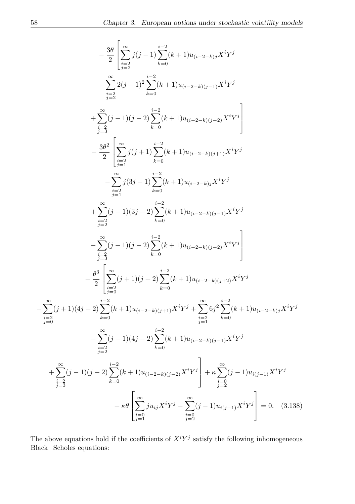$$
-\frac{3\theta}{2}\left[\sum_{i=2}^{\infty}j(j-1)\sum_{k=0}^{i-2}(k+1)u_{(i-2-k)j}X^{i}Y^{j}\right.-\sum_{i=2}^{\infty}2(j-1)^{2}\sum_{k=0}^{i-2}(k+1)u_{(i-2-k)(j-1)}X^{i}Y^{j}\right.+\sum_{j=2}^{\infty}(j-1)(j-2)\sum_{k=0}^{i-2}(k+1)u_{(i-2-k)(j-2)}X^{i}Y^{j}\right]-\frac{3\theta^{2}}{2}\left[\sum_{i=1}^{\infty}j(j+1)\sum_{k=0}^{i-2}(k+1)u_{(i-2-k)(j+1)}X^{i}Y^{j}\right.-\sum_{i=2}^{\infty}j(3j-1)\sum_{k=0}^{i-2}(k+1)u_{(i-2-k)j}X^{i}Y^{j}\right.+\sum_{j=2}^{\infty}(j-1)(3j-2)\sum_{k=0}^{i-2}(k+1)u_{(i-2-k)j}X^{i}Y^{j}\right.+\sum_{j=2}^{\infty}(j-1)(j-2)\sum_{k=0}^{i-2}(k+1)u_{(i-2-k)(j-1)}X^{i}Y^{j}\right]-\frac{\theta^{3}}{2}\left[\sum_{j=3}^{\infty}(j+1)(j+2)\sum_{k=0}^{i-2}(k+1)u_{(i-2-k)(j+2)}X^{i}Y^{j}\right]-\frac{\theta^{3}}{2}\left[\sum_{j=0}^{\infty}(j+1)(j+2)\sum_{k=0}^{i-2}(k+1)u_{(i-2-k)(j+2)}X^{i}Y^{j}\right.-\sum_{j=0}^{\infty}(j-1)(4j+2)\sum_{k=0}^{i-2}(k+1)u_{(i-2-k)(j-1)}X^{i}Y^{j}\right.+\sum_{j=2}^{\infty}(j-1)(4j-2)\sum_{k=0}^{i-2}(k+1)u_{(i-2-k)(j-1)}X^{i}Y^{j}\right]+k\sum_{j=2}^{\infty}(j-1)u_{i(j-1)}X^{i}Y^{j}\right]+k\theta\left[\sum_{j=0}^{\infty}ju_{ij}X^{i}Y^{j}-\sum_{j=2}^{\infty}(j
$$

The above equations hold if the coefficients of  $X<sup>i</sup>Y<sup>j</sup>$  satisfy the following inhomogeneous Black – Scholes equations: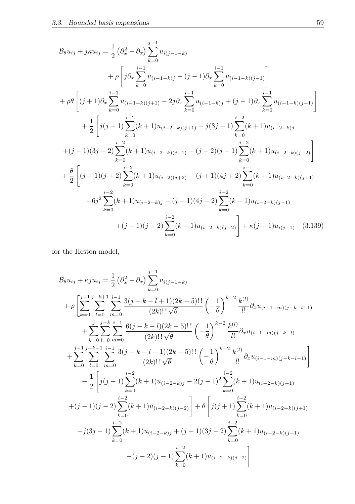$$
\mathcal{B}_{\theta}u_{ij} + j\kappa u_{ij} = \frac{1}{2} \left(\partial_x^2 - \partial_x\right) \sum_{k=0}^{j-1} u_{i(j-1-k)}
$$
\n
$$
+ \rho \left[j\partial_x \sum_{k=0}^{i-1} u_{(i-1-k)j} - (j-1)\partial_x \sum_{k=0}^{i-1} u_{(i-1-k)(j-1)}\right]
$$
\n
$$
+ \rho \theta \left[ (j+1)\partial_x \sum_{k=0}^{i-1} u_{(i-1-k)(j+1)} - 2j\partial_x \sum_{k=0}^{i-1} u_{(i-1-k)j} + (j-1)\partial_x \sum_{k=0}^{i-1} u_{(i-1-k)(j-1)} \right]
$$
\n
$$
+ \frac{1}{2} \left[j(j+1) \sum_{k=0}^{i-2} (k+1)u_{(i-2-k)(j+1)} - j(3j-1) \sum_{k=0}^{i-2} (k+1)u_{(i-2-k)j}
$$
\n
$$
+ (j-1)(3j-2) \sum_{k=0}^{i-2} (k+1)u_{(i-2-k)(j-1)} - (j-2)(j-1) \sum_{k=0}^{i-2} (k+1)u_{(i-2-k)(j-2)} \right]
$$
\n
$$
+ \frac{\theta}{2} \left[ (j+1)(j+2) \sum_{k=0}^{i-2} (k+1)u_{(i-2)(j+2)} - (j+1)(4j+2) \sum_{k=0}^{i-1} (k+1)u_{(i-2-k)(j+1)} \right]
$$
\n
$$
+ 6j^2 \sum_{k=0}^{i-2} (k+1)u_{(i-2-k)j} - (j-1)(4j-2) \sum_{k=0}^{i-2} (k+1)u_{(i-2-k)(j-1)} \right] + \kappa(j-1)u_{i(j-1)} \quad (3.139)
$$

for the Heston model,

$$
\mathcal{B}_{\theta}u_{ij} + \kappa j u_{ij} = \frac{1}{2} \left(\partial_x^2 - \partial_x\right) \sum_{k=0}^{j-1} u_{i(j-1-k)} \n+ \rho \left[ \sum_{k=0}^{j+1} \sum_{l=0}^{j-k+1} \sum_{m=0}^{i-1} \frac{3(j-k-l+1)(2k-5)!!}{(2k)!!\sqrt{\theta}} \left(-\frac{1}{\theta}\right)^{k-2} \frac{k^{(l)}}{l!} \partial_x u_{(i-1-m)(j-k-l+1)} \n+ \sum_{k=0}^{j} \sum_{l=0}^{j-k} \sum_{m=0}^{i-1} \frac{6(j-k-l)(2k-5)!!}{(2k)!!\sqrt{\theta}} \left(-\frac{1}{\theta}\right)^{k-2} \frac{k^{(l)}}{l!} \partial_x u_{(i-1-m)(j-k-l)} \n+ \sum_{k=0}^{j-1} \sum_{l=0}^{j-k-1} \sum_{m=0}^{i-1} \frac{3(j-k-l-1)(2k-5)!!}{(2k)!!\sqrt{\theta}} \left(-\frac{1}{\theta}\right)^{k-2} \frac{k^{(l)}}{l!} \partial_x u_{(i-1-m)(j-k-l-1)} \n- \frac{1}{2} \left[ j(j-1) \sum_{k=0}^{i-2} (k+1) u_{(i-2-k)j} - 2(j-1)^2 \sum_{k=0}^{i-2} (k+1) u_{(i-2-k)(j-1)} \n+ (j-1)(j-2) \sum_{k=0}^{i-2} (k+1) u_{(i-2-k)(j-2)} \right] + \theta \left[ j(j+1) \sum_{k=0}^{i-2} (k+1) u_{(i-2-k)(j+1)} \n- j(3j-1) \sum_{k=0}^{i-2} (k+1) u_{(i-2-k)j} + (j-1)(3j-2) \sum_{k=0}^{i-2} (k+1) u_{(i-2-k)(j-1)} \n- (j-2)(j-1) \sum_{k=0}^{i-2} (k+1) u_{(i-2-k)(j-2)} \right]
$$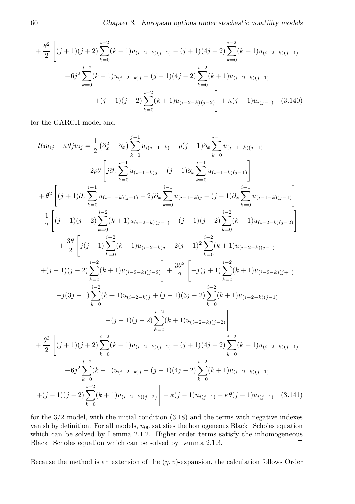$$
+\frac{\theta^2}{2}\left[(j+1)(j+2)\sum_{k=0}^{i-2}(k+1)u_{(i-2-k)(j+2)}-(j+1)(4j+2)\sum_{k=0}^{i-2}(k+1)u_{(i-2-k)(j+1)}\right.\n+6j^2\sum_{k=0}^{i-2}(k+1)u_{(i-2-k)j}-(j-1)(4j-2)\sum_{k=0}^{i-2}(k+1)u_{(i-2-k)(j-1)}\n+(j-1)(j-2)\sum_{k=0}^{i-2}(k+1)u_{(i-2-k)(j-2)}\right]+\kappa(j-1)u_{i(j-1)}\quad (3.140)
$$

for the GARCH model and

$$
B_{\theta}u_{ij} + \kappa\theta ju_{ij} = \frac{1}{2} \left(\partial_x^2 - \partial_x\right) \sum_{k=0}^{j-1} u_{i(j-1-k)} + \rho(j-1)\partial_x \sum_{k=0}^{i-1} u_{(i-1-k)(j-1)} + 2\rho\theta \left[ j\partial_x \sum_{k=0}^{i-1} u_{(i-1-k)j} - (j-1)\partial_x \sum_{k=0}^{i-1} u_{(i-1-k)(j-1)} \right] + \theta^2 \left[ (j+1)\partial_x \sum_{k=0}^{i-1} u_{(i-1-k)(j+1)} - 2j\partial_x \sum_{k=0}^{i-1} u_{(i-1-k)j} + (j-1)\partial_x \sum_{k=0}^{i-1} u_{(i-1-k)(j-1)} \right] + \frac{1}{2} \left[ (j-1)(j-2) \sum_{k=0}^{i-2} (k+1)u_{(i-2-k)(j-1)} - (j-1)(j-2) \sum_{k=0}^{i-2} (k+1)u_{(i-2-k)(j-2)} \right] + \frac{3\theta}{2} \left[ j(j-1) \sum_{k=0}^{i-2} (k+1)u_{(i-2-k)j} - 2(j-1)^2 \sum_{k=0}^{i-2} (k+1)u_{(i-2-k)(j-1)} + (j-1)(j-2) \sum_{k=0}^{i-2} (k+1)u_{(i-2-k)(j-2)} \right] + \frac{3\theta^2}{2} \left[ -j(j+1) \sum_{k=0}^{i-2} (k+1)u_{(i-2-k)(j+1)} -j(3j-1) \sum_{k=0}^{i-2} (k+1)u_{(i-2-k)j} + (j-1)(3j-2) \sum_{k=0}^{i-2} (k+1)u_{(i-2-k)(j-1)} - (j-1)(j-2) \sum_{k=0}^{i-2} (k+1)u_{(i-2-k)(j-2)} \right]
$$
  
+  $\frac{\theta^3}{2} \left[ (j+1)(j+2) \sum_{k=0}^{i-2} (k+1)u_{(i-2-k)(j+2)} - (j+1)(4j+2) \sum_{k=0}^{i-2} (k+1)u_{(i-2-k)(j+1$ 

for the 3/2 model, with the initial condition [\(3.18\)](#page-40-2) and the terms with negative indexes vanish by definition. For all models,  $u_{00}$  satisfies the homogeneous Black – Scholes equation which can be solved by Lemma [2.1.2.](#page-20-1) Higher order terms satisfy the inhomogeneous Black – Scholes equation which can be solved by Lemma [2.1.3.](#page-21-0)  $\Box$ 

Because the method is an extension of the  $(\eta, v)$ -expansion, the calculation follows Order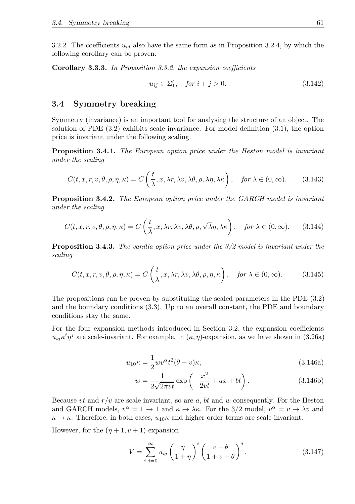[3.2.2.](#page-41-1) The coefficients  $u_{ij}$  also have the same form as in Proposition [3.2.4,](#page-42-1) by which the following corollary can be proven.

**Corollary 3.3.3.** *In Proposition [3.3.2,](#page-60-0) the expansion coefficients*

$$
u_{ij} \in \Sigma_1', \quad \text{for } i + j > 0. \tag{3.142}
$$

## **3.4 Symmetry breaking**

Symmetry (invariance) is an important tool for analysing the structure of an object. The solution of PDE [\(3.2\)](#page-37-2) exhibits scale invariance. For model definition [\(3.1\)](#page-37-0), the option price is invariant under the following scaling.

**Proposition 3.4.1.** *The European option price under the Heston model is invariant under the scaling*

$$
C(t, x, r, v, \theta, \rho, \eta, \kappa) = C\left(\frac{t}{\lambda}, x, \lambda r, \lambda v, \lambda \theta, \rho, \lambda \eta, \lambda \kappa\right), \quad \text{for } \lambda \in (0, \infty). \tag{3.143}
$$

**Proposition 3.4.2.** *The European option price under the GARCH model is invariant under the scaling*

$$
C(t, x, r, v, \theta, \rho, \eta, \kappa) = C\left(\frac{t}{\lambda}, x, \lambda r, \lambda v, \lambda \theta, \rho, \sqrt{\lambda}\eta, \lambda \kappa\right), \quad \text{for } \lambda \in (0, \infty). \tag{3.144}
$$

**Proposition 3.4.3.** *The vanilla option price under the 3/2 model is invariant under the scaling*

$$
C(t, x, r, v, \theta, \rho, \eta, \kappa) = C\left(\frac{t}{\lambda}, x, \lambda r, \lambda v, \lambda \theta, \rho, \eta, \kappa\right), \quad \text{for } \lambda \in (0, \infty). \tag{3.145}
$$

The propositions can be proven by substituting the scaled parameters in the PDE [\(3.2\)](#page-37-2) and the boundary conditions [\(3.3\)](#page-38-0). Up to an overall constant, the PDE and boundary conditions stay the same.

For the four expansion methods introduced in Section [3.2,](#page-38-4) the expansion coefficients  $u_{ij}\kappa^i\eta^j$  are scale-invariant. For example, in  $(\kappa, \eta)$ -expansion, as we have shown in [\(3.26a\)](#page-42-2)

$$
u_{10}\kappa = \frac{1}{2}w\upsilon^{\alpha}t^{2}(\theta - v)\kappa,
$$
\n(3.146a)

$$
w = \frac{1}{2\sqrt{2\pi vt}} \exp\left(-\frac{x^2}{2vt} + ax + bt\right).
$$
 (3.146b)

Because *vt* and  $r/v$  are scale-invariant, so are *a*, *bt* and *w* consequently. For the Heston and GARCH models,  $v^{\alpha} = 1 \rightarrow 1$  and  $\kappa \rightarrow \lambda \kappa$ . For the 3/2 model,  $v^{\alpha} = v \rightarrow \lambda v$  and  $\kappa \to \kappa$ . Therefore, in both cases,  $u_{10}\kappa$  and higher order terms are scale-invariant.

However, for the  $(\eta + 1, v + 1)$ -expansion

$$
V = \sum_{i,j=0}^{\infty} u_{ij} \left(\frac{\eta}{1+\eta}\right)^i \left(\frac{v-\theta}{1+v-\theta}\right)^j, \tag{3.147}
$$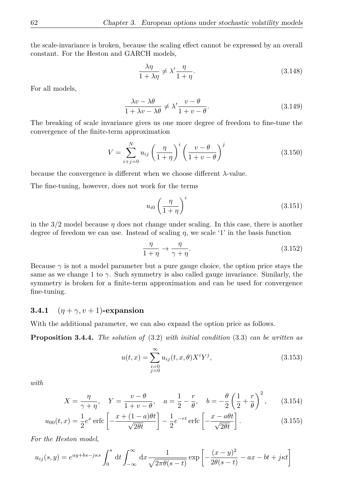the scale-invariance is broken, because the scaling effect cannot be expressed by an overall constant. For the Heston and GARCH models,

$$
\frac{\lambda \eta}{1 + \lambda \eta} \neq \lambda' \frac{\eta}{1 + \eta}.\tag{3.148}
$$

For all models,

$$
\frac{\lambda v - \lambda \theta}{1 + \lambda v - \lambda \theta} \neq \lambda' \frac{v - \theta}{1 + v - \theta}.
$$
\n(3.149)

The breaking of scale invariance gives us one more degree of freedom to fine-tune the convergence of the finite-term approximation

$$
V = \sum_{i+j=0}^{N} u_{ij} \left(\frac{\eta}{1+\eta}\right)^i \left(\frac{v-\theta}{1+v-\theta}\right)^j
$$
\n(3.150)

because the convergence is different when we choose different *λ*-value.

The fine-tuning, however, does not work for the terms

$$
u_{i0}\left(\frac{\eta}{1+\eta}\right)^i\tag{3.151}
$$

in the  $3/2$  model because  $\eta$  does not change under scaling. In this case, there is another degree of freedom we can use. Instead of scaling *η*, we scale '1' in the basis function

$$
\frac{\eta}{1+\eta} \to \frac{\eta}{\gamma+\eta}.\tag{3.152}
$$

Because  $\gamma$  is not a model parameter but a pure gauge choice, the option price stays the same as we change 1 to  $\gamma$ . Such symmetry is also called gauge invariance. Similarly, the symmetry is broken for a finite-term approximation and can be used for convergence fine-tuning.

# **3.4.1**  $(\eta + \gamma, v + 1)$ **-expansion**

With the additional parameter, we can also expand the option price as follows.

**Proposition 3.4.4.** *The solution of* [\(3.2\)](#page-37-2) *with initial condition* [\(3.3\)](#page-38-0) *can be written as*

$$
u(t,x) = \sum_{\substack{i=0 \ j=0}}^{\infty} u_{ij}(t,x,\theta) X^i Y^j,
$$
\n(3.153)

*with*

$$
X = \frac{\eta}{\gamma + \eta}, \quad Y = \frac{v - \theta}{1 + v - \theta}, \quad a = \frac{1}{2} - \frac{r}{\theta}, \quad b = -\frac{\theta}{2} \left(\frac{1}{2} + \frac{r}{\theta}\right)^2, \tag{3.154}
$$

$$
u_{00}(t,x) = \frac{1}{2}e^x \operatorname{erfc}\left[-\frac{x+(1-a)\theta t}{\sqrt{2\theta t}}\right] - \frac{1}{2}e^{-rt} \operatorname{erfc}\left[-\frac{x-a\theta t}{\sqrt{2\theta t}}\right].
$$
 (3.155)

*For the Heston model,*

$$
u_{ij}(s,y) = e^{ay + bs - j\kappa s} \int_0^s dt \int_{-\infty}^{\infty} dx \frac{1}{\sqrt{2\pi\theta(s-t)}} \exp\left[-\frac{(x-y)^2}{2\theta(s-t)} - ax - bt + j\kappa t\right]
$$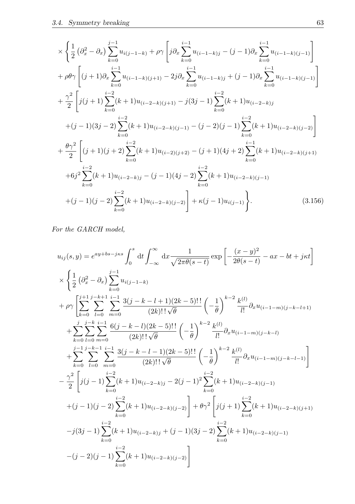$$
\times \left\{ \frac{1}{2} \left( \partial_x^2 - \partial_x \right) \sum_{k=0}^{j-1} u_{i(j-1-k)} + \rho \gamma \left[ j \partial_x \sum_{k=0}^{i-1} u_{(i-1-k)j} - (j-1) \partial_x \sum_{k=0}^{i-1} u_{(i-1-k)(j-1)} \right] \right\}
$$
  
+  $\rho \theta \gamma \left[ (j+1) \partial_x \sum_{k=0}^{i-1} u_{(i-1-k)(j+1)} - 2j \partial_x \sum_{k=0}^{i-1} u_{(i-1-k)j} + (j-1) \partial_x \sum_{k=0}^{i-1} u_{(i-1-k)(j-1)} \right]$   
+  $\frac{\gamma^2}{2} \left[ j(j+1) \sum_{k=0}^{i-2} (k+1) u_{(i-2-k)(j+1)} - j(3j-1) \sum_{k=0}^{i-2} (k+1) u_{(i-2-k)j} \right]$   
+  $(j-1)(3j-2) \sum_{k=0}^{i-2} (k+1) u_{(i-2-k)(j-1)} - (j-2)(j-1) \sum_{k=0}^{i-2} (k+1) u_{(i-2-k)(j-2)} \right]$   
+  $\frac{\theta \gamma^2}{2} \left[ (j+1)(j+2) \sum_{k=0}^{i-2} (k+1) u_{(i-2)(j+2)} - (j+1)(4j+2) \sum_{k=0}^{i-1} (k+1) u_{(i-2-k)(j+1)} \right]$   
+  $6j^2 \sum_{k=0}^{i-2} (k+1) u_{(i-2-k)j} - (j-1)(4j-2) \sum_{k=0}^{i-2} (k+1) u_{(i-2-k)(j-1)} \right]$   
+  $(j-1)(j-2) \sum_{k=0}^{i-2} (k+1) u_{(i-2-k)(j-2)} \right] + \kappa(j-1) u_{i(j-1)} \left.\right\}.$  (3.156)

*For the GARCH model,*

$$
u_{ij}(s,y) = e^{ay+bs-j\kappa s} \int_0^s dt \int_{-\infty}^{\infty} dx \frac{1}{\sqrt{2\pi\theta(s-t)}} \exp\left[-\frac{(x-y)^2}{2\theta(s-t)} - ax - bt + j\kappa t\right]
$$
  
\n
$$
\times \left\{\frac{1}{2} \left(\partial_x^2 - \partial_x\right) \sum_{k=0}^{j-1} u_{i(j-1-k)} + \rho \gamma \left[\sum_{k=0}^{j-1} \sum_{l=0}^{i-1} \sum_{m=0}^{i-1} \frac{3(j-k-l+1)(2k-5)!!}{(2k)!!\sqrt{\theta}} \left(-\frac{1}{\theta}\right)^{k-2} \frac{k^{(l)}}{l!} \partial_x u_{(i-1-m)(j-k-l+1)} + \sum_{k=0}^{j} \sum_{l=0}^{j-k} \sum_{m=0}^{i-1} \frac{6(j-k-l)(2k-5)!!}{(2k)!!\sqrt{\theta}} \left(-\frac{1}{\theta}\right)^{k-2} \frac{k^{(l)}}{l!} \partial_x u_{(i-1-m)(j-k-l)} + \sum_{k=0}^{j-1} \sum_{l=0}^{j-k-1} \sum_{m=0}^{i-1} \frac{3(j-k-l-1)(2k-5)!!}{(2k)!!\sqrt{\theta}} \left(-\frac{1}{\theta}\right)^{k-2} \frac{k^{(l)}}{l!} \partial_x u_{(i-1-m)(j-k-l-1)} + \sum_{k=0}^{j-1} \sum_{m=0}^{j-k-1} \frac{3(j-k-l-1)(2k-5)!!}{(2k)!!\sqrt{\theta}} \left(-\frac{1}{\theta}\right)^{k-2} \frac{k^{(l)}}{l!} \partial_x u_{(i-1-m)(j-k-l-1)} + \frac{\gamma^2}{2} \left[j(j-1)\sum_{k=0}^{i-2} (k+1)u_{(i-2-k)(j-2)}\right] + \theta \gamma^2 \left[j(j+1)\sum_{k=0}^{i-2} (k+1)u_{(i-2-k)(j+1)} -j(3j-1)\sum_{k=0}^{i-2} (k+1)u_{(i-2-k)(j-2)}\right] - (j-2)(j-1)\sum_{k=0}^{i-2} (k+1)u_{(i-2-k)(j-2)} \right\}
$$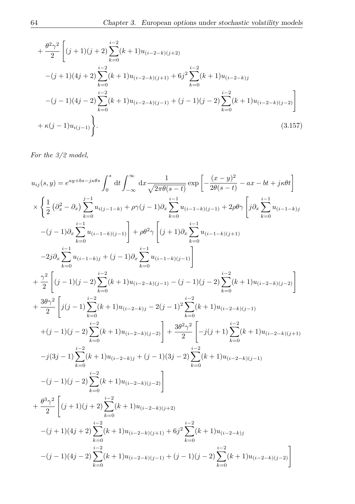$$
+\frac{\theta^2 \gamma^2}{2} \left[ (j+1)(j+2) \sum_{k=0}^{i-2} (k+1) u_{(i-2-k)(j+2)} \right.\n-(j+1)(4j+2) \sum_{k=0}^{i-2} (k+1) u_{(i-2-k)(j+1)} + 6j^2 \sum_{k=0}^{i-2} (k+1) u_{(i-2-k)j} \n-(j-1)(4j-2) \sum_{k=0}^{i-2} (k+1) u_{(i-2-k)(j-1)} + (j-1)(j-2) \sum_{k=0}^{i-2} (k+1) u_{(i-2-k)(j-2)} \right]\n+\kappa(j-1) u_{i(j-1)}.
$$
\n(3.157)

*For the 3/2 model,*

$$
u_{ij}(s,y) = e^{ay + bs - j\kappa\theta s} \int_0^s dt \int_{-\infty}^{\infty} dx \frac{1}{\sqrt{2\pi\theta(s-t)}} \exp\left[ -\frac{(x-y)^2}{2\theta(s-t)} - ax - bt + j\kappa\theta t \right]
$$
  
\n
$$
\times \left\{ \frac{1}{2} \left( \partial_x^2 - \partial_x \right) \sum_{k=0}^{j-1} u_{i(j-1-k)} + \rho \gamma(j-1) \partial_x \sum_{k=0}^{i-1} u_{(i-1-k)(j-1)} + 2\rho\theta \gamma \left[ j\partial_x \sum_{k=0}^{i-1} u_{(i-1-k)j} \right] \right\}
$$
  
\n
$$
-(j-1)\partial_x \sum_{k=0}^{i-1} u_{(i-1-k)(j-1)} + \rho\theta^2 \gamma \left[ (j+1)\partial_x \sum_{k=0}^{i-1} u_{(i-1-k)(j+1)} \right]
$$
  
\n
$$
-2j\partial_x \sum_{k=0}^{i-1} u_{(i-1-k)j} + (j-1)\partial_x \sum_{k=0}^{i-1} u_{(i-1-k)(j-1)} \right]
$$
  
\n
$$
+ \frac{\gamma^2}{2} \left[ (j-1)(j-2) \sum_{k=0}^{i-2} (k+1)u_{(i-2-k)(j-1)} - (j-1)(j-2) \sum_{k=0}^{i-2} (k+1)u_{(i-2-k)(j-2)} \right]
$$
  
\n
$$
+ \frac{3\theta \gamma^2}{2} \left[ j(j-1) \sum_{k=0}^{i-2} (k+1)u_{(i-2-k)j} - 2(j-1)^2 \sum_{k=0}^{i-2} (k+1)u_{(i-2-k)(j-1)} \right]
$$
  
\n
$$
+ (j-1)(j-2) \sum_{k=0}^{i-2} (k+1)u_{(i-2-k)(j-2)} \right] + \frac{3\theta^2 \gamma^2}{2} \left[ -j(j+1) \sum_{k=0}^{i-2} (k+1)u_{(i-2-k)(j+1)} \right]
$$
  
\n
$$
-j(3j-1) \sum_{k=0}^{i-2} (k+1)u_{(i-2-k)j} + (j-1
$$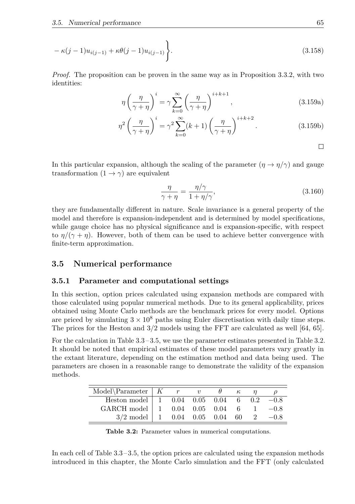$$
-\kappa(j-1)u_{i(j-1)} + \kappa\theta(j-1)u_{i(j-1)}\Bigg\}.
$$
\n(3.158)

*Proof.* The proposition can be proven in the same way as in Proposition [3.3.2,](#page-60-0) with two identities:

$$
\eta \left(\frac{\eta}{\gamma + \eta}\right)^i = \gamma \sum_{k=0}^{\infty} \left(\frac{\eta}{\gamma + \eta}\right)^{i+k+1},\tag{3.159a}
$$

$$
\eta^2 \left(\frac{\eta}{\gamma + \eta}\right)^i = \gamma^2 \sum_{k=0}^{\infty} (k+1) \left(\frac{\eta}{\gamma + \eta}\right)^{i+k+2}.\tag{3.159b}
$$

<span id="page-73-1"></span> $\Box$ 

In this particular expansion, although the scaling of the parameter  $(\eta \to \eta/\gamma)$  and gauge transformation  $(1 \rightarrow \gamma)$  are equivalent

$$
\frac{\eta}{\gamma + \eta} = \frac{\eta/\gamma}{1 + \eta/\gamma},\tag{3.160}
$$

they are fundamentally different in nature. Scale invariance is a general property of the model and therefore is expansion-independent and is determined by model specifications, while gauge choice has no physical significance and is expansion-specific, with respect to  $\eta/(\gamma + \eta)$ . However, both of them can be used to achieve better convergence with finite-term approximation.

#### **3.5 Numerical performance**

#### **3.5.1 Parameter and computational settings**

In this section, option prices calculated using expansion methods are compared with those calculated using popular numerical methods. Due to its general applicability, prices obtained using Monte Carlo methods are the benchmark prices for every model. Options are priced by simulating  $3 \times 10^8$  paths using Euler discretisation with daily time steps. The prices for the Heston and  $3/2$  models using the FFT are calculated as well  $[64, 65]$  $[64, 65]$  $[64, 65]$ .

For the calculation in Table [3.3](#page-74-0) – [3.5,](#page-76-0) we use the parameter estimates presented in Table [3.2.](#page-73-0) It should be noted that empirical estimates of these model parameters vary greatly in the extant literature, depending on the estimation method and data being used. The parameters are chosen in a reasonable range to demonstrate the validity of the expansion methods.

| Model\Parameter $\mid K \mid r$ |                                               |  |    |               |        |
|---------------------------------|-----------------------------------------------|--|----|---------------|--------|
| Heston model                    | $1 \t 0.04 \t 0.05 \t 0.04 \t 6$              |  |    | $0.2^{\circ}$ | $-0.8$ |
| GARCH model                     | $1 \quad 0.04 \quad 0.05 \quad 0.04$          |  | 6. | $\mathbf{L}$  | $-0.8$ |
| $3/2 \text{ model}$             | $1 \quad 0.04 \quad 0.05 \quad 0.04 \quad 60$ |  |    | $2^{\circ}$   | $-0.8$ |

<span id="page-73-0"></span>**Table 3.2:** Parameter values in numerical computations.

In each cell of Table [3.3](#page-74-0) – [3.5,](#page-76-0) the option prices are calculated using the expansion methods introduced in this chapter, the Monte Carlo simulation and the FFT (only calculated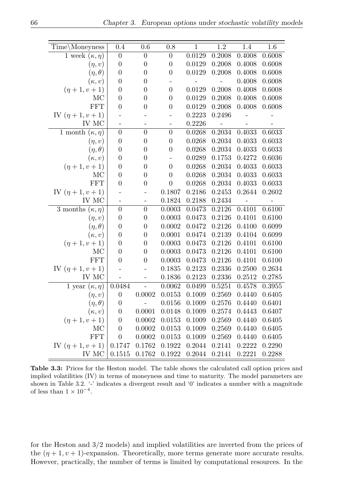| Time\Moneyness                            | 0.4                      | 0.6                      | 0.8                      | $\mathbf{1}$   | $\overline{1.2}$ | 1.4            | 1.6            |
|-------------------------------------------|--------------------------|--------------------------|--------------------------|----------------|------------------|----------------|----------------|
| 1 week $(\kappa, \eta)$                   | $\boldsymbol{0}$         | $\overline{0}$           | $\boldsymbol{0}$         | 0.0129         | 0.2008           | 0.4008         | 0.6008         |
| $(\eta, v)$                               | $\boldsymbol{0}$         | $\boldsymbol{0}$         | $\boldsymbol{0}$         | 0.0129         | 0.2008           | 0.4008         | 0.6008         |
| $(\eta, \theta)$                          | $\overline{0}$           | $\overline{0}$           | $\boldsymbol{0}$         | 0.0129         | 0.2008           | 0.4008         | 0.6008         |
| $(\kappa, v)$                             | $\overline{0}$           | $\overline{0}$           |                          | $\overline{a}$ |                  | 0.4008         | 0.6008         |
| $(\eta + 1, v + 1)$                       | $\overline{0}$           | $\overline{0}$           | $\overline{0}$           | 0.0129         | 0.2008           | 0.4008         | 0.6008         |
| MC                                        | $\overline{0}$           | $\overline{0}$           | $\overline{0}$           | 0.0129         | 0.2008           | 0.4008         | 0.6008         |
| FFT                                       | $\boldsymbol{0}$         | $\overline{0}$           | $\overline{0}$           | 0.0129         | 0.2008           | 0.4008         | 0.6008         |
| IV $(\eta + 1, v + 1)$                    |                          | $\overline{a}$           | $\overline{\phantom{0}}$ | 0.2223         | 0.2496           | $\overline{a}$ |                |
| IV MC                                     |                          | $\overline{a}$           | $\overline{\phantom{0}}$ | 0.2226         |                  | $\overline{a}$ | $\overline{a}$ |
| 1 month $(\kappa, \eta)$                  | $\boldsymbol{0}$         | $\overline{0}$           | $\overline{0}$           | 0.0268         | 0.2034           | 0.4033         | 0.6033         |
| $(\eta, v)$                               | $\overline{0}$           | $\boldsymbol{0}$         | $\boldsymbol{0}$         | 0.0268         | 0.2034           | 0.4033         | 0.6033         |
| $(\eta, \theta)$                          | $\overline{0}$           | $\overline{0}$           | $\overline{0}$           | 0.0268         | 0.2034           | 0.4033         | 0.6033         |
| $(\kappa, v)$                             | $\overline{0}$           | $\overline{0}$           | $\overline{a}$           | 0.0289         | 0.1753           | 0.4272         | 0.6036         |
| $(\eta + 1, v + 1)$                       | $\overline{0}$           | $\overline{0}$           | $\overline{0}$           | 0.0268         | 0.2034           | 0.4033         | 0.6033         |
| МC                                        | $\boldsymbol{0}$         | $\overline{0}$           | $\overline{0}$           | 0.0268         | 0.2034           | 0.4033         | 0.6033         |
| <b>FFT</b>                                | $\overline{0}$           | $\boldsymbol{0}$         | $\boldsymbol{0}$         | 0.0268         | 0.2034           | 0.4033         | 0.6033         |
| IV $(\eta + 1, v + 1)$                    |                          | $\overline{a}$           | 0.1807                   | 0.2186         | 0.2453           | 0.2644         | 0.2602         |
| IV MC                                     | $\overline{\phantom{0}}$ | $\overline{\phantom{0}}$ | 0.1824                   | 0.2188         | 0.2434           | $\overline{a}$ |                |
| 3 months $(\kappa, \eta)$                 | $\overline{0}$           | $\overline{0}$           | 0.0003                   | 0.0473         | 0.2126           | 0.4101         | 0.6100         |
| $(\eta, v)$                               | $\boldsymbol{0}$         | $\overline{0}$           | 0.0003                   | 0.0473         | 0.2126           | 0.4101         | 0.6100         |
| $(\eta, \theta)$                          | $\overline{0}$           | $\overline{0}$           | 0.0002                   | 0.0472         | 0.2126           | 0.4100         | 0.6099         |
| $(\kappa, v)$                             | $\boldsymbol{0}$         | $\overline{0}$           | 0.0001                   | 0.0474         | 0.2139           | 0.4104         | 0.6099         |
| $(\eta + 1, v + 1)$                       | $\boldsymbol{0}$         | $\overline{0}$           | 0.0003                   | 0.0473         | 0.2126           | 0.4101         | 0.6100         |
| МC                                        | $\boldsymbol{0}$         | $\overline{0}$           | 0.0003                   | 0.0473         | 0.2126           | 0.4101         | 0.6100         |
| <b>FFT</b>                                | $\overline{0}$           | $\overline{0}$           | 0.0003                   | 0.0473         | 0.2126           | 0.4101         | 0.6100         |
| IV $(\eta + 1, v + 1)$                    |                          |                          | 0.1835                   | 0.2123         | 0.2336           | 0.2500         | 0.2634         |
| IV MC                                     |                          |                          | 0.1836                   | 0.2123         | 0.2336           | 0.2512         | 0.2785         |
| $\overline{1 \text{ year}}(\kappa, \eta)$ | 0.0484                   |                          | 0.0062                   | 0.0499         | 0.5251           | 0.4578         | 0.3955         |
| $(\eta, v)$                               | $\boldsymbol{0}$         | 0.0002                   | 0.0153                   | 0.1009         | 0.2569           | 0.4440         | 0.6405         |
| $(\eta, \theta)$                          | $\boldsymbol{0}$         | $\overline{a}$           | 0.0156                   | 0.1009         | 0.2576           | 0.4440         | 0.6401         |
| $(\kappa, v)$                             | $\boldsymbol{0}$         | 0.0001                   | 0.0148                   | 0.1009         | 0.2574           | 0.4443         | 0.6407         |
| $(\eta + 1, v + 1)$                       | $\boldsymbol{0}$         | 0.0002                   | 0.0153                   | 0.1009         | 0.2569           | 0.4440         | 0.6405         |
| МC                                        | $\boldsymbol{0}$         | 0.0002                   | 0.0153                   | 0.1009         | 0.2569           | 0.4440         | 0.6405         |
| <b>FFT</b>                                | $\overline{0}$           | 0.0002                   | 0.0153                   | 0.1009         | 0.2569           | 0.4440         | 0.6405         |
| IV $(\eta + 1, v + 1)$                    | 0.1747                   | 0.1762                   | 0.1922                   | 0.2044         | 0.2141           | 0.2222         | 0.2290         |
| IV MC                                     | 0.1515                   | 0.1762                   | 0.1922                   | 0.2044         | 0.2141           | 0.2221         | 0.2288         |

<span id="page-74-0"></span>**Table 3.3:** Prices for the Heston model. The table shows the calculated call option prices and implied volatilities (IV) in terms of moneyness and time to maturity. The model parameters are shown in Table [3.2.](#page-73-0) '-' indicates a divergent result and '0' indicates a number with a magnitude of less than  $1 \times 10^{-4}$ .

for the Heston and 3/2 models) and implied volatilities are inverted from the prices of the  $(\eta + 1, v + 1)$ -expansion. Theoretically, more terms generate more accurate results. However, practically, the number of terms is limited by computational resources. In the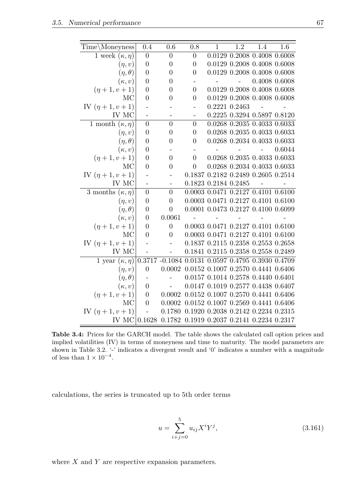| Time\Moneyness            | 0.4                      | 0.6                                                    | 0.8              | 1                                            | 1.2 | 1.4                                 | 1.6    |
|---------------------------|--------------------------|--------------------------------------------------------|------------------|----------------------------------------------|-----|-------------------------------------|--------|
| 1 week $(\kappa, \eta)$   | $\boldsymbol{0}$         | $\boldsymbol{0}$                                       | $\boldsymbol{0}$ |                                              |     | $0.0129$ $0.2008$ $0.4008$ $0.6008$ |        |
| $(\eta, v)$               | $\boldsymbol{0}$         | $\boldsymbol{0}$                                       | $\boldsymbol{0}$ |                                              |     | 0.0129 0.2008 0.4008 0.6008         |        |
| $(\eta, \theta)$          | $\boldsymbol{0}$         | $\boldsymbol{0}$                                       | $\overline{0}$   |                                              |     | 0.0129 0.2008 0.4008 0.6008         |        |
| $(\kappa, v)$             | $\overline{0}$           | $\boldsymbol{0}$                                       | $\overline{a}$   |                                              |     | 0.4008 0.6008                       |        |
| $(\eta + 1, v + 1)$       | $\boldsymbol{0}$         | $\boldsymbol{0}$                                       | $\boldsymbol{0}$ |                                              |     | 0.0129 0.2008 0.4008 0.6008         |        |
| MC                        | $\theta$                 | $\overline{0}$                                         | $\theta$         |                                              |     | 0.0129 0.2008 0.4008 0.6008         |        |
| IV $(\eta + 1, v + 1)$    | $\overline{\phantom{0}}$ | $\overline{a}$                                         | $\overline{a}$   | 0.2221 0.2463                                |     |                                     |        |
| $\rm IV~MC$               | $\overline{\phantom{0}}$ | $\overline{a}$                                         | $\overline{a}$   |                                              |     | 0.2225 0.3294 0.5897 0.8120         |        |
| 1 month $(\kappa, \eta)$  | $\overline{0}$           | $\overline{0}$                                         | $\overline{0}$   |                                              |     | 0.0268 0.2035 0.4033 0.6033         |        |
| $(\eta, v)$               | $\boldsymbol{0}$         | $\boldsymbol{0}$                                       | $\theta$         |                                              |     | 0.0268 0.2035 0.4033 0.6033         |        |
| $(\eta, \theta)$          | $\boldsymbol{0}$         | $\overline{0}$                                         | $\boldsymbol{0}$ |                                              |     | 0.0268 0.2034 0.4033 0.6033         |        |
| $(\kappa, v)$             | $\boldsymbol{0}$         | $\overline{a}$                                         | $\overline{a}$   |                                              |     |                                     | 0.6044 |
| $(\eta + 1, v + 1)$       | $\overline{0}$           | $\overline{0}$                                         | $\theta$         |                                              |     | $0.0268$ $0.2035$ $0.4033$ $0.6033$ |        |
| MC                        | $\theta$                 | $\theta$                                               | $\Omega$         |                                              |     | 0.0268 0.2034 0.4033 0.6033         |        |
| IV $(\eta + 1, v + 1)$    | $\overline{a}$           | $\overline{a}$                                         |                  | 0.1837 0.2182 0.2489 0.2605 0.2514           |     |                                     |        |
| IV MC                     | $\overline{\phantom{0}}$ | $\overline{a}$                                         |                  | $0.1823$ $0.2184$ $0.2485$                   |     |                                     |        |
| 3 months $(\kappa, \eta)$ | $\overline{0}$           | $\overline{0}$                                         |                  | 0.0003 0.0471 0.2127 0.4101 0.6100           |     |                                     |        |
| $(\eta, v)$               | $\boldsymbol{0}$         | $\overline{0}$                                         |                  | 0.0003 0.0471 0.2127 0.4101 0.6100           |     |                                     |        |
| $(\eta, \theta)$          | $\boldsymbol{0}$         | $\boldsymbol{0}$                                       |                  | $0.0001$ $0.0473$ $0.2127$ $0.4100$ $0.6099$ |     |                                     |        |
| $(\kappa, v)$             | $\boldsymbol{0}$         | 0.0061                                                 |                  |                                              |     |                                     |        |
| $(\eta + 1, v + 1)$       | $\theta$                 | $\overline{0}$                                         |                  | 0.0003 0.0471 0.2127 0.4101 0.6100           |     |                                     |        |
| MC                        | $\theta$                 | $\boldsymbol{0}$                                       |                  | 0.0003 0.0471 0.2127 0.4101 0.6100           |     |                                     |        |
| IV $(\eta + 1, v + 1)$    | $\overline{a}$           | $\sim$                                                 |                  | 0.1837 0.2115 0.2358 0.2553 0.2658           |     |                                     |        |
| IV MC                     |                          |                                                        |                  | 0.1841 0.2115 0.2358 0.2558 0.2489           |     |                                     |        |
| 1 year $(\kappa, \eta)$   | 0.3717                   | $-0.1084$ $0.0131$ $0.0597$ $0.4795$ $0.3930$ $0.4709$ |                  |                                              |     |                                     |        |
| $(\eta, v)$               | $\theta$                 | 0.0002                                                 |                  | 0.0152 0.1007 0.2570 0.4441 0.6406           |     |                                     |        |
| $(\eta, \theta)$          | $\frac{1}{2}$            |                                                        |                  | 0.0157 0.1014 0.2578 0.4440 0.6401           |     |                                     |        |
| $(\kappa, v)$             | $\theta$                 |                                                        |                  | 0.0147 0.1019 0.2577 0.4438 0.6407           |     |                                     |        |
| $(\eta + 1, v + 1)$       | $\theta$                 | 0.0002                                                 |                  | 0.0152 0.1007 0.2570 0.4441 0.6406           |     |                                     |        |
| МC                        | $\theta$                 | 0.0002                                                 |                  | 0.0152 0.1007 0.2569 0.4441 0.6406           |     |                                     |        |
| IV $(\eta + 1, v + 1)$    |                          | 0.1780                                                 |                  | 0.1920 0.2038 0.2142 0.2234 0.2315           |     |                                     |        |
| IV MC                     | 0.1628                   | 0.1782                                                 |                  | 0.1919 0.2037 0.2141 0.2234 0.2317           |     |                                     |        |

**Table 3.4:** Prices for the GARCH model. The table shows the calculated call option prices and implied volatilities (IV) in terms of moneyness and time to maturity. The model parameters are shown in Table [3.2.](#page-73-0) '-' indicates a divergent result and '0' indicates a number with a magnitude of less than  $1 \times 10^{-4}$ .

calculations, the series is truncated up to 5th order terms

$$
u = \sum_{i+j=0}^{5} u_{ij} X^i Y^j, \tag{3.161}
$$

where *X* and *Y* are respective expansion parameters.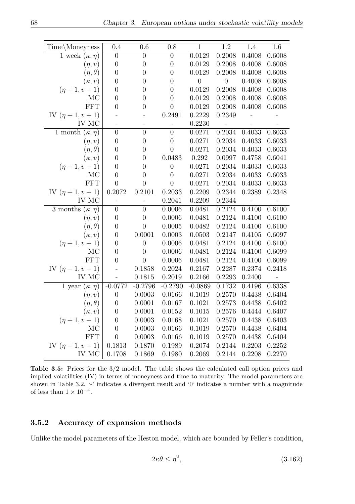| Time\Moneyness                            | 0.4              | $\overline{0.6}$ | $\overline{0.8}$ | $\overline{1}$ | $\overline{1.2}$ | 1.4    | 1.6                      |
|-------------------------------------------|------------------|------------------|------------------|----------------|------------------|--------|--------------------------|
| 1 week $(\kappa, \eta)$                   | $\boldsymbol{0}$ | $\boldsymbol{0}$ | $\boldsymbol{0}$ | 0.0129         | 0.2008           | 0.4008 | 0.6008                   |
| $(\eta, v)$                               | $\boldsymbol{0}$ | $\overline{0}$   | $\boldsymbol{0}$ | 0.0129         | 0.2008           | 0.4008 | 0.6008                   |
| $(\eta, \theta)$                          | $\boldsymbol{0}$ | $\overline{0}$   | $\overline{0}$   | 0.0129         | 0.2008           | 0.4008 | 0.6008                   |
| $(\kappa, v)$                             | $\boldsymbol{0}$ | $\overline{0}$   | $\overline{0}$   | $\overline{0}$ | $\overline{0}$   | 0.4008 | 0.6008                   |
| $(\eta + 1, v + 1)$                       | $\overline{0}$   | $\overline{0}$   | $\overline{0}$   | 0.0129         | 0.2008           | 0.4008 | 0.6008                   |
| MC                                        | $\overline{0}$   | $\overline{0}$   | $\overline{0}$   | 0.0129         | 0.2008           | 0.4008 | 0.6008                   |
| <b>FFT</b>                                | $\boldsymbol{0}$ | $\boldsymbol{0}$ | $\overline{0}$   | 0.0129         | 0.2008           | 0.4008 | 0.6008                   |
| IV $(\eta + 1, v + 1)$                    | -                | $\overline{a}$   | 0.2491           | 0.2229         | 0.2349           |        |                          |
| IV MC                                     | $\overline{a}$   | $\overline{a}$   | $\overline{a}$   | 0.2230         |                  |        | $\overline{a}$           |
| 1 month $(\kappa, \eta)$                  | $\overline{0}$   | $\overline{0}$   | $\overline{0}$   | 0.0271         | 0.2034           | 0.4033 | 0.6033                   |
| $(\eta, v)$                               | $\boldsymbol{0}$ | $\overline{0}$   | $\boldsymbol{0}$ | 0.0271         | 0.2034           | 0.4033 | 0.6033                   |
| $(\eta, \theta)$                          | $\boldsymbol{0}$ | $\overline{0}$   | $\overline{0}$   | 0.0271         | 0.2034           | 0.4033 | 0.6033                   |
| $(\kappa, v)$                             | $\overline{0}$   | $\overline{0}$   | 0.0483           | 0.292          | 0.0997           | 0.4758 | 0.6041                   |
| $(\eta + 1, v + 1)$                       | $\overline{0}$   | $\overline{0}$   | $\boldsymbol{0}$ | 0.0271         | 0.2034           | 0.4033 | 0.6033                   |
| MC                                        | $\boldsymbol{0}$ | $\boldsymbol{0}$ | $\overline{0}$   | 0.0271         | 0.2034           | 0.4033 | 0.6033                   |
| <b>FFT</b>                                | $\boldsymbol{0}$ | $\overline{0}$   | $\overline{0}$   | 0.0271         | 0.2034           | 0.4033 | 0.6033                   |
| IV $(\eta + 1, v + 1)$                    | 0.2072           | 0.2101           | 0.2033           | 0.2209         | 0.2344           | 0.2389 | 0.2348                   |
| IV MC                                     | $\overline{a}$   |                  | 0.2041           | 0.2209         | 0.2344           |        |                          |
| 3 months $(\kappa, \eta)$                 | $\overline{0}$   | $\overline{0}$   | 0.0006           | 0.0481         | 0.2124           | 0.4100 | 0.6100                   |
| $(\eta, v)$                               | $\boldsymbol{0}$ | $\overline{0}$   | 0.0006           | 0.0481         | 0.2124           | 0.4100 | 0.6100                   |
| $(\eta, \theta)$                          | $\boldsymbol{0}$ | $\overline{0}$   | 0.0005           | 0.0482         | 0.2124           | 0.4100 | 0.6100                   |
| $(\kappa, v)$                             | $\boldsymbol{0}$ | 0.0001           | 0.0003           | 0.0503         | 0.2147           | 0.4105 | 0.6097                   |
| $(\eta + 1, v + 1)$                       | $\boldsymbol{0}$ | $\boldsymbol{0}$ | 0.0006           | 0.0481         | 0.2124           | 0.4100 | 0.6100                   |
| МC                                        | $\boldsymbol{0}$ | $\overline{0}$   | 0.0006           | 0.0481         | 0.2124           | 0.4100 | 0.6099                   |
| <b>FFT</b>                                | $\overline{0}$   | $\overline{0}$   | 0.0006           | 0.0481         | 0.2124           | 0.4100 | 0.6099                   |
| IV $(\eta + 1, v + 1)$                    | $\overline{a}$   | 0.1858           | 0.2024           | 0.2167         | 0.2287           | 0.2374 | 0.2418                   |
| IV MC                                     | $\overline{a}$   | 0.1815           | 0.2019           | 0.2166         | 0.2293           | 0.2400 | $\overline{\phantom{0}}$ |
| $\overline{1 \text{ year}}(\kappa, \eta)$ | $-0.0772$        | $-0.2796$        | $-0.2790$        | $-0.0869$      | 0.1732           | 0.4196 | 0.6338                   |
| $(\eta, v)$                               | $\boldsymbol{0}$ | 0.0003           | 0.0166           | 0.1019         | 0.2570           | 0.4438 | 0.6404                   |
| $(\eta, \theta)$                          | $\boldsymbol{0}$ | 0.0001           | 0.0167           | 0.1021         | 0.2573           | 0.4438 | 0.6402                   |
| $(\kappa, v)$                             | $\boldsymbol{0}$ | 0.0001           | 0.0152           | 0.1015         | 0.2576           | 0.4444 | 0.6407                   |
| $(\eta + 1, v + 1)$                       | $\boldsymbol{0}$ | 0.0003           | 0.0168           | 0.1021         | 0.2570           | 0.4438 | 0.6403                   |
| МC                                        | $\boldsymbol{0}$ | 0.0003           | 0.0166           | 0.1019         | 0.2570           | 0.4438 | 0.6404                   |
| <b>FFT</b>                                | $\overline{0}$   | 0.0003           | 0.0166           | 0.1019         | 0.2570           | 0.4438 | 0.6404                   |
| IV $(\eta + 1, v + 1)$                    | 0.1813           | 0.1870           | 0.1989           | 0.2074         | 0.2144           | 0.2203 | 0.2252                   |
| IV MC                                     | 0.1708           | 0.1869           | 0.1980           | 0.2069         | 0.2144           | 0.2208 | 0.2270                   |

<span id="page-76-0"></span>**Table 3.5:** Prices for the 3/2 model. The table shows the calculated call option prices and implied volatilities (IV) in terms of moneyness and time to maturity. The model parameters are shown in Table [3.2.](#page-73-0)  $\cdot$ -' indicates a divergent result and  $\cdot$ 0' indicates a number with a magnitude of less than  $1 \times 10^{-4}$ .

#### **3.5.2 Accuracy of expansion methods**

Unlike the model parameters of the Heston model, which are bounded by Feller's condition,

$$
2\kappa\theta \le \eta^2,\tag{3.162}
$$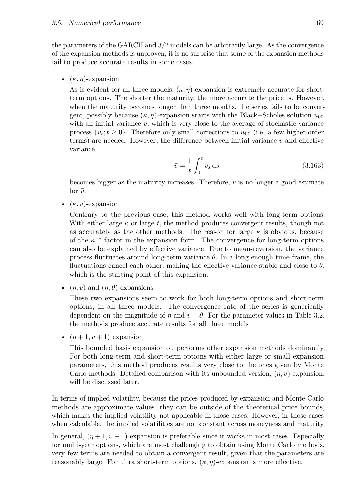the parameters of the GARCH and 3/2 models can be arbitrarily large. As the convergence of the expansion methods is unproven, it is no surprise that some of the expansion methods fail to produce accurate results in some cases.

•  $(\kappa, \eta)$ -expansion

As is evident for all three models,  $(\kappa, \eta)$ -expansion is extremely accurate for shortterm options. The shorter the maturity, the more accurate the price is. However, when the maturity becomes longer than three months, the series fails to be convergent, possibly because  $(\kappa, \eta)$ -expansion starts with the Black-Scholes solution  $u_{00}$ with an initial variance *v*, which is very close to the average of stochastic variance process  $\{v_t; t \geq 0\}$ . Therefore only small corrections to  $u_{00}$  (i.e. a few higher-order terms) are needed. However, the difference between initial variance *v* and effective variance

$$
\bar{v} = \frac{1}{t} \int_0^t v_s \, \mathrm{d}s \tag{3.163}
$$

becomes bigger as the maturity increases. Therefore, *v* is no longer a good estimate for  $\bar{v}$ .

•  $(\kappa, v)$ -expansion

Contrary to the previous case, this method works well with long-term options. With either large  $\kappa$  or large  $t$ , the method produces convergent results, though not as accurately as the other methods. The reason for large  $\kappa$  is obvious, because of the  $\kappa^{-i}$  factor in the expansion form. The convergence for long-term options can also be explained by effective variance. Due to mean-reversion, the variance process fluctuates around long-term variance *θ*. In a long enough time frame, the fluctuations cancel each other, making the effective variance stable and close to  $\theta$ , which is the starting point of this expansion.

•  $(\eta, v)$  and  $(\eta, \theta)$ -expansions

These two expansions seem to work for both long-term options and short-term options, in all three models. The convergence rate of the series is generically dependent on the magnitude of  $\eta$  and  $v - \theta$ . For the parameter values in Table [3.2,](#page-73-0) the methods produce accurate results for all three models

•  $(\eta + 1, v + 1)$  expansion

This bounded basis expansion outperforms other expansion methods dominantly. For both long-term and short-term options with either large or small expansion parameters, this method produces results very close to the ones given by Monte Carlo methods. Detailed comparison with its unbounded version, (*η, v*)-expansion, will be discussed later.

In terms of implied volatility, because the prices produced by expansion and Monte Carlo methods are approximate values, they can be outside of the theoretical price bounds, which makes the implied volatility not applicable in those cases. However, in those cases when calculable, the implied volatilities are not constant across moneyness and maturity.

In general,  $(\eta + 1, v + 1)$ -expansion is preferable since it works in most cases. Especially for multi-year options, which are most challenging to obtain using Monte Carlo methods, very few terms are needed to obtain a convergent result, given that the parameters are reasonably large. For ultra short-term options,  $(\kappa, \eta)$ -expansion is more effective.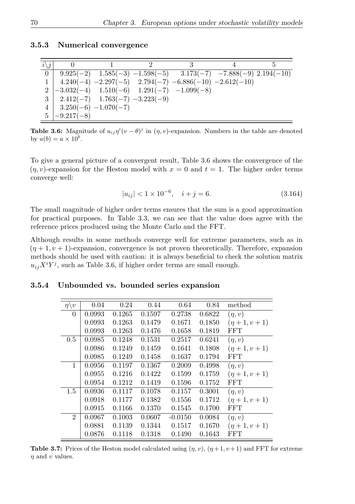#### **3.5.3 Numerical convergence**

| $i\backslash j$ |                                                   |  |                                                                                   |                                                                            |  |
|-----------------|---------------------------------------------------|--|-----------------------------------------------------------------------------------|----------------------------------------------------------------------------|--|
| 0 <sup>1</sup>  |                                                   |  |                                                                                   | $9.925(-2)$ $1.585(-3)$ $-1.598(-5)$ $3.173(-7)$ $-7.888(-9)$ $2.194(-10)$ |  |
|                 |                                                   |  | $4.240(-4) -2.297(-5)$ $2.794(-7) -6.886(-10) -2.612(-10)$                        |                                                                            |  |
|                 |                                                   |  | $2 \begin{pmatrix} -3.032(-4) & 1.510(-6) & 1.291(-7) & -1.099(-8) \end{pmatrix}$ |                                                                            |  |
|                 | $3 \mid 2.412(-7) \mid 1.763(-7) \mid -3.223(-9)$ |  |                                                                                   |                                                                            |  |
|                 | $4 \mid 3.250(-6) -1.070(-7)$                     |  |                                                                                   |                                                                            |  |
|                 | $5 \mid -9.217(-8)$                               |  |                                                                                   |                                                                            |  |

<span id="page-78-0"></span>**Table 3.6:** Magnitude of  $u_{ij}\eta^{i}(v-\theta)^{j}$  in  $(\eta, v)$ -expansion. Numbers in the table are denoted by  $a(b) = a \times 10^b$ .

To give a general picture of a convergent result, Table [3.6](#page-78-0) shows the convergence of the  $(n, v)$ -expansion for the Heston model with  $x = 0$  and  $t = 1$ . The higher order terms converge well:

$$
|u_{ij}| < 1 \times 10^{-6}, \quad i + j = 6. \tag{3.164}
$$

The small magnitude of higher order terms ensures that the sum is a good approximation for practical purposes. In Table [3.3,](#page-74-0) we can see that the value does agree with the reference prices produced using the Monte Carlo and the FFT.

Although results in some methods converge well for extreme parameters, such as in  $(\eta + 1, \nu + 1)$ -expansion, convergence is not proven theoretically. Therefore, expansion methods should be used with caution: it is always beneficial to check the solution matrix  $u_{ij}X^iY^j$ , such as Table [3.6,](#page-78-0) if higher order terms are small enough.

#### **3.5.4 Unbounded vs. bounded series expansion**

| $\eta \backslash v$ | 0.04   | 0.24   | 0.44   | 0.64      | 0.84   | method              |
|---------------------|--------|--------|--------|-----------|--------|---------------------|
| 0                   | 0.0993 | 0.1265 | 0.1597 | 0.2738    | 0.6822 | $(\eta, v)$         |
|                     | 0.0993 | 0.1263 | 0.1479 | 0.1671    | 0.1850 | $(\eta + 1, v + 1)$ |
|                     | 0.0993 | 0.1263 | 0.1476 | 0.1658    | 0.1819 | FFT                 |
| 0.5                 | 0.0985 | 0.1248 | 0.1531 | 0.2517    | 0.6241 | $(\eta, v)$         |
|                     | 0.0986 | 0.1249 | 0.1459 | 0.1641    | 0.1808 | $(\eta + 1, v + 1)$ |
|                     | 0.0985 | 0.1249 | 0.1458 | 0.1637    | 0.1794 | FFT                 |
| 1                   | 0.0956 | 0.1197 | 0.1367 | 0.2009    | 0.4998 | $(\eta, v)$         |
|                     | 0.0955 | 0.1216 | 0.1422 | 0.1599    | 0.1759 | $(\eta + 1, v + 1)$ |
|                     | 0.0954 | 0.1212 | 0.1419 | 0.1596    | 0.1752 | FFT                 |
| 1.5                 | 0.0936 | 0.1117 | 0.1078 | 0.1157    | 0.3001 | $(\eta, v)$         |
|                     | 0.0918 | 0.1177 | 0.1382 | 0.1556    | 0.1712 | $(\eta + 1, v + 1)$ |
|                     | 0.0915 | 0.1166 | 0.1370 | 0.1545    | 0.1700 | FFT                 |
| $\mathfrak{D}$      | 0.0967 | 0.1003 | 0.0607 | $-0.0150$ | 0.0084 | $(\eta, v)$         |
|                     | 0.0881 | 0.1139 | 0.1344 | 0.1517    | 0.1670 | $(\eta + 1, v + 1)$ |
|                     | 0.0876 | 0.1118 | 0.1318 | 0.1490    | 0.1643 | FFT                 |

<span id="page-78-1"></span>**Table 3.7:** Prices of the Heston model calculated using  $(\eta, v)$ ,  $(\eta + 1, v + 1)$  and FFT for extreme *η* and *v* values.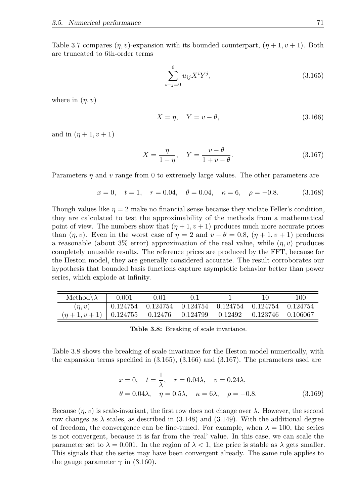Table [3.7](#page-78-1) compares  $(\eta, v)$ -expansion with its bounded counterpart,  $(\eta + 1, v + 1)$ . Both are truncated to 6th-order terms

<span id="page-79-2"></span><span id="page-79-1"></span>
$$
\sum_{i+j=0}^{6} u_{ij} X^i Y^j, \tag{3.165}
$$

where in  $(n, v)$ 

<span id="page-79-3"></span>
$$
X = \eta, \quad Y = v - \theta,\tag{3.166}
$$

and in  $(\eta + 1, v + 1)$ 

$$
X = \frac{\eta}{1 + \eta}, \quad Y = \frac{v - \theta}{1 + v - \theta}.
$$
\n(3.167)

Parameters *η* and *v* range from 0 to extremely large values. The other parameters are

$$
x = 0
$$
,  $t = 1$ ,  $r = 0.04$ ,  $\theta = 0.04$ ,  $\kappa = 6$ ,  $\rho = -0.8$ . (3.168)

Though values like  $\eta = 2$  make no financial sense because they violate Feller's condition, they are calculated to test the approximability of the methods from a mathematical point of view. The numbers show that  $(p+1, v+1)$  produces much more accurate prices than  $(\eta, v)$ . Even in the worst case of  $\eta = 2$  and  $v - \theta = 0.8$ ,  $(\eta + 1, v + 1)$  produces a reasonable (about 3% error) approximation of the real value, while (*η, v*) produces completely unusable results. The reference prices are produced by the FFT, because for the Heston model, they are generally considered accurate. The result corroborates our hypothesis that bounded basis functions capture asymptotic behavior better than power series, which explode at infinity.

| Method $\lambda$                                      | 0.001 | 0.01 |                                                                   |                   | 100 |
|-------------------------------------------------------|-------|------|-------------------------------------------------------------------|-------------------|-----|
| $(\eta, v)$                                           |       |      | $0.124754$ $0.124754$ $0.124754$ $0.124754$ $0.124754$ $0.124754$ |                   |     |
| $(\eta+1, \nu+1)$   0.124755 0.12476 0.124799 0.12492 |       |      |                                                                   | 0.123746 0.106067 |     |

<span id="page-79-0"></span>**Table 3.8:** Breaking of scale invariance.

Table [3.8](#page-79-0) shows the breaking of scale invariance for the Heston model numerically, with the expansion terms specified in [\(3.165\)](#page-79-1), [\(3.166\)](#page-79-2) and [\(3.167\)](#page-79-3). The parameters used are

$$
x = 0
$$
,  $t = \frac{1}{\lambda}$ ,  $r = 0.04\lambda$ ,  $v = 0.24\lambda$ ,  
\n $\theta = 0.04\lambda$ ,  $\eta = 0.5\lambda$ ,  $\kappa = 6\lambda$ ,  $\rho = -0.8$ . (3.169)

Because  $(n, v)$  is scale-invariant, the first row does not change over  $\lambda$ . However, the second row changes as  $\lambda$  scales, as described in [\(3.148\)](#page-70-0) and [\(3.149\)](#page-70-1). With the additional degree of freedom, the convergence can be fine-tuned. For example, when  $\lambda = 100$ , the series is not convergent, because it is far from the 'real' value. In this case, we can scale the parameter set to  $\lambda = 0.001$ . In the region of  $\lambda < 1$ , the price is stable as  $\lambda$  gets smaller. This signals that the series may have been convergent already. The same rule applies to the gauge parameter  $\gamma$  in [\(3.160\)](#page-73-1).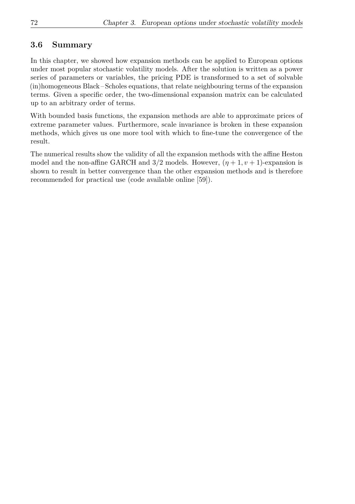### **3.6 Summary**

In this chapter, we showed how expansion methods can be applied to European options under most popular stochastic volatility models. After the solution is written as a power series of parameters or variables, the pricing PDE is transformed to a set of solvable (in)homogeneous Black – Scholes equations, that relate neighbouring terms of the expansion terms. Given a specific order, the two-dimensional expansion matrix can be calculated up to an arbitrary order of terms.

With bounded basis functions, the expansion methods are able to approximate prices of extreme parameter values. Furthermore, scale invariance is broken in these expansion methods, which gives us one more tool with which to fine-tune the convergence of the result.

The numerical results show the validity of all the expansion methods with the affine Heston model and the non-affine GARCH and  $3/2$  models. However,  $(\eta + 1, v + 1)$ -expansion is shown to result in better convergence than the other expansion methods and is therefore recommended for practical use (code available online [\[59\]](#page-111-2)).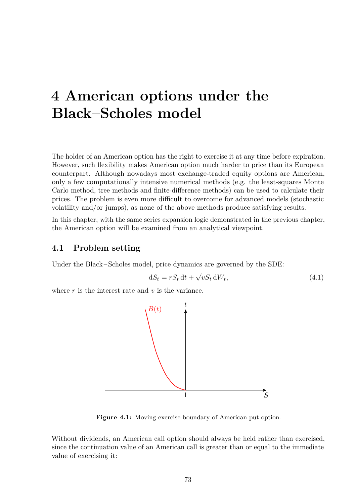# <span id="page-81-1"></span>**4 American options under the Black–Scholes model**

The holder of an American option has the right to exercise it at any time before expiration. However, such flexibility makes American option much harder to price than its European counterpart. Although nowadays most exchange-traded equity options are American, only a few computationally intensive numerical methods (e.g. the least-squares Monte Carlo method, tree methods and finite-difference methods) can be used to calculate their prices. The problem is even more difficult to overcome for advanced models (stochastic volatility and/or jumps), as none of the above methods produce satisfying results.

In this chapter, with the same series expansion logic demonstrated in the previous chapter, the American option will be examined from an analytical viewpoint.

### **4.1 Problem setting**

Under the Black – Scholes model, price dynamics are governed by the SDE:

$$
dS_t = rS_t dt + \sqrt{v}S_t dW_t, \qquad (4.1)
$$

where *r* is the interest rate and *v* is the variance.



<span id="page-81-0"></span>**Figure 4.1:** Moving exercise boundary of American put option.

Without dividends, an American call option should always be held rather than exercised, since the continuation value of an American call is greater than or equal to the immediate value of exercising it: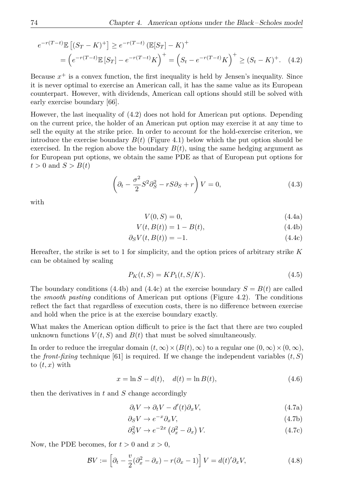$$
e^{-r(T-t)}\mathbb{E}\left[(S_T - K)^+\right] \ge e^{-r(T-t)} \left(\mathbb{E}[S_T] - K\right)^+ \\
= \left(e^{-r(T-t)}\mathbb{E}\left[S_T\right] - e^{-r(T-t)}K\right)^+ = \left(S_t - e^{-r(T-t)}K\right)^+ \ge (S_t - K)^+.\tag{4.2}
$$

Because  $x^+$  is a convex function, the first inequality is held by Jensen's inequality. Since it is never optimal to exercise an American call, it has the same value as its European counterpart. However, with dividends, American call options should still be solved with early exercise boundary [\[66\]](#page-111-3).

However, the last inequality of [\(4.2\)](#page-82-0) does not hold for American put options. Depending on the current price, the holder of an American put option may exercise it at any time to sell the equity at the strike price. In order to account for the hold-exercise criterion, we introduce the exercise boundary  $B(t)$  (Figure [4.1\)](#page-81-0) below which the put option should be exercised. In the region above the boundary  $B(t)$ , using the same hedging argument as for European put options, we obtain the same PDE as that of European put options for  $t > 0$  and  $S > B(t)$ 

<span id="page-82-0"></span>
$$
\left(\partial_t - \frac{\sigma^2}{2}S^2\partial_S^2 - rS\partial_S + r\right)V = 0,\tag{4.3}
$$

with

<span id="page-82-2"></span><span id="page-82-1"></span>
$$
V(0, S) = 0,\t\t(4.4a)
$$

$$
V(t, B(t)) = 1 - B(t),
$$
\n(4.4b)

$$
\partial_S V(t, B(t)) = -1. \tag{4.4c}
$$

Hereafter, the strike is set to 1 for simplicity, and the option prices of arbitrary strike *K* can be obtained by scaling

$$
P_K(t, S) = KP_1(t, S/K).
$$
\n(4.5)

The boundary conditions [\(4.4b\)](#page-82-1) and [\(4.4c\)](#page-82-2) at the exercise boundary  $S = B(t)$  are called the *smooth pasting* conditions of American put options (Figure [4.2\)](#page-83-0). The conditions reflect the fact that regardless of execution costs, there is no difference between exercise and hold when the price is at the exercise boundary exactly.

What makes the American option difficult to price is the fact that there are two coupled unknown functions  $V(t, S)$  and  $B(t)$  that must be solved simultaneously.

In order to reduce the irregular domain  $(t, \infty) \times (B(t), \infty)$  to a regular one  $(0, \infty) \times (0, \infty)$ , the *front-fixing* technique [\[61\]](#page-111-4) is required. If we change the independent variables  $(t, S)$ to  $(t, x)$  with

$$
x = \ln S - d(t), \quad d(t) = \ln B(t), \tag{4.6}
$$

then the derivatives in *t* and *S* change accordingly

$$
\partial_t V \to \partial_t V - d'(t) \partial_x V,\tag{4.7a}
$$

$$
\partial_S V \to e^{-x} \partial_x V,\tag{4.7b}
$$

<span id="page-82-3"></span>
$$
\partial_S^2 V \to e^{-2x} \left( \partial_x^2 - \partial_x \right) V. \tag{4.7c}
$$

Now, the PDE becomes, for  $t > 0$  and  $x > 0$ ,

$$
BV := \left[\partial_t - \frac{v}{2}(\partial_x^2 - \partial_x) - r(\partial_x - 1)\right]V = d(t)'\partial_x V,\tag{4.8}
$$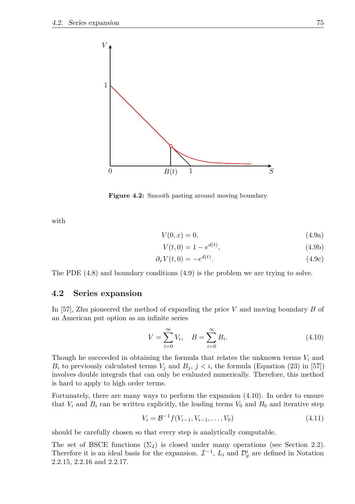

<span id="page-83-0"></span>**Figure 4.2:** Smooth pasting around moving boundary.

<span id="page-83-1"></span>with

$$
V(0, x) = 0,\t\t(4.9a)
$$

$$
V(t,0) = 1 - e^{d(t)},
$$
\n(4.9b)

$$
\partial_x V(t,0) = -e^{d(t)}.\tag{4.9c}
$$

The PDE [\(4.8\)](#page-82-3) and boundary conditions [\(4.9\)](#page-83-1) is the problem we are trying to solve.

#### **4.2 Series expansion**

In [\[57\]](#page-111-5), Zhu pioneered the method of expanding the price *V* and moving boundary *B* of an American put option as an infinite series

<span id="page-83-2"></span>
$$
V = \sum_{i=0}^{\infty} V_i, \quad B = \sum_{i=0}^{\infty} B_i.
$$
 (4.10)

Though he succeeded in obtaining the formula that relates the unknown terms  $V_i$  and *B*<sup>*i*</sup> to previously calculated terms  $V_j$  and  $B_j$ ,  $j < i$ , the formula (Equation (23) in [\[57\]](#page-111-5)) involves double integrals that can only be evaluated numerically. Therefore, this method is hard to apply to high order terms.

Fortunately, there are many ways to perform the expansion [\(4.10\)](#page-83-2). In order to ensure that  $V_i$  and  $B_i$  can be written explicitly, the leading terms  $V_0$  and  $B_0$  and iterative step

$$
V_i = \mathcal{B}^{-1} f(V_{i-1}, V_{i-1}, \dots, V_0)
$$
\n(4.11)

should be carefully chosen so that every step is analytically computable.

<span id="page-83-3"></span>The set of BSCE functions  $(\Sigma_2)$  is closed under many operations (see Section [2.2\)](#page-23-0). Therefore it is an ideal basis for the expansion.  $\mathcal{I}^{-1}$ ,  $L_i$  and  $\mathcal{D}_p^i$  are defined in Notation [2.2.15,](#page-31-0) [2.2.16](#page-31-1) and [2.2.17.](#page-31-2)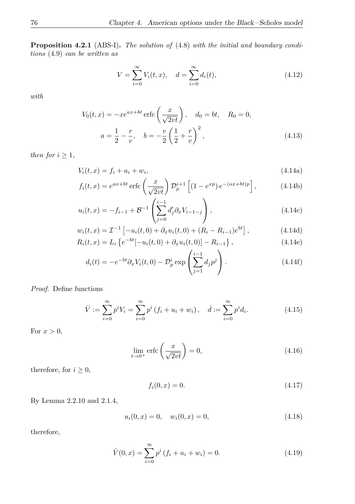**Proposition 4.2.1** (ABS-I)**.** *The solution of* [\(4.8\)](#page-82-3) *with the initial and boundary conditions* [\(4.9\)](#page-83-1) *can be written as*

$$
V = \sum_{i=0}^{\infty} V_i(t, x), \quad d = \sum_{i=0}^{\infty} d_i(t), \tag{4.12}
$$

*with*

$$
V_0(t, x) = -xe^{ax + bt} \operatorname{erfc}\left(\frac{x}{\sqrt{2vt}}\right), \quad d_0 = bt, \quad R_0 = 0,
$$
  

$$
a = \frac{1}{2} - \frac{r}{v}, \quad b = -\frac{v}{2} \left(\frac{1}{2} + \frac{r}{v}\right)^2,
$$
 (4.13)

*then for*  $i \geq 1$ *,* 

$$
V_i(t, x) = f_i + u_i + w_i,
$$
\n(4.14a)

$$
f_i(t,x) = e^{ax+bt} \operatorname{erfc}\left(\frac{x}{\sqrt{2vt}}\right) \mathcal{D}_p^{i+1} \left[ (1 - e^{xp}) e^{-(ax+bt)p} \right],\tag{4.14b}
$$

$$
u_i(t,x) = -f_{i-1} + \mathcal{B}^{-1}\left(\sum_{j=0}^{i-1} d'_j \partial_x V_{i-1-j}\right),\tag{4.14c}
$$

$$
w_i(t, x) = \mathcal{I}^{-1} \left[ -u_i(t, 0) + \partial_x u_i(t, 0) + (R_i - R_{i-1})e^{bt} \right],
$$
\n(4.14d)

$$
R_i(t, x) = L_i \left\{ e^{-bt} [-u_i(t, 0) + \partial_x u_i(t, 0)] - R_{i-1} \right\},
$$
\n(4.14e)

$$
d_i(t) = -e^{-bt} \partial_x V_i(t,0) - \mathcal{D}_p^i \exp\left(\sum_{j=1}^{i-1} d_j p^j\right).
$$
 (4.14f)

*Proof.* Define functions

$$
\bar{V} := \sum_{i=0}^{\infty} p^i V_i = \sum_{i=0}^{\infty} p^i (f_i + u_i + w_i), \quad \bar{d} := \sum_{i=0}^{\infty} p^i d_i.
$$
 (4.15)

For  $x > 0$ ,

$$
\lim_{t \to 0^+} \text{erfc}\left(\frac{x}{\sqrt{2vt}}\right) = 0,\tag{4.16}
$$

therefore, for  $i \geq 0$ ,

<span id="page-84-0"></span>
$$
f_i(0, x) = 0.\t\t(4.17)
$$

By Lemma [2.2.10](#page-26-0) and [2.1.4,](#page-22-0)

$$
u_i(0, x) = 0, \quad w_i(0, x) = 0,\tag{4.18}
$$

therefore,

$$
\bar{V}(0,x) = \sum_{i=0}^{\infty} p^i (f_i + u_i + w_i) = 0.
$$
\n(4.19)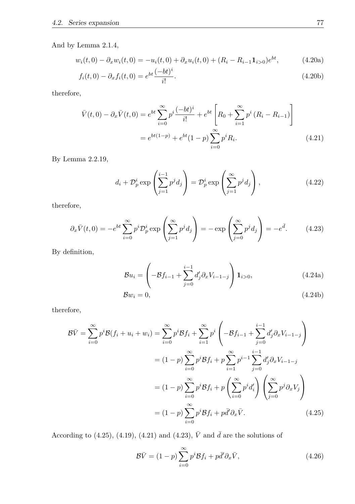And by Lemma [2.1.4,](#page-22-0)

$$
w_i(t,0) - \partial_x w_i(t,0) = -u_i(t,0) + \partial_x u_i(t,0) + (R_i - R_{i-1} \mathbf{1}_{i>0})e^{bt},
$$
\n(4.20a)

$$
f_i(t,0) - \partial_x f_i(t,0) = e^{bt} \frac{(-bt)^i}{i!}.
$$
\n(4.20b)

therefore,

$$
\bar{V}(t,0) - \partial_x \bar{V}(t,0) = e^{bt} \sum_{i=0}^{\infty} p^i \frac{(-bt)^i}{i!} + e^{bt} \left[ R_0 + \sum_{i=1}^{\infty} p^i (R_i - R_{i-1}) \right]
$$

$$
= e^{bt(1-p)} + e^{bt} (1-p) \sum_{i=0}^{\infty} p^i R_i.
$$
(4.21)

By Lemma [2.2.19,](#page-31-3)

<span id="page-85-1"></span>
$$
d_i + \mathcal{D}_p^i \exp\left(\sum_{j=1}^{i-1} p^j d_j\right) = \mathcal{D}_p^i \exp\left(\sum_{j=1}^{\infty} p^j d_j\right),\tag{4.22}
$$

therefore,

$$
\partial_x \bar{V}(t,0) = -e^{bt} \sum_{i=0}^{\infty} p^i \mathcal{D}_p^i \exp\left(\sum_{j=1}^{\infty} p^j d_j\right) = -\exp\left(\sum_{j=0}^{\infty} p^j d_j\right) = -e^{\bar{d}}.\tag{4.23}
$$

By definition,

<span id="page-85-2"></span>
$$
\mathcal{B}u_i = \left(-\mathcal{B}f_{i-1} + \sum_{j=0}^{i-1} d'_j \partial_x V_{i-1-j}\right) \mathbf{1}_{i>0},\tag{4.24a}
$$

$$
Bw_i = 0,\t\t(4.24b)
$$

therefore,

$$
\mathcal{B}\bar{V} = \sum_{i=0}^{\infty} p^{i} \mathcal{B}(f_{i} + u_{i} + w_{i}) = \sum_{i=0}^{\infty} p^{i} \mathcal{B}f_{i} + \sum_{i=1}^{\infty} p^{i} \left( -\mathcal{B}f_{i-1} + \sum_{j=0}^{i-1} d_{j}' \partial_{x} V_{i-1-j} \right)
$$

$$
= (1-p) \sum_{i=0}^{\infty} p^{i} \mathcal{B}f_{i} + p \sum_{i=1}^{\infty} p^{i-1} \sum_{j=0}^{i-1} d_{j}' \partial_{x} V_{i-1-j}
$$

$$
= (1-p) \sum_{i=0}^{\infty} p^{i} \mathcal{B}f_{i} + p \left( \sum_{i=0}^{\infty} p^{i} d_{i}' \right) \left( \sum_{j=0}^{\infty} p^{j} \partial_{x} V_{j} \right)
$$

$$
= (1-p) \sum_{i=0}^{\infty} p^{i} \mathcal{B}f_{i} + p \bar{d}' \partial_{x} \bar{V}.
$$
(4.25)

According to [\(4.25\)](#page-85-0), [\(4.19\)](#page-84-0), [\(4.21\)](#page-85-1) and [\(4.23\)](#page-85-2),  $\bar{V}$  and  $\bar{d}$  are the solutions of

<span id="page-85-0"></span>
$$
\mathcal{B}\bar{V} = (1-p)\sum_{i=0}^{\infty} p^i \mathcal{B}f_i + p\bar{d}'\partial_x \bar{V},
$$
\n(4.26)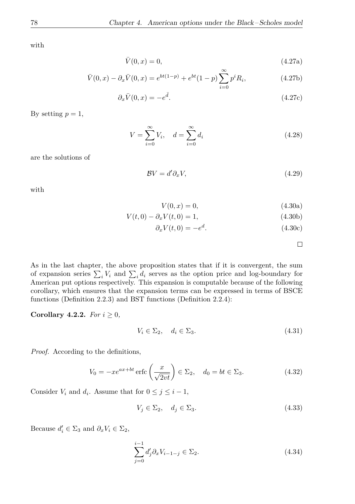with

$$
\bar{V}(0,x) = 0,\t\t(4.27a)
$$

$$
\bar{V}(0,x) - \partial_x \bar{V}(0,x) = e^{bt(1-p)} + e^{bt}(1-p) \sum_{i=0}^{\infty} p^i R_i,
$$
\n(4.27b)

$$
\partial_x \bar{V}(0, x) = -e^{\bar{d}}.\tag{4.27c}
$$

By setting  $p = 1$ ,

$$
V = \sum_{i=0}^{\infty} V_i, \quad d = \sum_{i=0}^{\infty} d_i
$$
 (4.28)

are the solutions of

$$
BV = d'\partial_x V,\tag{4.29}
$$

with

$$
V(0, x) = 0,\t(4.30a)
$$

$$
V(t,0) - \partial_x V(t,0) = 1,
$$
\n(4.30b)

$$
\partial_x V(t,0) = -e^d. \tag{4.30c}
$$

 $\Box$ 

As in the last chapter, the above proposition states that if it is convergent, the sum of expansion series  $\sum_i V_i$  and  $\sum_i d_i$  serves as the option price and log-boundary for American put options respectively. This expansion is computable because of the following corollary, which ensures that the expansion terms can be expressed in terms of BSCE functions (Definition [2.2.3\)](#page-24-0) and BST functions (Definition [2.2.4\)](#page-24-1):

**Corollary 4.2.2.** *For*  $i \geq 0$ *,* 

$$
V_i \in \Sigma_2, \quad d_i \in \Sigma_3. \tag{4.31}
$$

*Proof.* According to the definitions,

$$
V_0 = -xe^{ax+bt} \operatorname{erfc}\left(\frac{x}{\sqrt{2vt}}\right) \in \Sigma_2, \quad d_0 = bt \in \Sigma_3. \tag{4.32}
$$

Consider  $V_i$  and  $d_i$ . Assume that for  $0 \leq j \leq i - 1$ ,

$$
V_j \in \Sigma_2, \quad d_j \in \Sigma_3. \tag{4.33}
$$

Because  $d'_i \in \Sigma_3$  and  $\partial_x V_i \in \Sigma_2$ ,

$$
\sum_{j=0}^{i-1} d'_j \partial_x V_{i-1-j} \in \Sigma_2.
$$
\n(4.34)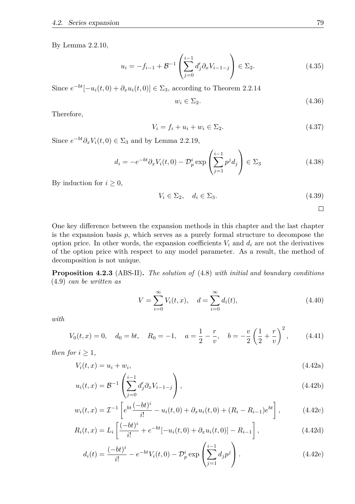By Lemma [2.2.10,](#page-26-0)

$$
u_i = -f_{i-1} + \mathcal{B}^{-1} \left( \sum_{j=0}^{i-1} d'_j \partial_x V_{i-1-j} \right) \in \Sigma_2.
$$
 (4.35)

Since  $e^{-bt}[-u_i(t,0) + \partial_x u_i(t,0)] \in \Sigma_3$ , according to Theorem [2.2.14](#page-29-0)

$$
w_i \in \Sigma_2. \tag{4.36}
$$

Therefore,

$$
V_i = f_i + u_i + w_i \in \Sigma_2. \tag{4.37}
$$

Since  $e^{-bt}\partial_x V_i(t,0) \in \Sigma_3$  and by Lemma [2.2.19,](#page-31-3)

$$
d_i = -e^{-bt} \partial_x V_i(t,0) - \mathcal{D}_p^i \exp\left(\sum_{j=1}^{i-1} p^j d_j\right) \in \Sigma_3 \tag{4.38}
$$

By induction for  $i \geq 0$ ,

$$
V_i \in \Sigma_2, \quad d_i \in \Sigma_3. \tag{4.39}
$$

 $\Box$ 

One key difference between the expansion methods in this chapter and the last chapter is the expansion basis *p*, which serves as a purely formal structure to decompose the option price. In other words, the expansion coefficients  $V_i$  and  $d_i$  are not the derivatives of the option price with respect to any model parameter. As a result, the method of decomposition is not unique.

<span id="page-87-0"></span>**Proposition 4.2.3** (ABS-II)**.** *The solution of* [\(4.8\)](#page-82-3) *with initial and boundary conditions* [\(4.9\)](#page-83-1) *can be written as*

$$
V = \sum_{i=0}^{\infty} V_i(t, x), \quad d = \sum_{i=0}^{\infty} d_i(t), \tag{4.40}
$$

*with*

$$
V_0(t,x) = 0, \quad d_0 = bt, \quad R_0 = -1, \quad a = \frac{1}{2} - \frac{r}{v}, \quad b = -\frac{v}{2} \left(\frac{1}{2} + \frac{r}{v}\right)^2, \tag{4.41}
$$

*then for*  $i \geq 1$ *,* 

$$
V_i(t, x) = u_i + w_i,\tag{4.42a}
$$

$$
u_i(t,x) = \mathcal{B}^{-1} \left( \sum_{j=0}^{i-1} d'_j \partial_x V_{i-1-j} \right),
$$
\n(4.42b)

$$
w_i(t,x) = \mathcal{I}^{-1} \left[ e^{bt} \frac{(-bt)^i}{i!} - u_i(t,0) + \partial_x u_i(t,0) + (R_i - R_{i-1})e^{bt} \right],
$$
 (4.42c)

$$
R_i(t, x) = L_i \left[ \frac{(-bt)^i}{i!} + e^{-bt} [-u_i(t, 0) + \partial_x u_i(t, 0)] - R_{i-1} \right],
$$
\n(4.42d)

$$
d_i(t) = \frac{(-bt)^i}{i!} - e^{-bt}V_i(t,0) - \mathcal{D}_p^i \exp\left(\sum_{j=1}^{i-1} d_j p^j\right).
$$
 (4.42e)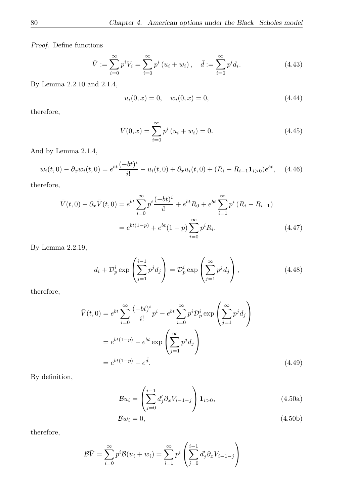*Proof.* Define functions

$$
\bar{V} := \sum_{i=0}^{\infty} p^i V_i = \sum_{i=0}^{\infty} p^i (u_i + w_i), \quad \bar{d} := \sum_{i=0}^{\infty} p^i d_i.
$$
 (4.43)

By Lemma [2.2.10](#page-26-0) and [2.1.4,](#page-22-0)

<span id="page-88-0"></span>
$$
u_i(0, x) = 0, \quad w_i(0, x) = 0,\tag{4.44}
$$

therefore,

<span id="page-88-1"></span>
$$
\bar{V}(0,x) = \sum_{i=0}^{\infty} p^i (u_i + w_i) = 0.
$$
\n(4.45)

And by Lemma [2.1.4,](#page-22-0)

$$
w_i(t,0) - \partial_x w_i(t,0) = e^{bt} \frac{(-bt)^i}{i!} - u_i(t,0) + \partial_x u_i(t,0) + (R_i - R_{i-1} \mathbf{1}_{i>0}) e^{bt}, \quad (4.46)
$$

therefore,

$$
\bar{V}(t,0) - \partial_x \bar{V}(t,0) = e^{bt} \sum_{i=0}^{\infty} p^i \frac{(-bt)^i}{i!} + e^{bt} R_0 + e^{bt} \sum_{i=1}^{\infty} p^i (R_i - R_{i-1})
$$
\n
$$
= e^{bt(1-p)} + e^{bt}(1-p) \sum_{i=0}^{\infty} p^i R_i.
$$
\n(4.47)

By Lemma [2.2.19,](#page-31-3)

$$
d_i + \mathcal{D}_p^i \exp\left(\sum_{j=1}^{i-1} p^j d_j\right) = \mathcal{D}_p^i \exp\left(\sum_{j=1}^{\infty} p^j d_j\right),\tag{4.48}
$$

therefore,

$$
\bar{V}(t,0) = e^{bt} \sum_{i=0}^{\infty} \frac{(-bt)^i}{i!} p^i - e^{bt} \sum_{i=0}^{\infty} p^i \mathcal{D}_p^i \exp\left(\sum_{j=1}^{\infty} p^j d_j\right)
$$
\n
$$
= e^{bt(1-p)} - e^{bt} \exp\left(\sum_{j=1}^{\infty} p^j d_j\right)
$$
\n
$$
= e^{bt(1-p)} - e^{\bar{d}}.
$$
\n(4.49)

By definition,

<span id="page-88-2"></span>
$$
\mathcal{B}u_i = \left(\sum_{j=0}^{i-1} d'_j \partial_x V_{i-1-j}\right) \mathbf{1}_{i>0},\tag{4.50a}
$$

$$
Bw_i = 0,\t\t(4.50b)
$$

therefore,

$$
\mathcal{B}\overline{V} = \sum_{i=0}^{\infty} p^i \mathcal{B}(u_i + w_i) = \sum_{i=1}^{\infty} p^i \left( \sum_{j=0}^{i-1} d'_j \partial_x V_{i-1-j} \right)
$$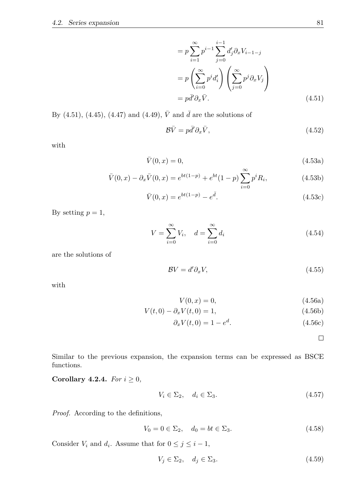<span id="page-89-0"></span>
$$
= p \sum_{i=1}^{\infty} p^{i-1} \sum_{j=0}^{i-1} d'_j \partial_x V_{i-1-j}
$$
  

$$
= p \left( \sum_{i=0}^{\infty} p^i d'_i \right) \left( \sum_{j=0}^{\infty} p^j \partial_x V_j \right)
$$
  

$$
= p \bar{d}' \partial_x \bar{V}.
$$
 (4.51)

By [\(4.51\)](#page-89-0), [\(4.45\)](#page-88-0), [\(4.47\)](#page-88-1) and [\(4.49\)](#page-88-2),  $\bar{V}$  and  $\bar{d}$  are the solutions of

$$
\mathcal{B}\bar{V} = p\bar{d}'\partial_x\bar{V},\tag{4.52}
$$

with

$$
\overline{V}(0,x) = 0,\t\t(4.53a)
$$

$$
\bar{V}(0,x) - \partial_x \bar{V}(0,x) = e^{bt(1-p)} + e^{bt}(1-p) \sum_{i=0}^{\infty} p^i R_i,
$$
\n(4.53b)

$$
\bar{V}(0,x) = e^{bt(1-p)} - e^{\bar{d}}.
$$
\n(4.53c)

By setting  $p = 1$ ,

$$
V = \sum_{i=0}^{\infty} V_i, \quad d = \sum_{i=0}^{\infty} d_i
$$
 (4.54)

are the solutions of

$$
BV = d'\partial_x V,\tag{4.55}
$$

with

$$
V(0, x) = 0,\t(4.56a)
$$

$$
V(t,0) - \partial_x V(t,0) = 1,
$$
\n(4.56b)

$$
\partial_x V(t,0) = 1 - e^d. \tag{4.56c}
$$

 $\Box$ 

Similar to the previous expansion, the expansion terms can be expressed as BSCE functions.

**Corollary 4.2.4.** *For*  $i \geq 0$ *,* 

$$
V_i \in \Sigma_2, \quad d_i \in \Sigma_3. \tag{4.57}
$$

*Proof.* According to the definitions,

$$
V_0 = 0 \in \Sigma_2, \quad d_0 = bt \in \Sigma_3. \tag{4.58}
$$

Consider  $V_i$  and  $d_i$ . Assume that for  $0 \leq j \leq i - 1$ ,

$$
V_j \in \Sigma_2, \quad d_j \in \Sigma_3. \tag{4.59}
$$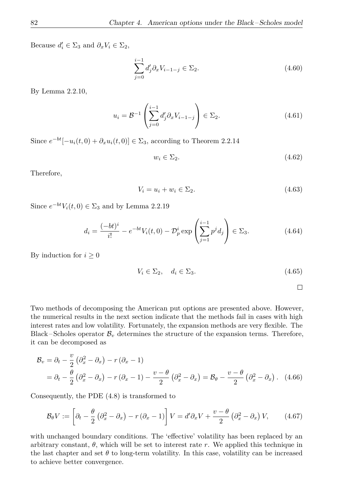Because  $d'_i \in \Sigma_3$  and  $\partial_x V_i \in \Sigma_2$ ,

$$
\sum_{j=0}^{i-1} d'_j \partial_x V_{i-1-j} \in \Sigma_2.
$$
\n(4.60)

By Lemma [2.2.10,](#page-26-0)

$$
u_i = \mathcal{B}^{-1} \left( \sum_{j=0}^{i-1} d'_j \partial_x V_{i-1-j} \right) \in \Sigma_2.
$$
 (4.61)

Since  $e^{-bt}[-u_i(t,0) + \partial_x u_i(t,0)] \in \Sigma_3$ , according to Theorem [2.2.14](#page-29-0)

$$
w_i \in \Sigma_2. \tag{4.62}
$$

Therefore,

$$
V_i = u_i + w_i \in \Sigma_2. \tag{4.63}
$$

Since  $e^{-bt}V_i(t,0) \in \Sigma_3$  and by Lemma [2.2.19](#page-31-3)

$$
d_i = \frac{(-bt)^i}{i!} - e^{-bt}V_i(t,0) - \mathcal{D}_p^i \exp\left(\sum_{j=1}^{i-1} p^j d_j\right) \in \Sigma_3.
$$
 (4.64)

By induction for  $i \geq 0$ 

$$
V_i \in \Sigma_2, \quad d_i \in \Sigma_3. \tag{4.65}
$$

 $\Box$ 

Two methods of decomposing the American put options are presented above. However, the numerical results in the next section indicate that the methods fail in cases with high interest rates and low volatility. Fortunately, the expansion methods are very flexible. The Black – Scholes operator  $\mathcal{B}_v$  determines the structure of the expansion terms. Therefore, it can be decomposed as

$$
\mathcal{B}_{v} = \partial_{t} - \frac{v}{2} \left( \partial_{x}^{2} - \partial_{x} \right) - r \left( \partial_{x} - 1 \right)
$$
  
=  $\partial_{t} - \frac{\theta}{2} \left( \partial_{x}^{2} - \partial_{x} \right) - r \left( \partial_{x} - 1 \right) - \frac{v - \theta}{2} \left( \partial_{x}^{2} - \partial_{x} \right) = \mathcal{B}_{\theta} - \frac{v - \theta}{2} \left( \partial_{x}^{2} - \partial_{x} \right).$  (4.66)

Consequently, the PDE [\(4.8\)](#page-82-3) is transformed to

$$
\mathcal{B}_{\theta}V := \left[\partial_t - \frac{\theta}{2} \left(\partial_x^2 - \partial_x\right) - r \left(\partial_x - 1\right)\right]V = d'\partial_x V + \frac{v - \theta}{2} \left(\partial_x^2 - \partial_x\right)V, \tag{4.67}
$$

<span id="page-90-0"></span>with unchanged boundary conditions. The 'effective' volatility has been replaced by an arbitrary constant,  $\theta$ , which will be set to interest rate r. We applied this technique in the last chapter and set  $\theta$  to long-term volatility. In this case, volatility can be increased to achieve better convergence.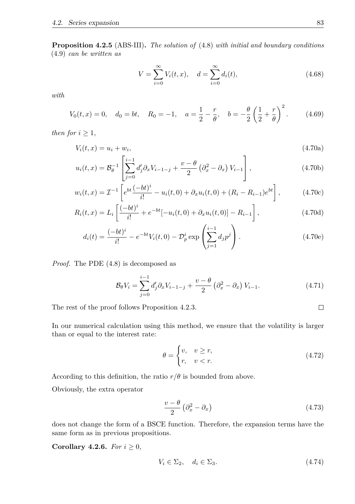**Proposition 4.2.5** (ABS-III)**.** *The solution of* [\(4.8\)](#page-82-3) *with initial and boundary conditions* [\(4.9\)](#page-83-1) *can be written as*

$$
V = \sum_{i=0}^{\infty} V_i(t, x), \quad d = \sum_{i=0}^{\infty} d_i(t), \tag{4.68}
$$

*with*

$$
V_0(t,x) = 0, \quad d_0 = bt, \quad R_0 = -1, \quad a = \frac{1}{2} - \frac{r}{\theta}, \quad b = -\frac{\theta}{2} \left(\frac{1}{2} + \frac{r}{\theta}\right)^2. \tag{4.69}
$$

*then for*  $i \geq 1$ *,* 

$$
V_i(t, x) = u_i + w_i,\tag{4.70a}
$$

$$
u_i(t,x) = \mathcal{B}_{\theta}^{-1} \left[ \sum_{j=0}^{i-1} d'_j \partial_x V_{i-1-j} + \frac{v - \theta}{2} \left( \partial_x^2 - \partial_x \right) V_{i-1} \right],
$$
 (4.70b)

$$
w_i(t,x) = \mathcal{I}^{-1} \left[ e^{bt} \frac{(-bt)^i}{i!} - u_i(t,0) + \partial_x u_i(t,0) + (R_i - R_{i-1})e^{bt} \right],
$$
 (4.70c)

$$
R_i(t, x) = L_i \left[ \frac{(-bt)^i}{i!} + e^{-bt}[-u_i(t, 0) + \partial_x u_i(t, 0)] - R_{i-1} \right],
$$
\n(4.70d)

$$
d_i(t) = \frac{(-bt)^i}{i!} - e^{-bt}V_i(t,0) - \mathcal{D}_p^i \exp\left(\sum_{j=1}^{i-1} d_j p^j\right).
$$
 (4.70e)

*Proof.* The PDE [\(4.8\)](#page-82-3) is decomposed as

$$
\mathcal{B}_{\theta}V_{i} = \sum_{j=0}^{i-1} d'_{j} \partial_{x} V_{i-1-j} + \frac{v-\theta}{2} (\partial_{x}^{2} - \partial_{x}) V_{i-1}.
$$
 (4.71)

The rest of the proof follows Proposition [4.2.3.](#page-87-0)

In our numerical calculation using this method, we ensure that the volatility is larger than or equal to the interest rate:

$$
\theta = \begin{cases} v, & v \ge r, \\ r, & v < r. \end{cases} \tag{4.72}
$$

According to this definition, the ratio  $r/\theta$  is bounded from above.

Obviously, the extra operator

$$
\frac{v-\theta}{2} \left(\partial_x^2 - \partial_x\right) \tag{4.73}
$$

does not change the form of a BSCE function. Therefore, the expansion terms have the same form as in previous propositions.

**Corollary 4.2.6.** *For*  $i \geq 0$ *,* 

$$
V_i \in \Sigma_2, \quad d_i \in \Sigma_3. \tag{4.74}
$$

 $\Box$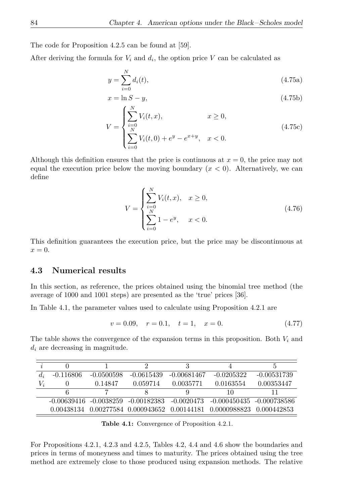The code for Proposition [4.2.5](#page-90-0) can be found at [\[59\]](#page-111-2).

After deriving the formula for  $V_i$  and  $d_i$ , the option price  $V$  can be calculated as

$$
y = \sum_{i=0}^{N} d_i(t),
$$
\n(4.75a)

$$
x = \ln S - y,\tag{4.75b}
$$

$$
V = \begin{cases} \sum_{i=0}^{N} V_i(t, x), & x \ge 0, \\ \sum_{i=0}^{N} V_i(t, 0) + e^y - e^{x+y}, & x < 0. \end{cases}
$$
 (4.75c)

Although this definition ensures that the price is continuous at  $x = 0$ , the price may not equal the execution price below the moving boundary  $(x < 0)$ . Alternatively, we can define

<span id="page-92-1"></span>
$$
V = \begin{cases} \sum_{i=0}^{N} V_i(t, x), & x \ge 0, \\ \sum_{i=0}^{N} 1 - e^y, & x < 0. \end{cases}
$$
 (4.76)

This definition guarantees the execution price, but the price may be discontinuous at  $x=0.$ 

### **4.3 Numerical results**

In this section, as reference, the prices obtained using the binomial tree method (the average of 1000 and 1001 steps) are presented as the 'true' prices [\[36\]](#page-110-0).

In Table [4.1,](#page-92-0) the parameter values used to calculate using Proposition [4.2.1](#page-83-3) are

$$
v = 0.09, \quad r = 0.1, \quad t = 1, \quad x = 0. \tag{4.77}
$$

The table shows the convergence of the expansion terms in this proposition. Both *V<sup>i</sup>* and *d<sup>i</sup>* are decreasing in magnitude.

| $-0.116806$ | $-0.0500598$ | -0.0615439 | -0.00681467 | $-0.0205322$                                                                        | $-0.00531739$ |
|-------------|--------------|------------|-------------|-------------------------------------------------------------------------------------|---------------|
|             | 0.14847      | 0.059714   | 0.0035771   | 0.0163554                                                                           | 0.00353447    |
|             |              |            |             | 10                                                                                  |               |
|             |              |            |             | $-0.00639416$ $-0.0038259$ $-0.00182383$ $-0.0020473$ $-0.000450435$ $-0.000738586$ |               |
|             |              |            |             | $0.00438134$ $0.00277584$ $0.000943652$ $0.00144181$ $0.0000988823$ $0.000442853$   |               |

<span id="page-92-0"></span>**Table 4.1:** Convergence of Proposition [4.2.1.](#page-83-3)

For Propositions [4.2.1,](#page-83-3) [4.2.3](#page-87-0) and [4.2.5,](#page-90-0) Tables [4.2,](#page-94-0) [4.4](#page-96-0) and [4.6](#page-98-0) show the boundaries and prices in terms of moneyness and times to maturity. The prices obtained using the tree method are extremely close to those produced using expansion methods. The relative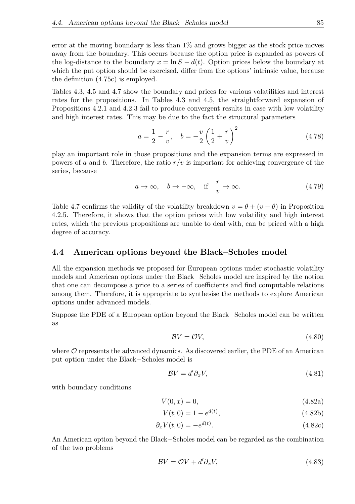error at the moving boundary is less than 1% and grows bigger as the stock price moves away from the boundary. This occurs because the option price is expanded as powers of the log-distance to the boundary  $x = \ln S - d(t)$ . Option prices below the boundary at which the put option should be exercised, differ from the options' intrinsic value, because the definition [\(4.75c\)](#page-92-1) is employed.

Tables [4.3,](#page-95-0) [4.5](#page-97-0) and [4.7](#page-99-0) show the boundary and prices for various volatilities and interest rates for the propositions. In Tables [4.3](#page-95-0) and [4.5,](#page-97-0) the straightforward expansion of Propositions [4.2.1](#page-83-3) and [4.2.3](#page-87-0) fail to produce convergent results in case with low volatility and high interest rates. This may be due to the fact the structural parameters

$$
a = \frac{1}{2} - \frac{r}{v}, \quad b = -\frac{v}{2} \left(\frac{1}{2} + \frac{r}{v}\right)^2 \tag{4.78}
$$

play an important role in those propositions and the expansion terms are expressed in powers of *a* and *b*. Therefore, the ratio  $r/v$  is important for achieving convergence of the series, because

$$
a \to \infty
$$
,  $b \to -\infty$ , if  $\frac{r}{v} \to \infty$ . (4.79)

Table [4.7](#page-99-0) confirms the validity of the volatility breakdown  $v = \theta + (v - \theta)$  in Proposition [4.2.5.](#page-90-0) Therefore, it shows that the option prices with low volatility and high interest rates, which the previous propositions are unable to deal with, can be priced with a high degree of accuracy.

#### **4.4 American options beyond the Black–Scholes model**

All the expansion methods we proposed for European options under stochastic volatility models and American options under the Black – Scholes model are inspired by the notion that one can decompose a price to a series of coefficients and find computable relations among them. Therefore, it is appropriate to synthesise the methods to explore American options under advanced models.

Suppose the PDE of a European option beyond the Black – Scholes model can be written as

$$
BV = OV,\t(4.80)
$$

where  $\mathcal O$  represents the advanced dynamics. As discovered earlier, the PDE of an American put option under the Black – Scholes model is

$$
BV = d'\partial_x V,\tag{4.81}
$$

with boundary conditions

<span id="page-93-0"></span>
$$
V(0, x) = 0,\t(4.82a)
$$

$$
V(t,0) = 1 - e^{d(t)},
$$
\n(4.82b)

$$
\partial_x V(t,0) = -e^{d(t)}.\tag{4.82c}
$$

An American option beyond the Black – Scholes model can be regarded as the combination of the two problems

$$
BV = OV + d'\partial_x V,\tag{4.83}
$$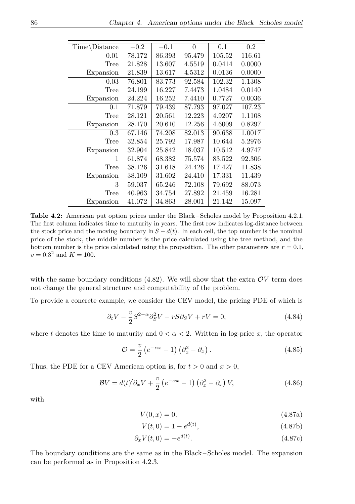| Time\Distance | $-0.2$ | $-0.1$ | $\Omega$ | 0.1    | 0.2    |
|---------------|--------|--------|----------|--------|--------|
| 0.01          | 78.172 | 86.393 | 95.479   | 105.52 | 116.61 |
| Tree          | 21.828 | 13.607 | 4.5519   | 0.0414 | 0.0000 |
| Expansion     | 21.839 | 13.617 | 4.5312   | 0.0136 | 0.0000 |
| 0.03          | 76.801 | 83.773 | 92.584   | 102.32 | 1.1308 |
| Tree          | 24.199 | 16.227 | 7.4473   | 1.0484 | 0.0140 |
| Expansion     | 24.224 | 16.252 | 7.4410   | 0.7727 | 0.0036 |
| 0.1           | 71.879 | 79.439 | 87.793   | 97.027 | 107.23 |
| Tree          | 28.121 | 20.561 | 12.223   | 4.9207 | 1.1108 |
| Expansion     | 28.170 | 20.610 | 12.256   | 4.6009 | 0.8297 |
| 0.3           | 67.146 | 74.208 | 82.013   | 90.638 | 1.0017 |
| Tree          | 32.854 | 25.792 | 17.987   | 10.644 | 5.2976 |
| Expansion     | 32.904 | 25.842 | 18.037   | 10.512 | 4.9747 |
| 1             | 61.874 | 68.382 | 75.574   | 83.522 | 92.306 |
| Tree          | 38.126 | 31.618 | 24.426   | 17.427 | 11.838 |
| Expansion     | 38.109 | 31.602 | 24.410   | 17.331 | 11.439 |
| 3             | 59.037 | 65.246 | 72.108   | 79.692 | 88.073 |
| Tree          | 40.963 | 34.754 | 27.892   | 21.459 | 16.281 |
| Expansion     | 41.072 | 34.863 | 28.001   | 21.142 | 15.097 |

<span id="page-94-0"></span>**Table 4.2:** American put option prices under the Black – Scholes model by Proposition [4.2.1.](#page-83-3) The first column indicates time to maturity in years. The first row indicates log-distance between the stock price and the moving boundary  $\ln S - d(t)$ . In each cell, the top number is the nominal price of the stock, the middle number is the price calculated using the tree method, and the bottom number is the price calculated using the proposition. The other parameters are  $r = 0.1$ ,  $v = 0.3^2$  and  $K = 100$ .

with the same boundary conditions  $(4.82)$ . We will show that the extra  $\mathcal{O}V$  term does not change the general structure and computability of the problem.

To provide a concrete example, we consider the CEV model, the pricing PDE of which is

$$
\partial_t V - \frac{v}{2} S^{2-\alpha} \partial_S^2 V - rS \partial_S V + rV = 0, \qquad (4.84)
$$

where *t* denotes the time to maturity and  $0 < \alpha < 2$ . Written in log-price *x*, the operator

$$
\mathcal{O} = \frac{v}{2} \left( e^{-\alpha x} - 1 \right) \left( \partial_x^2 - \partial_x \right). \tag{4.85}
$$

Thus, the PDE for a CEV American option is, for  $t > 0$  and  $x > 0$ ,

$$
BV = d(t)'\partial_x V + \frac{v}{2} \left( e^{-\alpha x} - 1 \right) \left( \partial_x^2 - \partial_x \right) V, \tag{4.86}
$$

<span id="page-94-2"></span>with

<span id="page-94-1"></span>
$$
V(0, x) = 0,\t(4.87a)
$$

$$
V(t,0) = 1 - e^{d(t)},
$$
\n(4.87b)

$$
\partial_x V(t,0) = -e^{d(t)}.\tag{4.87c}
$$

<span id="page-94-3"></span>The boundary conditions are the same as in the Black – Scholes model. The expansion can be performed as in Proposition [4.2.3.](#page-87-0)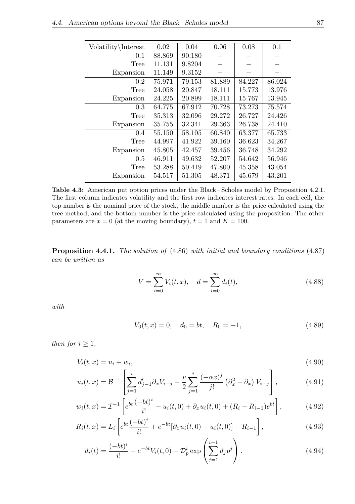| Volatility\Interest | 0.02   | 0.04   | 0.06   | 0.08   | 0.1    |
|---------------------|--------|--------|--------|--------|--------|
| 0.1                 | 88.869 | 90.180 |        |        |        |
| Tree                | 11.131 | 9.8204 |        |        |        |
| Expansion           | 11.149 | 9.3152 |        |        |        |
| 0.2                 | 75.971 | 79.153 | 81.889 | 84.227 | 86.024 |
| Tree                | 24.058 | 20.847 | 18.111 | 15.773 | 13.976 |
| Expansion           | 24.225 | 20.899 | 18.111 | 15.767 | 13.945 |
| 0.3                 | 64.775 | 67.912 | 70.728 | 73.273 | 75.574 |
| Tree                | 35.313 | 32.096 | 29.272 | 26.727 | 24.426 |
| Expansion           | 35.755 | 32.341 | 29.363 | 26.738 | 24.410 |
| 0.4                 | 55.150 | 58.105 | 60.840 | 63.377 | 65.733 |
| Tree                | 44.997 | 41.922 | 39.160 | 36.623 | 34.267 |
| Expansion           | 45.805 | 42.457 | 39.456 | 36.748 | 34.292 |
| $0.5^{\circ}$       | 46.911 | 49.632 | 52.207 | 54.642 | 56.946 |
| Tree                | 53.288 | 50.419 | 47.800 | 45.358 | 43.054 |
| Expansion           | 54.517 | 51.305 | 48.371 | 45.679 | 43.201 |

<span id="page-95-0"></span>**Table 4.3:** American put option prices under the Black – Scholes model by Proposition [4.2.1.](#page-83-3) The first column indicates volatility and the first row indicates interest rates. In each cell, the top number is the nominal price of the stock, the middle number is the price calculated using the tree method, and the bottom number is the price calculated using the proposition. The other parameters are  $x = 0$  (at the moving boundary),  $t = 1$  and  $K = 100$ .

**Proposition 4.4.1.** *The solution of* [\(4.86\)](#page-94-1) *with initial and boundary conditions* [\(4.87\)](#page-94-2) *can be written as*

$$
V = \sum_{i=0}^{\infty} V_i(t, x), \quad d = \sum_{i=0}^{\infty} d_i(t),
$$
\n(4.88)

*with*

$$
V_0(t, x) = 0, \quad d_0 = bt, \quad R_0 = -1,
$$
\n(4.89)

*then for*  $i \geq 1$ *,* 

$$
V_i(t, x) = u_i + w_i, \t\t(4.90)
$$

$$
u_i(t,x) = \mathcal{B}^{-1} \left[ \sum_{j=1}^i d'_{j-1} \partial_x V_{i-j} + \frac{v}{2} \sum_{j=1}^i \frac{(-\alpha x)^j}{j!} \left( \partial_x^2 - \partial_x \right) V_{i-j} \right],\tag{4.91}
$$

$$
w_i(t,x) = \mathcal{I}^{-1} \left[ e^{bt} \frac{(-bt)^i}{i!} - u_i(t,0) + \partial_x u_i(t,0) + (R_i - R_{i-1})e^{bt} \right],
$$
 (4.92)

$$
R_i(t,x) = L_i \left[ e^{bt} \frac{(-bt)^i}{i!} + e^{-bt} [\partial_x u_i(t,0) - u_i(t,0)] - R_{i-1} \right],
$$
\n(4.93)

$$
d_i(t) = \frac{(-bt)^i}{i!} - e^{-bt}V_i(t,0) - \mathcal{D}_p^i \exp\left(\sum_{j=1}^{i-1} d_j p^j\right).
$$
 (4.94)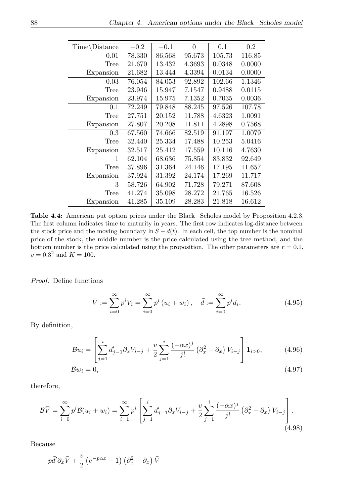| Time\Distance | $-0.2$ | $-0.1$ | $\Omega$ | 0.1    | 0.2    |
|---------------|--------|--------|----------|--------|--------|
| 0.01          | 78.330 | 86.568 | 95.673   | 105.73 | 116.85 |
| Tree          | 21.670 | 13.432 | 4.3693   | 0.0348 | 0.0000 |
| Expansion     | 21.682 | 13.444 | 4.3394   | 0.0134 | 0.0000 |
| 0.03          | 76.054 | 84.053 | 92.892   | 102.66 | 1.1346 |
| Tree          | 23.946 | 15.947 | 7.1547   | 0.9488 | 0.0115 |
| Expansion     | 23.974 | 15.975 | 7.1352   | 0.7035 | 0.0036 |
| 0.1           | 72.249 | 79.848 | 88.245   | 97.526 | 107.78 |
| Tree          | 27.751 | 20.152 | 11.788   | 4.6323 | 1.0091 |
| Expansion     | 27.807 | 20.208 | 11.811   | 4.2898 | 0.7568 |
| 0.3           | 67.560 | 74.666 | 82.519   | 91.197 | 1.0079 |
| Tree          | 32.440 | 25.334 | 17.488   | 10.253 | 5.0416 |
| Expansion     | 32.517 | 25.412 | 17.559   | 10.116 | 4.7630 |
|               | 62.104 | 68.636 | 75.854   | 83.832 | 92.649 |
| Tree          | 37.896 | 31.364 | 24.146   | 17.195 | 11.657 |
| Expansion     | 37.924 | 31.392 | 24.174   | 17.269 | 11.717 |
| 3             | 58.726 | 64.902 | 71.728   | 79.271 | 87.608 |
| Tree          | 41.274 | 35.098 | 28.272   | 21.765 | 16.526 |
| Expansion     | 41.285 | 35.109 | 28.283   | 21.818 | 16.612 |

<span id="page-96-0"></span>**Table 4.4:** American put option prices under the Black – Scholes model by Proposition [4.2.3.](#page-87-0) The first column indicates time to maturity in years. The first row indicates log-distance between the stock price and the moving boundary  $\ln S - d(t)$ . In each cell, the top number is the nominal price of the stock, the middle number is the price calculated using the tree method, and the bottom number is the price calculated using the proposition. The other parameters are  $r = 0.1$ ,  $v = 0.3^2$  and  $K = 100$ .

*Proof.* Define functions

$$
\bar{V} := \sum_{i=0}^{\infty} p^i V_i = \sum_{i=0}^{\infty} p^i (u_i + w_i), \quad \bar{d} := \sum_{i=0}^{\infty} p^i d_i.
$$
 (4.95)

By definition,

$$
\mathcal{B}u_i = \left[\sum_{j=1}^i d'_{j-1} \partial_x V_{i-j} + \frac{v}{2} \sum_{j=1}^i \frac{(-\alpha x)^j}{j!} \left(\partial_x^2 - \partial_x\right) V_{i-j}\right] \mathbf{1}_{i>0},\tag{4.96}
$$

$$
\mathcal{B}w_i = 0,\tag{4.97}
$$

therefore,

$$
\mathcal{B}\bar{V} = \sum_{i=0}^{\infty} p^i \mathcal{B}(u_i + w_i) = \sum_{i=1}^{\infty} p^i \left[ \sum_{j=1}^i d'_{j-1} \partial_x V_{i-j} + \frac{v}{2} \sum_{j=1}^i \frac{(-\alpha x)^j}{j!} \left( \partial_x^2 - \partial_x \right) V_{i-j} \right].
$$
\n(4.98)

Because

$$
p\bar{d}'\partial_x\bar{V} + \frac{v}{2}\left(e^{-p\alpha x} - 1\right)\left(\partial_x^2 - \partial_x\right)\bar{V}
$$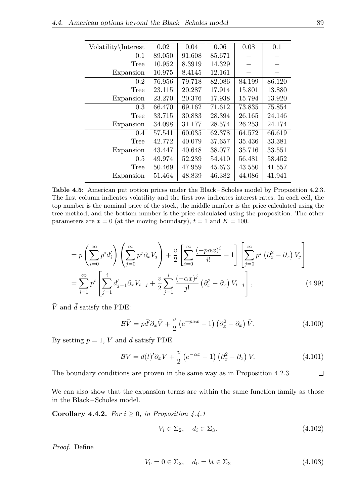| Volatility\Interest | 0.02   | 0.04   | 0.06   | 0.08   | 0.1    |
|---------------------|--------|--------|--------|--------|--------|
| 0.1                 | 89.050 | 91.608 | 85.671 |        |        |
| Tree                | 10.952 | 8.3919 | 14.329 |        |        |
| Expansion           | 10.975 | 8.4145 | 12.161 |        |        |
| 0.2                 | 76.956 | 79.718 | 82.086 | 84.199 | 86.120 |
| Tree                | 23.115 | 20.287 | 17.914 | 15.801 | 13.880 |
| Expansion           | 23.270 | 20.376 | 17.938 | 15.794 | 13.920 |
| 0.3                 | 66.470 | 69.162 | 71.612 | 73.835 | 75.854 |
| Tree                | 33.715 | 30.883 | 28.394 | 26.165 | 24.146 |
| Expansion           | 34.098 | 31.177 | 28.574 | 26.253 | 24.174 |
| 0.4                 | 57.541 | 60.035 | 62.378 | 64.572 | 66.619 |
| Tree                | 42.772 | 40.079 | 37.657 | 35.436 | 33.381 |
| Expansion           | 43.447 | 40.648 | 38.077 | 35.716 | 33.551 |
| $0.5^{\circ}$       | 49.974 | 52.239 | 54.410 | 56.481 | 58.452 |
| Tree                | 50.469 | 47.959 | 45.673 | 43.550 | 41.557 |
| Expansion           | 51.464 | 48.839 | 46.382 | 44.086 | 41.941 |

<span id="page-97-0"></span>**Table 4.5:** American put option prices under the Black – Scholes model by Proposition [4.2.3.](#page-87-0) The first column indicates volatility and the first row indicates interest rates. In each cell, the top number is the nominal price of the stock, the middle number is the price calculated using the tree method, and the bottom number is the price calculated using the proposition. The other parameters are  $x = 0$  (at the moving boundary),  $t = 1$  and  $K = 100$ .

$$
=p\left(\sum_{i=0}^{\infty}p^{i}d'_{i}\right)\left(\sum_{j=0}^{\infty}p^{j}\partial_{x}V_{j}\right)+\frac{v}{2}\left[\sum_{i=0}^{\infty}\frac{(-p\alpha x)^{i}}{i!}-1\right]\left[\sum_{j=0}^{\infty}p^{j}\left(\partial_{x}^{2}-\partial_{x}\right)V_{j}\right]
$$

$$
=\sum_{i=1}^{\infty}p^{i}\left[\sum_{j=1}^{i}d'_{j-1}\partial_{x}V_{i-j}+\frac{v}{2}\sum_{j=1}^{i}\frac{(-\alpha x)^{j}}{j!}\left(\partial_{x}^{2}-\partial_{x}\right)V_{i-j}\right],
$$
(4.99)

 $\bar{V}$  and  $\bar{d}$  satisfy the PDE:

$$
\mathcal{B}\bar{V} = p\bar{d}'\partial_x \bar{V} + \frac{v}{2} \left( e^{-p\alpha x} - 1 \right) \left( \partial_x^2 - \partial_x \right) \bar{V}.
$$
 (4.100)

By setting  $p = 1$ , *V* and *d* satisfy PDE

$$
BV = d(t)' \partial_x V + \frac{v}{2} \left( e^{-\alpha x} - 1 \right) \left( \partial_x^2 - \partial_x \right) V.
$$
 (4.101)

The boundary conditions are proven in the same way as in Proposition [4.2.3.](#page-87-0)  $\Box$ 

We can also show that the expansion terms are within the same function family as those in the Black – Scholes model.

**Corollary 4.4.2.** *For*  $i \geq 0$ *, in Proposition [4.4.1](#page-94-3)* 

$$
V_i \in \Sigma_2, \quad d_i \in \Sigma_3. \tag{4.102}
$$

*Proof.* Define

$$
V_0 = 0 \in \Sigma_2, \quad d_0 = bt \in \Sigma_3 \tag{4.103}
$$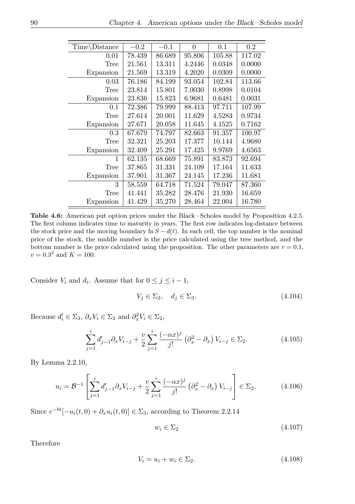| $Time\backslash Distance$ | $-0.2$ | $-0.1$ | $\theta$ | 0.1    | 0.2    |
|---------------------------|--------|--------|----------|--------|--------|
| 0.01                      | 78.439 | 86.689 | 95.806   | 105.88 | 117.02 |
| Tree                      | 21.561 | 13.311 | 4.2446   | 0.0348 | 0.0000 |
| Expansion                 | 21.569 | 13.319 | 4.2020   | 0.0309 | 0.0000 |
| 0.03                      | 76.186 | 84.199 | 93.054   | 102.84 | 113.66 |
| Tree                      | 23.814 | 15.801 | 7.0030   | 0.8998 | 0.0104 |
| Expansion                 | 23.836 | 15.823 | 6.9681   | 0.6481 | 0.0031 |
| 0.1                       | 72.386 | 79.999 | 88.413   | 97.711 | 107.99 |
| Tree                      | 27.614 | 20.001 | 11.629   | 4.5283 | 0.9734 |
| Expansion                 | 27.671 | 20.058 | 11.645   | 4.1525 | 0.7162 |
| 0.3                       | 67.679 | 74.797 | 82.663   | 91.357 | 100.97 |
| Tree                      | 32.321 | 25.203 | 17.377   | 10.144 | 4.9680 |
| Expansion                 | 32.409 | 25.291 | 17.425   | 9.9769 | 4.6563 |
|                           | 62.135 | 68.669 | 75.891   | 83.873 | 92.694 |
| Tree                      | 37.865 | 31.331 | 24.109   | 17.164 | 11.633 |
| Expansion                 | 37.901 | 31.367 | 24.145   | 17.236 | 11.681 |
| 3                         | 58.559 | 64.718 | 71.524   | 79.047 | 87.360 |
| Tree                      | 41.441 | 35.282 | 28.476   | 21.930 | 16.659 |
| Expansion                 | 41.429 | 35.270 | 28.464   | 22.004 | 16.780 |

<span id="page-98-0"></span>**Table 4.6:** American put option prices under the Black – Scholes model by Proposition [4.2.5.](#page-90-0) The first column indicates time to maturity in years. The first row indicates log-distance between the stock price and the moving boundary  $\ln S - d(t)$ . In each cell, the top number is the nominal price of the stock, the middle number is the price calculated using the tree method, and the bottom number is the price calculated using the proposition. The other parameters are  $r = 0.1$ ,  $v = 0.3^2$  and  $K = 100$ .

Consider  $V_i$  and  $d_i$ . Assume that for  $0 \leq j \leq i - 1$ ,

$$
V_j \in \Sigma_2, \quad d_j \in \Sigma_3. \tag{4.104}
$$

Because  $d'_i \in \Sigma_3$ ,  $\partial_x V_i \in \Sigma_2$  and  $\partial_x^2 V_i \in \Sigma_2$ ,

$$
\sum_{j=1}^{i} d'_{j-1} \partial_x V_{i-j} + \frac{v}{2} \sum_{j=1}^{i} \frac{(-\alpha x)^j}{j!} \left( \partial_x^2 - \partial_x \right) V_{i-j} \in \Sigma_2.
$$
 (4.105)

By Lemma [2.2.10,](#page-26-0)

$$
u_i = \mathcal{B}^{-1} \left[ \sum_{j=1}^i d'_{j-1} \partial_x V_{i-j} + \frac{v}{2} \sum_{j=1}^i \frac{(-\alpha x)^j}{j!} \left( \partial_x^2 - \partial_x \right) V_{i-j} \right] \in \Sigma_2.
$$
 (4.106)

Since  $e^{-bt}[-u_i(t,0) + \partial_x u_i(t,0)] \in \Sigma_3$ , according to Theorem [2.2.14](#page-29-0)

$$
w_i \in \Sigma_2 \tag{4.107}
$$

Therefore

$$
V_i = u_i + w_i \in \Sigma_2. \tag{4.108}
$$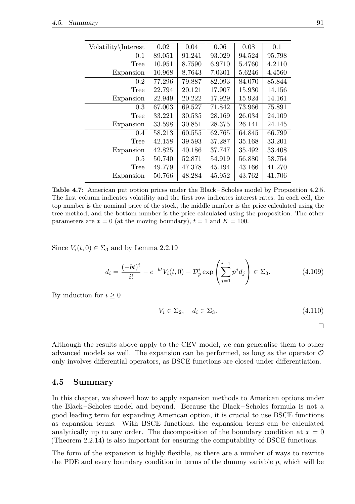| Volatility\Interest | 0.02   | 0.04   | 0.06   | 0.08   | 0.1    |
|---------------------|--------|--------|--------|--------|--------|
| 0.1                 | 89.051 | 91.241 | 93.029 | 94.524 | 95.798 |
| Tree                | 10.951 | 8.7590 | 6.9710 | 5.4760 | 4.2110 |
| Expansion           | 10.968 | 8.7643 | 7.0301 | 5.6246 | 4.4560 |
| 0.2                 | 77.296 | 79.887 | 82.093 | 84.070 | 85.844 |
| Tree                | 22.794 | 20.121 | 17.907 | 15.930 | 14.156 |
| Expansion           | 22.949 | 20.222 | 17.929 | 15.924 | 14.161 |
| 0.3                 | 67.003 | 69.527 | 71.842 | 73.966 | 75.891 |
| Tree                | 33.221 | 30.535 | 28.169 | 26.034 | 24.109 |
| Expansion           | 33.598 | 30.851 | 28.375 | 26.141 | 24.145 |
| 0.4                 | 58.213 | 60.555 | 62.765 | 64.845 | 66.799 |
| Tree                | 42.158 | 39.593 | 37.287 | 35.168 | 33.201 |
| Expansion           | 42.825 | 40.186 | 37.747 | 35.492 | 33.408 |
| $0.5^{\circ}$       | 50.740 | 52.871 | 54.919 | 56.880 | 58.754 |
| Tree                | 49.779 | 47.378 | 45.194 | 43.166 | 41.270 |
| Expansion           | 50.766 | 48.284 | 45.952 | 43.762 | 41.706 |

<span id="page-99-0"></span>**Table 4.7:** American put option prices under the Black – Scholes model by Proposition [4.2.5.](#page-90-0) The first column indicates volatility and the first row indicates interest rates. In each cell, the top number is the nominal price of the stock, the middle number is the price calculated using the tree method, and the bottom number is the price calculated using the proposition. The other parameters are  $x = 0$  (at the moving boundary),  $t = 1$  and  $K = 100$ .

Since  $V_i(t,0) \in \Sigma_3$  and by Lemma [2.2.19](#page-31-3)

$$
d_i = \frac{(-bt)^i}{i!} - e^{-bt}V_i(t,0) - \mathcal{D}_p^i \exp\left(\sum_{j=1}^{i-1} p^j d_j\right) \in \Sigma_3.
$$
 (4.109)

By induction for  $i \geq 0$ 

$$
V_i \in \Sigma_2, \quad d_i \in \Sigma_3. \tag{4.110}
$$

 $\Box$ 

Although the results above apply to the CEV model, we can generalise them to other advanced models as well. The expansion can be performed, as long as the operator  $\mathcal O$ only involves differential operators, as BSCE functions are closed under differentiation.

#### **4.5 Summary**

In this chapter, we showed how to apply expansion methods to American options under the Black – Scholes model and beyond. Because the Black – Scholes formula is not a good leading term for expanding American option, it is crucial to use BSCE functions as expansion terms. With BSCE functions, the expansion terms can be calculated analytically up to any order. The decomposition of the boundary condition at  $x = 0$ (Theorem [2.2.14\)](#page-29-0) is also important for ensuring the computability of BSCE functions.

The form of the expansion is highly flexible, as there are a number of ways to rewrite the PDE and every boundary condition in terms of the dummy variable  $p$ , which will be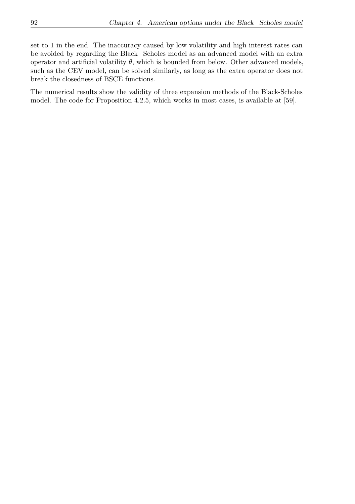set to 1 in the end. The inaccuracy caused by low volatility and high interest rates can be avoided by regarding the Black – Scholes model as an advanced model with an extra operator and artificial volatility *θ*, which is bounded from below. Other advanced models, such as the CEV model, can be solved similarly, as long as the extra operator does not break the closedness of BSCE functions.

The numerical results show the validity of three expansion methods of the Black-Scholes model. The code for Proposition [4.2.5,](#page-90-0) which works in most cases, is available at [\[59\]](#page-111-2).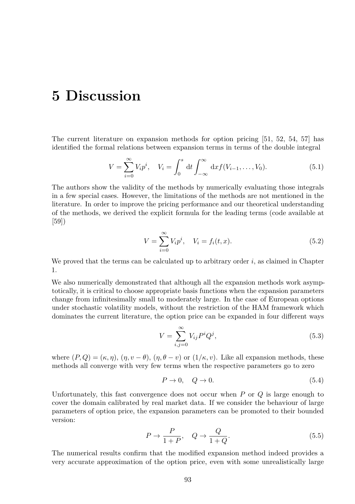## **5 Discussion**

The current literature on expansion methods for option pricing [\[51,](#page-110-1) [52,](#page-111-6) [54,](#page-111-7) [57\]](#page-111-5) has identified the formal relations between expansion terms in terms of the double integral

$$
V = \sum_{i=0}^{\infty} V_i p^i, \quad V_i = \int_0^s \mathrm{d}t \int_{-\infty}^{\infty} \mathrm{d}x f(V_{i-1}, \dots, V_0). \tag{5.1}
$$

The authors show the validity of the methods by numerically evaluating those integrals in a few special cases. However, the limitations of the methods are not mentioned in the literature. In order to improve the pricing performance and our theoretical understanding of the methods, we derived the explicit formula for the leading terms (code available at [\[59\]](#page-111-2))

$$
V = \sum_{i=0}^{\infty} V_i p^i, \quad V_i = f_i(t, x). \tag{5.2}
$$

We proved that the terms can be calculated up to arbitrary order  $i$ , as claimed in Chapter [1.](#page-9-0)

We also numerically demonstrated that although all the expansion methods work asymptotically, it is critical to choose appropriate basis functions when the expansion parameters change from infinitesimally small to moderately large. In the case of European options under stochastic volatility models, without the restriction of the HAM framework which dominates the current literature, the option price can be expanded in four different ways

$$
V = \sum_{i,j=0}^{\infty} V_{ij} P^i Q^j,
$$
\n(5.3)

where  $(P,Q) = (\kappa, \eta)$ ,  $(\eta, v - \theta)$ ,  $(\eta, \theta - v)$  or  $(1/\kappa, v)$ . Like all expansion methods, these methods all converge with very few terms when the respective parameters go to zero

$$
P \to 0, \quad Q \to 0. \tag{5.4}
$$

Unfortunately, this fast convergence does not occur when *P* or *Q* is large enough to cover the domain calibrated by real market data. If we consider the behaviour of large parameters of option price, the expansion parameters can be promoted to their bounded version:

$$
P \to \frac{P}{1+P}, \quad Q \to \frac{Q}{1+Q}.\tag{5.5}
$$

The numerical results confirm that the modified expansion method indeed provides a very accurate approximation of the option price, even with some unrealistically large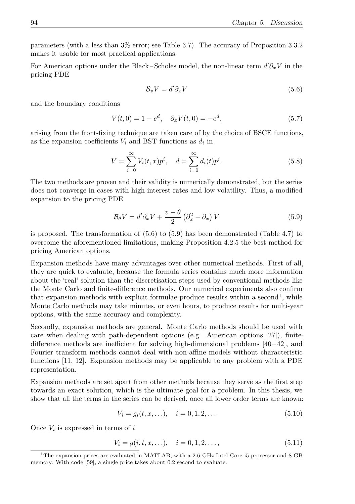parameters (with a less than 3% error; see Table [3.7\)](#page-78-1). The accuracy of Proposition [3.3.2](#page-60-0) makes it usable for most practical applications.

For American options under the Black–Scholes model, the non-linear term  $d'\partial_x V$  in the pricing PDE

<span id="page-102-0"></span>
$$
\mathcal{B}_v V = d' \partial_x V \tag{5.6}
$$

and the boundary conditions

$$
V(t,0) = 1 - e^d, \quad \partial_x V(t,0) = -e^d,
$$
\n(5.7)

arising from the front-fixing technique are taken care of by the choice of BSCE functions, as the expansion coefficients  $V_i$  and BST functions as  $d_i$  in

$$
V = \sum_{i=0}^{\infty} V_i(t, x) p^i, \quad d = \sum_{i=0}^{\infty} d_i(t) p^i.
$$
 (5.8)

The two methods are proven and their validity is numerically demonstrated, but the series does not converge in cases with high interest rates and low volatility. Thus, a modified expansion to the pricing PDE

<span id="page-102-1"></span>
$$
\mathcal{B}_{\theta}V = d'\partial_x V + \frac{v - \theta}{2} \left(\partial_x^2 - \partial_x\right)V\tag{5.9}
$$

is proposed. The transformation of  $(5.6)$  to  $(5.9)$  has been demonstrated (Table [4.7\)](#page-99-0) to overcome the aforementioned limitations, making Proposition [4.2.5](#page-90-0) the best method for pricing American options.

Expansion methods have many advantages over other numerical methods. First of all, they are quick to evaluate, because the formula series contains much more information about the 'real' solution than the discretisation steps used by conventional methods like the Monte Carlo and finite-difference methods. Our numerical experiments also confirm that expansion methods with explicit formulae produce results within a second<sup>[1](#page-102-2)</sup>, while Monte Carlo methods may take minutes, or even hours, to produce results for multi-year options, with the same accuracy and complexity.

Secondly, expansion methods are general. Monte Carlo methods should be used with care when dealing with path-dependent options (e.g. American options [\[27\]](#page-109-0)), finitedifference methods are inefficient for solving high-dimensional problems  $[40-42]$  $[40-42]$  $[40-42]$ , and Fourier transform methods cannot deal with non-affine models without characteristic functions [\[11,](#page-108-0) [12\]](#page-108-1). Expansion methods may be applicable to any problem with a PDE representation.

Expansion methods are set apart from other methods because they serve as the first step towards an exact solution, which is the ultimate goal for a problem. In this thesis, we show that all the terms in the series can be derived, once all lower order terms are known:

$$
V_i = g_i(t, x, \ldots), \quad i = 0, 1, 2, \ldots
$$
\n
$$
(5.10)
$$

Once  $V_i$  is expressed in terms of  $i$ 

$$
V_i = g(i, t, x, \ldots), \quad i = 0, 1, 2, \ldots,
$$
\n
$$
(5.11)
$$

<span id="page-102-2"></span><sup>&</sup>lt;sup>1</sup>The expansion prices are evaluated in MATLAB, with a 2.6 GHz Intel Core i5 processor and 8 GB memory. With code [\[59\]](#page-111-2), a single price takes about 0.2 second to evaluate.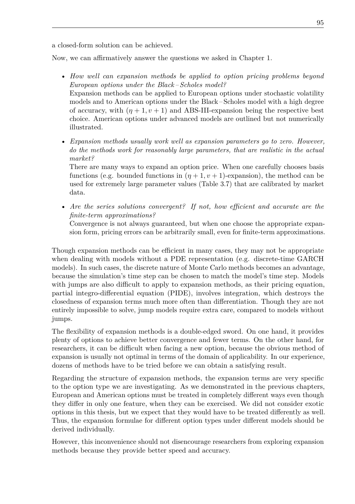a closed-form solution can be achieved.

Now, we can affirmatively answer the questions we asked in Chapter [1.](#page-9-0)

- *How well can expansion methods be applied to option pricing problems beyond European options under the Black – Scholes model?* Expansion methods can be applied to European options under stochastic volatility models and to American options under the Black – Scholes model with a high degree of accuracy, with  $(\eta + 1, \nu + 1)$  and ABS-III-expansion being the respective best choice. American options under advanced models are outlined but not numerically illustrated.
- *Expansion methods usually work well as expansion parameters go to zero. However, do the methods work for reasonably large parameters, that are realistic in the actual market?*

There are many ways to expand an option price. When one carefully chooses basis functions (e.g. bounded functions in  $(n+1, v+1)$ -expansion), the method can be used for extremely large parameter values (Table [3.7\)](#page-78-1) that are calibrated by market data.

• *Are the series solutions convergent? If not, how efficient and accurate are the finite-term approximations?*

Convergence is not always guaranteed, but when one choose the appropriate expansion form, pricing errors can be arbitrarily small, even for finite-term approximations.

Though expansion methods can be efficient in many cases, they may not be appropriate when dealing with models without a PDE representation (e.g. discrete-time GARCH models). In such cases, the discrete nature of Monte Carlo methods becomes an advantage, because the simulation's time step can be chosen to match the model's time step. Models with jumps are also difficult to apply to expansion methods, as their pricing equation, partial integro-differential equation (PIDE), involves integration, which destroys the closedness of expansion terms much more often than differentiation. Though they are not entirely impossible to solve, jump models require extra care, compared to models without jumps.

The flexibility of expansion methods is a double-edged sword. On one hand, it provides plenty of options to achieve better convergence and fewer terms. On the other hand, for researchers, it can be difficult when facing a new option, because the obvious method of expansion is usually not optimal in terms of the domain of applicability. In our experience, dozens of methods have to be tried before we can obtain a satisfying result.

Regarding the structure of expansion methods, the expansion terms are very specific to the option type we are investigating. As we demonstrated in the previous chapters, European and American options must be treated in completely different ways even though they differ in only one feature, when they can be exercised. We did not consider exotic options in this thesis, but we expect that they would have to be treated differently as well. Thus, the expansion formulae for different option types under different models should be derived individually.

However, this inconvenience should not disencourage researchers from exploring expansion methods because they provide better speed and accuracy.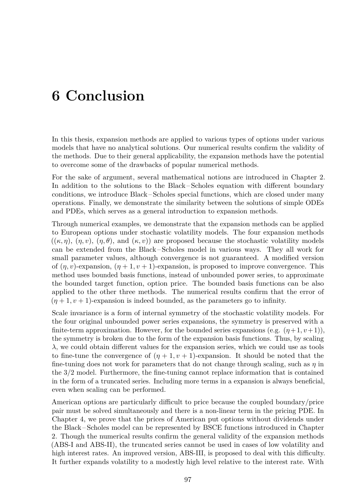## **6 Conclusion**

In this thesis, expansion methods are applied to various types of options under various models that have no analytical solutions. Our numerical results confirm the validity of the methods. Due to their general applicability, the expansion methods have the potential to overcome some of the drawbacks of popular numerical methods.

For the sake of argument, several mathematical notions are introduced in Chapter [2.](#page-19-0) In addition to the solutions to the Black – Scholes equation with different boundary conditions, we introduce Black – Scholes special functions, which are closed under many operations. Finally, we demonstrate the similarity between the solutions of simple ODEs and PDEs, which serves as a general introduction to expansion methods.

Through numerical examples, we demonstrate that the expansion methods can be applied to European options under stochastic volatility models. The four expansion methods  $((\kappa, \eta), (\eta, v), (\eta, \theta),$  and  $(\kappa, v))$  are proposed because the stochastic volatility models can be extended from the Black – Scholes model in various ways. They all work for small parameter values, although convergence is not guaranteed. A modified version of  $(\eta, v)$ -expansion,  $(\eta + 1, v + 1)$ -expansion, is proposed to improve convergence. This method uses bounded basis functions, instead of unbounded power series, to approximate the bounded target function, option price. The bounded basis functions can be also applied to the other three methods. The numerical results confirm that the error of  $(\eta + 1, v + 1)$ -expansion is indeed bounded, as the parameters go to infinity.

Scale invariance is a form of internal symmetry of the stochastic volatility models. For the four original unbounded power series expansions, the symmetry is preserved with a finite-term approximation. However, for the bounded series expansions (e.g.  $(\eta + 1, \nu + 1)$ ), the symmetry is broken due to the form of the expansion basis functions. Thus, by scaling  $λ$ , we could obtain different values for the expansion series, which we could use as tools to fine-tune the convergence of  $(\eta + 1, \nu + 1)$ -expansion. It should be noted that the fine-tuning does not work for parameters that do not change through scaling, such as *η* in the 3/2 model. Furthermore, the fine-tuning cannot replace information that is contained in the form of a truncated series. Including more terms in a expansion is always beneficial, even when scaling can be performed.

American options are particularly difficult to price because the coupled boundary/price pair must be solved simultaneously and there is a non-linear term in the pricing PDE. In Chapter [4,](#page-81-1) we prove that the prices of American put options without dividends under the Black – Scholes model can be represented by BSCE functions introduced in Chapter [2.](#page-19-0) Though the numerical results confirm the general validity of the expansion methods (ABS-I and ABS-II), the truncated series cannot be used in cases of low volatility and high interest rates. An improved version, ABS-III, is proposed to deal with this difficulty. It further expands volatility to a modestly high level relative to the interest rate. With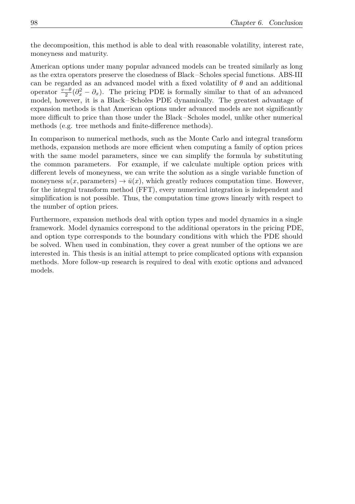the decomposition, this method is able to deal with reasonable volatility, interest rate, moneyness and maturity.

American options under many popular advanced models can be treated similarly as long as the extra operators preserve the closedness of Black – Scholes special functions. ABS-III can be regarded as an advanced model with a fixed volatility of *θ* and an additional operator  $\frac{v-\theta}{2}(\partial_x^2 - \partial_x)$ . The pricing PDE is formally similar to that of an advanced model, however, it is a Black – Scholes PDE dynamically. The greatest advantage of expansion methods is that American options under advanced models are not significantly more difficult to price than those under the Black – Scholes model, unlike other numerical methods (e.g. tree methods and finite-difference methods).

In comparison to numerical methods, such as the Monte Carlo and integral transform methods, expansion methods are more efficient when computing a family of option prices with the same model parameters, since we can simplify the formula by substituting the common parameters. For example, if we calculate multiple option prices with different levels of moneyness, we can write the solution as a single variable function of moneyness  $u(x,$  parameters)  $\rightarrow \bar{u}(x)$ , which greatly reduces computation time. However, for the integral transform method (FFT), every numerical integration is independent and simplification is not possible. Thus, the computation time grows linearly with respect to the number of option prices.

Furthermore, expansion methods deal with option types and model dynamics in a single framework. Model dynamics correspond to the additional operators in the pricing PDE, and option type corresponds to the boundary conditions with which the PDE should be solved. When used in combination, they cover a great number of the options we are interested in. This thesis is an initial attempt to price complicated options with expansion methods. More follow-up research is required to deal with exotic options and advanced models.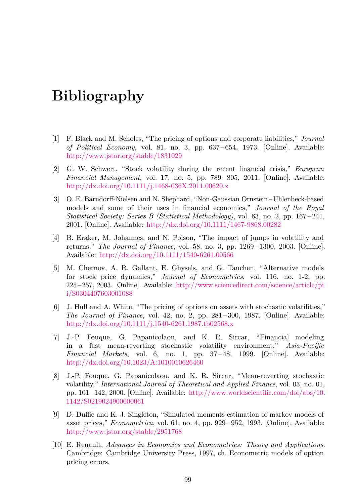## **Bibliography**

- [1] F. Black and M. Scholes, "The pricing of options and corporate liabilities," *Journal of Political Economy*, vol. 81, no. 3, pp. 637 – 654, 1973. [Online]. Available: <http://www.jstor.org/stable/1831029>
- [2] G. W. Schwert, "Stock volatility during the recent financial crisis," *European Financial Management*, vol. 17, no. 5, pp. 789 – 805, 2011. [Online]. Available: <http://dx.doi.org/10.1111/j.1468-036X.2011.00620.x>
- [3] O. E. Barndorff-Nielsen and N. Shephard, "Non-Gaussian Ornstein Uhlenbeck-based models and some of their uses in financial economics," *Journal of the Royal Statistical Society: Series B (Statistical Methodology)*, vol. 63, no. 2, pp. 167–241, 2001. [Online]. Available: <http://dx.doi.org/10.1111/1467-9868.00282>
- [4] B. Eraker, M. Johannes, and N. Polson, "The impact of jumps in volatility and returns," *The Journal of Finance*, vol. 58, no. 3, pp. 1269 – 1300, 2003. [Online]. Available: <http://dx.doi.org/10.1111/1540-6261.00566>
- [5] M. Chernov, A. R. Gallant, E. Ghysels, and G. Tauchen, "Alternative models for stock price dynamics," *Journal of Econometrics*, vol. 116, no. 1-2, pp. 225 – 257, 2003. [Online]. Available: [http://www.sciencedirect.com/science/article/pi](http://www.sciencedirect.com/science/article/pii/S0304407603001088) [i/S0304407603001088](http://www.sciencedirect.com/science/article/pii/S0304407603001088)
- [6] J. Hull and A. White, "The pricing of options on assets with stochastic volatilities," *The Journal of Finance*, vol. 42, no. 2, pp. 281 – 300, 1987. [Online]. Available: <http://dx.doi.org/10.1111/j.1540-6261.1987.tb02568.x>
- [7] J.-P. Fouque, G. Papanicolaou, and K. R. Sircar, "Financial modeling in a fast mean-reverting stochastic volatility environment," *Asia-Pacific Financial Markets*, vol. 6, no. 1, pp. 37 – 48, 1999. [Online]. Available: <http://dx.doi.org/10.1023/A:1010010626460>
- [8] J.-P. Fouque, G. Papanicolaou, and K. R. Sircar, "Mean-reverting stochastic volatility," *International Journal of Theoretical and Applied Finance*, vol. 03, no. 01, pp. 101 – 142, 2000. [Online]. Available: [http://www.worldscientific.com/doi/abs/10.](http://www.worldscientific.com/doi/abs/10.1142/S0219024900000061) [1142/S0219024900000061](http://www.worldscientific.com/doi/abs/10.1142/S0219024900000061)
- [9] D. Duffie and K. J. Singleton, "Simulated moments estimation of markov models of asset prices," *Econometrica*, vol. 61, no. 4, pp. 929 – 952, 1993. [Online]. Available: <http://www.jstor.org/stable/2951768>
- [10] E. Renault, *Advances in Economics and Econometrics: Theory and Applications*. Cambridge: Cambridge University Press, 1997, ch. Econometric models of option pricing errors.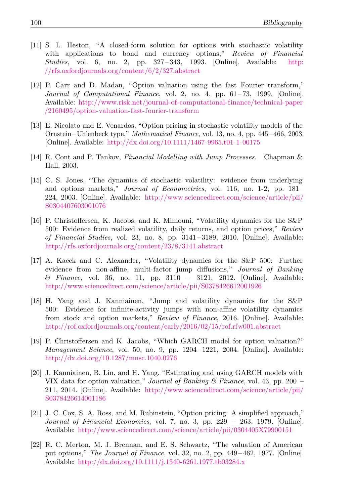- [11] S. L. Heston, "A closed-form solution for options with stochastic volatility with applications to bond and currency options," *Review of Financial Studies*, vol. 6, no. 2, pp. 327 – 343, 1993. [Online]. Available: [http:](http://rfs.oxfordjournals.org/content/6/2/327.abstract) [//rfs.oxfordjournals.org/content/6/2/327.abstract](http://rfs.oxfordjournals.org/content/6/2/327.abstract)
- [12] P. Carr and D. Madan, "Option valuation using the fast Fourier transform," *Journal of Computational Finance*, vol. 2, no. 4, pp. 61–73, 1999. [Online]. Available: [http://www.risk.net/journal-of-computational-finance/technical-paper](http://www.risk.net/journal-of-computational-finance/technical-paper/2160495/option-valuation-fast-fourier-transform) [/2160495/option-valuation-fast-fourier-transform](http://www.risk.net/journal-of-computational-finance/technical-paper/2160495/option-valuation-fast-fourier-transform)
- [13] E. Nicolato and E. Venardos, "Option pricing in stochastic volatility models of the Ornstein – Uhlenbeck type," *Mathematical Finance*, vol. 13, no. 4, pp. 445 – 466, 2003. [Online]. Available: <http://dx.doi.org/10.1111/1467-9965.t01-1-00175>
- [14] R. Cont and P. Tankov, *Financial Modelling with Jump Processes*. Chapman & Hall, 2003.
- [15] C. S. Jones, "The dynamics of stochastic volatility: evidence from underlying and options markets," *Journal of Econometrics*, vol. 116, no. 1-2, pp. 181 – 224, 2003. [Online]. Available: [http://www.sciencedirect.com/science/article/pii/](http://www.sciencedirect.com/science/article/pii/S0304407603001076) [S0304407603001076](http://www.sciencedirect.com/science/article/pii/S0304407603001076)
- [16] P. Christoffersen, K. Jacobs, and K. Mimouni, "Volatility dynamics for the S&P 500: Evidence from realized volatility, daily returns, and option prices," *Review of Financial Studies*, vol. 23, no. 8, pp. 3141 – 3189, 2010. [Online]. Available: <http://rfs.oxfordjournals.org/content/23/8/3141.abstract>
- [17] A. Kaeck and C. Alexander, "Volatility dynamics for the S&P 500: Further evidence from non-affine, multi-factor jump diffusions," *Journal of Banking & Finance*, vol. 36, no. 11, pp. 3110 – 3121, 2012. [Online]. Available: <http://www.sciencedirect.com/science/article/pii/S0378426612001926>
- [18] H. Yang and J. Kanniainen, "Jump and volatility dynamics for the S&P 500: Evidence for infinite-activity jumps with non-affine volatility dynamics from stock and option markets," *Review of Finance*, 2016. [Online]. Available: <http://rof.oxfordjournals.org/content/early/2016/02/15/rof.rfw001.abstract>
- [19] P. Christoffersen and K. Jacobs, "Which GARCH model for option valuation?" *Management Science*, vol. 50, no. 9, pp. 1204 – 1221, 2004. [Online]. Available: <http://dx.doi.org/10.1287/mnsc.1040.0276>
- [20] J. Kanniainen, B. Lin, and H. Yang, "Estimating and using GARCH models with VIX data for option valuation," *Journal of Banking & Finance*, vol. 43, pp. 200 – 211, 2014. [Online]. Available: [http://www.sciencedirect.com/science/article/pii/](http://www.sciencedirect.com/science/article/pii/S0378426614001186) [S0378426614001186](http://www.sciencedirect.com/science/article/pii/S0378426614001186)
- [21] J. C. Cox, S. A. Ross, and M. Rubinstein, "Option pricing: A simplified approach," *Journal of Financial Economics*, vol. 7, no. 3, pp. 229 – 263, 1979. [Online]. Available: <http://www.sciencedirect.com/science/article/pii/0304405X79900151>
- [22] R. C. Merton, M. J. Brennan, and E. S. Schwartz, "The valuation of American put options," *The Journal of Finance*, vol. 32, no. 2, pp. 449 – 462, 1977. [Online]. Available: <http://dx.doi.org/10.1111/j.1540-6261.1977.tb03284.x>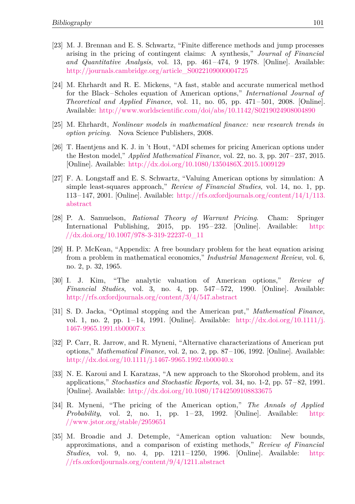- [23] M. J. Brennan and E. S. Schwartz, "Finite difference methods and jump processes arising in the pricing of contingent claims: A synthesis," *Journal of Financial and Quantitative Analysis*, vol. 13, pp. 461 – 474, 9 1978. [Online]. Available: [http://journals.cambridge.org/article\\_S0022109000004725](http://journals.cambridge.org/article_S0022109000004725)
- [24] M. Ehrhardt and R. E. Mickens, "A fast, stable and accurate numerical method for the Black – Scholes equation of American options," *International Journal of Theoretical and Applied Finance*, vol. 11, no. 05, pp. 471 – 501, 2008. [Online]. Available: <http://www.worldscientific.com/doi/abs/10.1142/S0219024908004890>
- [25] M. Ehrhardt, *Nonlinear models in mathematical finance: new research trends in option pricing*. Nova Science Publishers, 2008.
- [26] T. Haentjens and K. J. in 't Hout, "ADI schemes for pricing American options under the Heston model," *Applied Mathematical Finance*, vol. 22, no. 3, pp. 207–237, 2015. [Online]. Available: <http://dx.doi.org/10.1080/1350486X.2015.1009129>
- [27] F. A. Longstaff and E. S. Schwartz, "Valuing American options by simulation: A simple least-squares approach," *Review of Financial Studies*, vol. 14, no. 1, pp. 113 – 147, 2001. [Online]. Available: [http://rfs.oxfordjournals.org/content/14/1/113.](http://rfs.oxfordjournals.org/content/14/1/113.abstract) [abstract](http://rfs.oxfordjournals.org/content/14/1/113.abstract)
- [28] P. A. Samuelson, *Rational Theory of Warrant Pricing*. Cham: Springer International Publishing, 2015, pp. 195–232. [Online]. Available: [http:](http://dx.doi.org/10.1007/978-3-319-22237-0_11) [//dx.doi.org/10.1007/978-3-319-22237-0\\_11](http://dx.doi.org/10.1007/978-3-319-22237-0_11)
- [29] H. P. McKean, "Appendix: A free boundary problem for the heat equation arising from a problem in mathematical economics," *Industrial Management Review*, vol. 6, no. 2, p. 32, 1965.
- [30] I. J. Kim, "The analytic valuation of American options," *Review of Financial Studies*, vol. 3, no. 4, pp. 547 – 572, 1990. [Online]. Available: <http://rfs.oxfordjournals.org/content/3/4/547.abstract>
- [31] S. D. Jacka, "Optimal stopping and the American put," *Mathematical Finance*, vol. 1, no. 2, pp.  $1-14$ , 1991. [Online]. Available: [http://dx.doi.org/10.1111/j.](http://dx.doi.org/10.1111/j.1467-9965.1991.tb00007.x) [1467-9965.1991.tb00007.x](http://dx.doi.org/10.1111/j.1467-9965.1991.tb00007.x)
- [32] P. Carr, R. Jarrow, and R. Myneni, "Alternative characterizations of American put options," *Mathematical Finance*, vol. 2, no. 2, pp. 87 – 106, 1992. [Online]. Available: <http://dx.doi.org/10.1111/j.1467-9965.1992.tb00040.x>
- [33] N. E. Karoui and I. Karatzas, "A new approach to the Skorohod problem, and its applications," *Stochastics and Stochastic Reports*, vol. 34, no. 1-2, pp. 57 – 82, 1991. [Online]. Available: <http://dx.doi.org/10.1080/17442509108833675>
- [34] R. Myneni, "The pricing of the American option," *The Annals of Applied Probability*, vol. 2, no. 1, pp. 1–23, 1992. [Online]. Available: [http:](http://www.jstor.org/stable/2959651) [//www.jstor.org/stable/2959651](http://www.jstor.org/stable/2959651)
- [35] M. Broadie and J. Detemple, "American option valuation: New bounds, approximations, and a comparison of existing methods," *Review of Financial Studies*, vol. 9, no. 4, pp. 1211 – 1250, 1996. [Online]. Available: [http:](http://rfs.oxfordjournals.org/content/9/4/1211.abstract) [//rfs.oxfordjournals.org/content/9/4/1211.abstract](http://rfs.oxfordjournals.org/content/9/4/1211.abstract)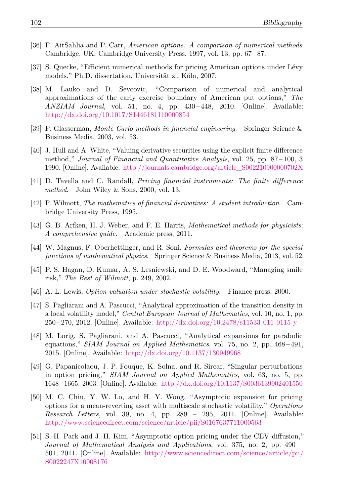- [36] F. AitSahlia and P. Carr, *American options: A comparison of numerical methods*. Cambridge, UK: Cambridge University Press, 1997, vol. 13, pp. 67 – 87.
- [37] S. Quecke, "Efficient numerical methods for pricing American options under Lévy models," Ph.D. dissertation, Universität zu Köln, 2007.
- [38] M. Lauko and D. Sevcovic, "Comparison of numerical and analytical approximations of the early exercise boundary of American put options," *The ANZIAM Journal*, vol. 51, no. 4, pp. 430 – 448, 2010. [Online]. Available: <http://dx.doi.org/10.1017/S1446181110000854>
- [39] P. Glasserman, *Monte Carlo methods in financial engineering*. Springer Science & Business Media, 2003, vol. 53.
- [40] J. Hull and A. White, "Valuing derivative securities using the explicit finite difference method," *Journal of Financial and Quantitative Analysis*, vol. 25, pp. 87 – 100, 3 1990. [Online]. Available: [http://journals.cambridge.org/article\\_S002210900000702X](http://journals.cambridge.org/article_S002210900000702X)
- [41] D. Tavella and C. Randall, *Pricing financial instruments: The finite difference method*. John Wiley & Sons, 2000, vol. 13.
- [42] P. Wilmott, *The mathematics of financial derivatives: A student introduction*. Cambridge University Press, 1995.
- [43] G. B. Arfken, H. J. Weber, and F. E. Harris, *Mathematical methods for physicists: A comprehensive guide*. Academic press, 2011.
- [44] W. Magnus, F. Oberhettinger, and R. Soni, *Formulas and theorems for the special functions of mathematical physics*. Springer Science & Business Media, 2013, vol. 52.
- [45] P. S. Hagan, D. Kumar, A. S. Lesniewski, and D. E. Woodward, "Managing smile risk," *The Best of Wilmott*, p. 249, 2002.
- [46] A. L. Lewis, *Option valuation under stochastic volatility*. Finance press, 2000.
- [47] S. Pagliarani and A. Pascucci, "Analytical approximation of the transition density in a local volatility model," *Central European Journal of Mathematics*, vol. 10, no. 1, pp. 250 – 270, 2012. [Online]. Available: <http://dx.doi.org/10.2478/s11533-011-0115-y>
- [48] M. Lorig, S. Pagliarani, and A. Pascucci, "Analytical expansions for parabolic equations," *SIAM Journal on Applied Mathematics*, vol. 75, no. 2, pp. 468–491, 2015. [Online]. Available: <http://dx.doi.org/10.1137/130949968>
- [49] G. Papanicolaou, J. P. Fouque, K. Solna, and R. Sircar, "Singular perturbations in option pricing," *SIAM Journal on Applied Mathematics*, vol. 63, no. 5, pp. 1648 – 1665, 2003. [Online]. Available: <http://dx.doi.org/10.1137/S0036139902401550>
- [50] M. C. Chiu, Y. W. Lo, and H. Y. Wong, "Asymptotic expansion for pricing options for a mean-reverting asset with multiscale stochastic volatility," *Operations Research Letters*, vol. 39, no. 4, pp. 289 – 295, 2011. [Online]. Available: <http://www.sciencedirect.com/science/article/pii/S0167637711000563>
- [51] S.-H. Park and J.-H. Kim, "Asymptotic option pricing under the CEV diffusion," *Journal of Mathematical Analysis and Applications*, vol. 375, no. 2, pp. 490 – 501, 2011. [Online]. Available: [http://www.sciencedirect.com/science/article/pii/](http://www.sciencedirect.com/science/article/pii/S0022247X10008176) [S0022247X10008176](http://www.sciencedirect.com/science/article/pii/S0022247X10008176)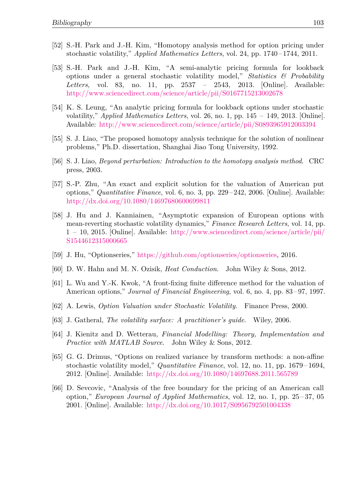- [52] S.-H. Park and J.-H. Kim, "Homotopy analysis method for option pricing under stochastic volatility," *Applied Mathematics Letters*, vol. 24, pp. 1740 – 1744, 2011.
- [53] S.-H. Park and J.-H. Kim, "A semi-analytic pricing formula for lookback options under a general stochastic volatility model," *Statistics & Probability Letters*, vol. 83, no. 11, pp. 2537 – 2543, 2013. [Online]. Available: <http://www.sciencedirect.com/science/article/pii/S0167715213002678>
- [54] K. S. Leung, "An analytic pricing formula for lookback options under stochastic volatility," *Applied Mathematics Letters*, vol. 26, no. 1, pp. 145 – 149, 2013. [Online]. Available: <http://www.sciencedirect.com/science/article/pii/S0893965912003394>
- [55] S. J. Liao, "The proposed homotopy analysis technique for the solution of nonlinear problems," Ph.D. dissertation, Shanghai Jiao Tong University, 1992.
- [56] S. J. Liao, *Beyond perturbation: Introduction to the homotopy analysis method*. CRC press, 2003.
- [57] S.-P. Zhu, "An exact and explicit solution for the valuation of American put options," *Quantitative Finance*, vol. 6, no. 3, pp. 229 – 242, 2006. [Online]. Available: <http://dx.doi.org/10.1080/14697680600699811>
- [58] J. Hu and J. Kanniainen, "Asymptotic expansion of European options with mean-reverting stochastic volatility dynamics," *Finance Research Letters*, vol. 14, pp. 1 – 10, 2015. [Online]. Available: [http://www.sciencedirect.com/science/article/pii/](http://www.sciencedirect.com/science/article/pii/S1544612315000665) [S1544612315000665](http://www.sciencedirect.com/science/article/pii/S1544612315000665)
- [59] J. Hu, "Optionseries," [https://github.com/optionseries/optionseries,](https://github.com/optionseries/optionseries) 2016.
- [60] D. W. Hahn and M. N. Ozisik, *Heat Conduction*. John Wiley & Sons, 2012.
- [61] L. Wu and Y.-K. Kwok, "A front-fixing finite difference method for the valuation of American options," *Journal of Financial Engineering*, vol. 6, no. 4, pp. 83–97, 1997.
- [62] A. Lewis, *Option Valuation under Stochastic Volatility*. Finance Press, 2000.
- [63] J. Gatheral, *The volatility surface: A practitioner's guide*. Wiley, 2006.
- [64] J. Kienitz and D. Wetterau, *Financial Modelling: Theory, Implementation and Practice with MATLAB Source*. John Wiley & Sons, 2012.
- [65] G. G. Drimus, "Options on realized variance by transform methods: a non-affine stochastic volatility model," *Quantitative Finance*, vol. 12, no. 11, pp. 1679 – 1694, 2012. [Online]. Available: <http://dx.doi.org/10.1080/14697688.2011.565789>
- [66] D. Sevcovic, "Analysis of the free boundary for the pricing of an American call option," *European Journal of Applied Mathematics*, vol. 12, no. 1, pp. 25 – 37, 05 2001. [Online]. Available: <http://dx.doi.org/10.1017/S0956792501004338>